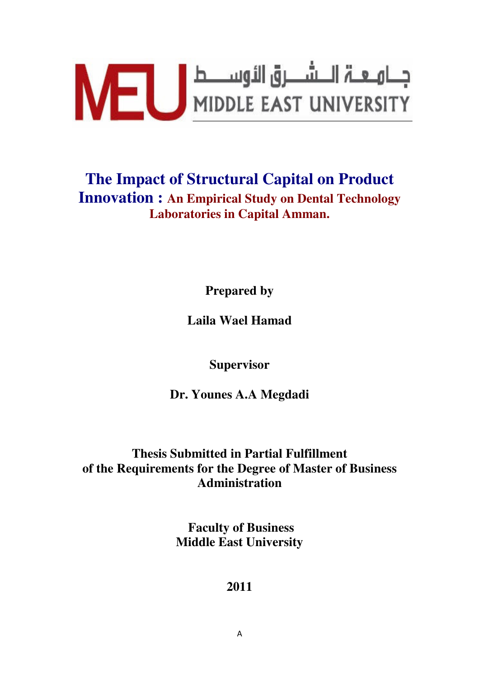

## **The Impact of Structural Capital on Product Innovation : An Empirical Study on Dental Technology Laboratories in Capital Amman.**

**Prepared by** 

**Laila Wael Hamad** 

**Supervisor** 

**Dr. Younes A.A Megdadi** 

### **Thesis Submitted in Partial Fulfillment of the Requirements for the Degree of Master of Business Administration**

 **Faculty of Business Middle East University** 

#### **2011**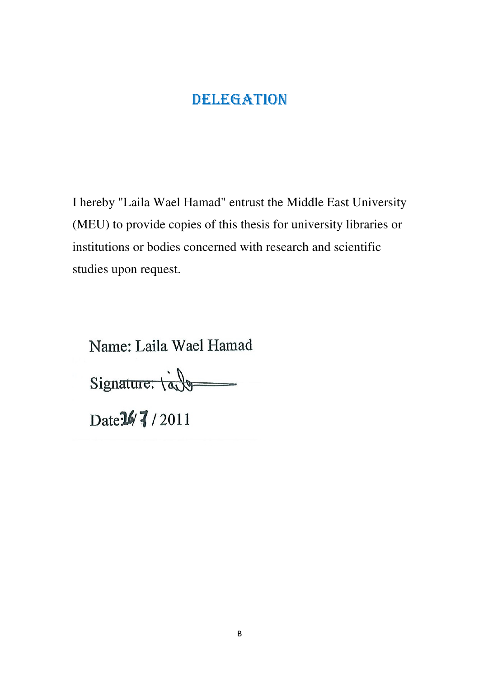## DELEGATION

I hereby "Laila Wael Hamad" entrust the Middle East University (MEU) to provide copies of this thesis for university libraries or institutions or bodies concerned with research and scientific studies upon request.

Name: Laila Wael Hamad

Signature: table

Date 14 7 / 2011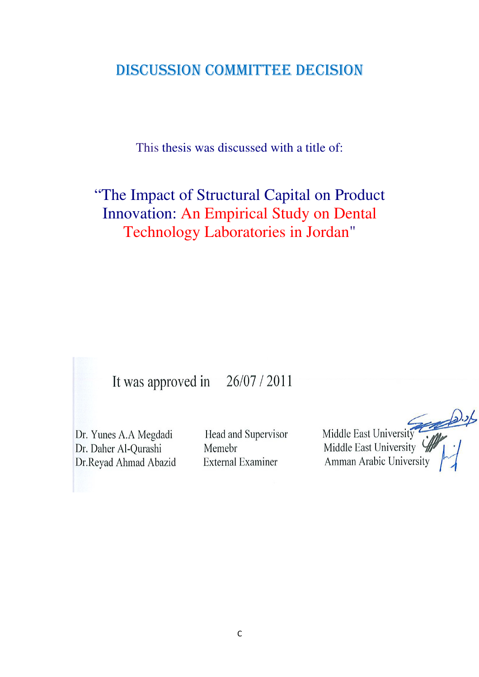## DISCUSSION COMMITTEE DECISION

This thesis was discussed with a title of:

# "The Impact of Structural Capital on Product Innovation: An Empirical Study on Dental Technology Laboratories in Jordan"

#### It was approved in 26/07/2011

Dr. Yunes A.A Megdadi Dr. Daher Al-Qurashi Dr.Reyad Ahmad Abazid

Head and Supervisor Memebr **External Examiner** 

Middle East University Amman Arabic University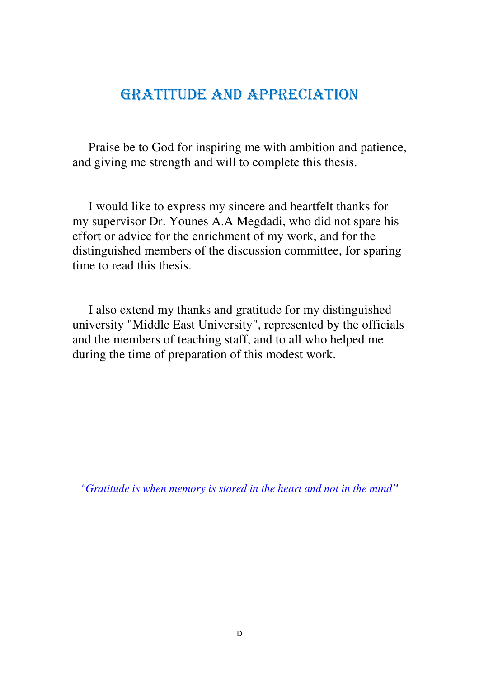## GRATITUDE AND APPRECIATION

Praise be to God for inspiring me with ambition and patience, and giving me strength and will to complete this thesis.

 I would like to express my sincere and heartfelt thanks for my supervisor Dr. Younes A.A Megdadi, who did not spare his effort or advice for the enrichment of my work, and for the distinguished members of the discussion committee, for sparing time to read this thesis.

 I also extend my thanks and gratitude for my distinguished university "Middle East University", represented by the officials and the members of teaching staff, and to all who helped me during the time of preparation of this modest work.

*"Gratitude is when memory is stored in the heart and not in the mind"*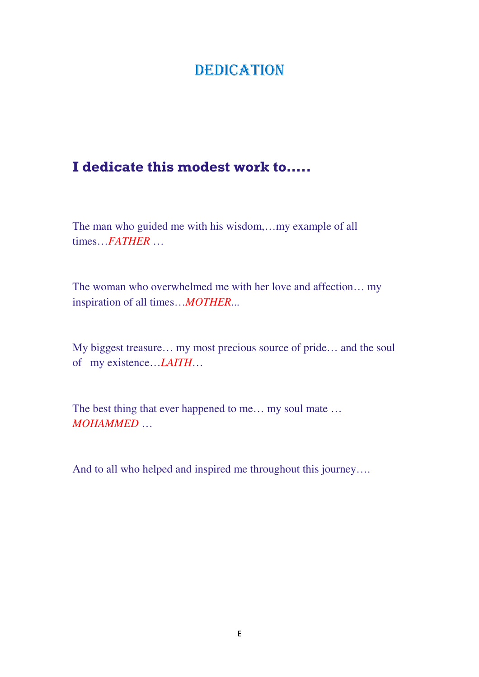## **DEDICATION**

## I dedicate this modest work to…..

The man who guided me with his wisdom,…my example of all times…*FATHER* …

The woman who overwhelmed me with her love and affection… my inspiration of all times…*MOTHER*...

My biggest treasure… my most precious source of pride… and the soul of my existence…*LAITH*…

The best thing that ever happened to me... my soul mate ... *MOHAMMED* …

And to all who helped and inspired me throughout this journey….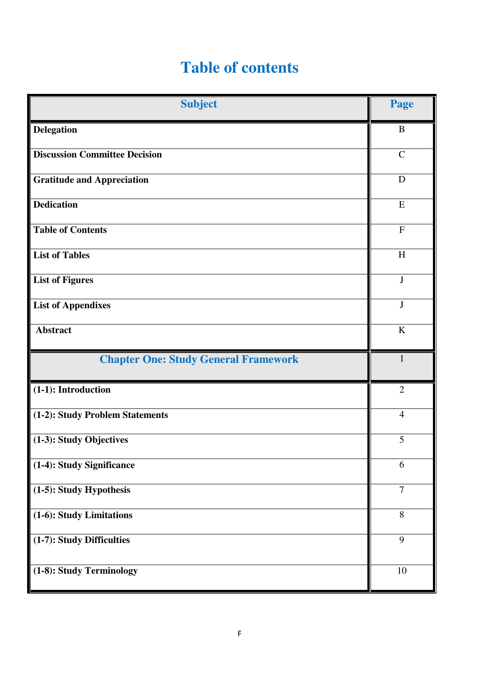# **Table of contents**

| <b>Subject</b>                              | Page                      |
|---------------------------------------------|---------------------------|
| <b>Delegation</b>                           | B                         |
| <b>Discussion Committee Decision</b>        | $\mathcal{C}$             |
| <b>Gratitude and Appreciation</b>           | D                         |
| <b>Dedication</b>                           | E                         |
| <b>Table of Contents</b>                    | $\overline{F}$            |
| <b>List of Tables</b>                       | $\boldsymbol{\mathrm{H}}$ |
| <b>List of Figures</b>                      | $\mathbf{J}$              |
| <b>List of Appendixes</b>                   | $\bf J$                   |
| <b>Abstract</b>                             | K                         |
| <b>Chapter One: Study General Framework</b> | 1                         |
| (1-1): Introduction                         | $\overline{2}$            |
| (1-2): Study Problem Statements             | $\overline{4}$            |
| (1-3): Study Objectives                     | 5                         |
| (1-4): Study Significance                   | 6                         |
| (1-5): Study Hypothesis                     | $\overline{7}$            |
| (1-6): Study Limitations                    | 8                         |
| (1-7): Study Difficulties                   | 9                         |
| (1-8): Study Terminology                    | 10                        |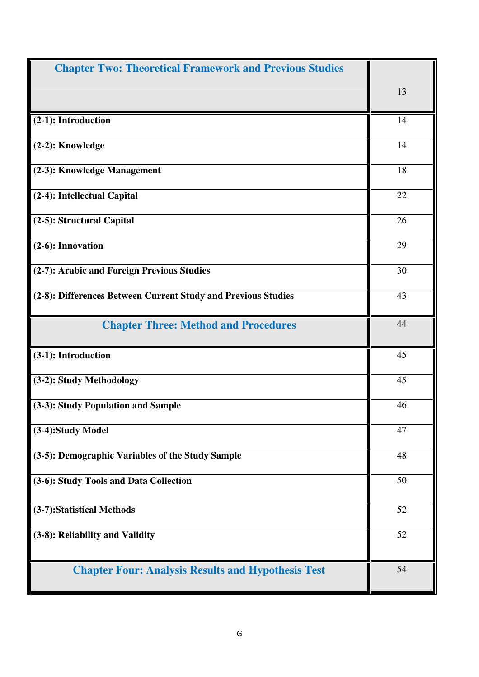| <b>Chapter Two: Theoretical Framework and Previous Studies</b> |    |
|----------------------------------------------------------------|----|
|                                                                | 13 |
| (2-1): Introduction                                            | 14 |
| (2-2): Knowledge                                               | 14 |
| (2-3): Knowledge Management                                    | 18 |
| (2-4): Intellectual Capital                                    | 22 |
| (2-5): Structural Capital                                      | 26 |
| $(2-6)$ : Innovation                                           | 29 |
| (2-7): Arabic and Foreign Previous Studies                     | 30 |
| (2-8): Differences Between Current Study and Previous Studies  | 43 |
| <b>Chapter Three: Method and Procedures</b>                    | 44 |
| (3-1): Introduction                                            | 45 |
| (3-2): Study Methodology                                       | 45 |
| (3-3): Study Population and Sample                             | 46 |
| (3-4):Study Model                                              | 47 |
| (3-5): Demographic Variables of the Study Sample               | 48 |
| (3-6): Study Tools and Data Collection                         | 50 |
| (3-7):Statistical Methods                                      | 52 |
| (3-8): Reliability and Validity                                | 52 |
| <b>Chapter Four: Analysis Results and Hypothesis Test</b>      | 54 |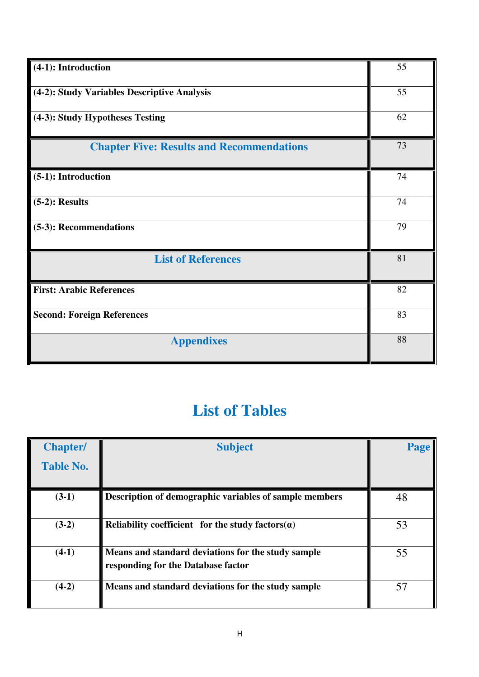| (4-1): Introduction                              | 55 |
|--------------------------------------------------|----|
| (4-2): Study Variables Descriptive Analysis      | 55 |
| (4-3): Study Hypotheses Testing                  | 62 |
| <b>Chapter Five: Results and Recommendations</b> | 73 |
| (5-1): Introduction                              | 74 |
| $(5-2)$ : Results                                | 74 |
| (5-3): Recommendations                           | 79 |
| <b>List of References</b>                        | 81 |
| <b>First: Arabic References</b>                  | 82 |
| <b>Second: Foreign References</b>                | 83 |
| <b>Appendixes</b>                                | 88 |

# **List of Tables**

| <b>Chapter/</b>  | <b>Subject</b>                                                                           | Page |
|------------------|------------------------------------------------------------------------------------------|------|
| <b>Table No.</b> |                                                                                          |      |
| $(3-1)$          | Description of demographic variables of sample members                                   | 48   |
| $(3-2)$          | Reliability coefficient for the study factors $(a)$                                      | 53   |
| $(4-1)$          | Means and standard deviations for the study sample<br>responding for the Database factor | 55   |
| $(4-2)$          | Means and standard deviations for the study sample                                       | 57   |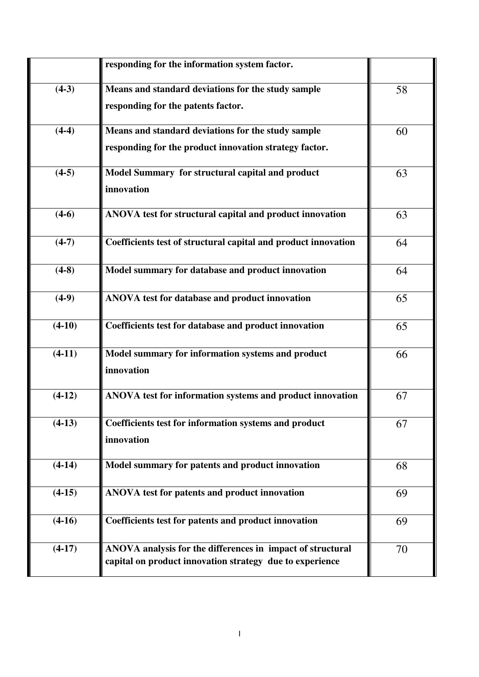|          | responding for the information system factor.                                                                          |    |
|----------|------------------------------------------------------------------------------------------------------------------------|----|
| $(4-3)$  | Means and standard deviations for the study sample<br>responding for the patents factor.                               | 58 |
| $(4-4)$  | Means and standard deviations for the study sample<br>responding for the product innovation strategy factor.           | 60 |
| $(4-5)$  | Model Summary for structural capital and product<br>innovation                                                         | 63 |
| $(4-6)$  | ANOVA test for structural capital and product innovation                                                               | 63 |
| $(4-7)$  | Coefficients test of structural capital and product innovation                                                         | 64 |
| $(4-8)$  | Model summary for database and product innovation                                                                      | 64 |
| $(4-9)$  | ANOVA test for database and product innovation                                                                         | 65 |
| $(4-10)$ | Coefficients test for database and product innovation                                                                  | 65 |
| $(4-11)$ | Model summary for information systems and product<br>innovation                                                        | 66 |
| $(4-12)$ | ANOVA test for information systems and product innovation                                                              | 67 |
| $(4-13)$ | Coefficients test for information systems and product<br>innovation                                                    | 67 |
| $(4-14)$ | Model summary for patents and product innovation                                                                       | 68 |
| $(4-15)$ | ANOVA test for patents and product innovation                                                                          | 69 |
| $(4-16)$ | Coefficients test for patents and product innovation                                                                   | 69 |
| $(4-17)$ | ANOVA analysis for the differences in impact of structural<br>capital on product innovation strategy due to experience | 70 |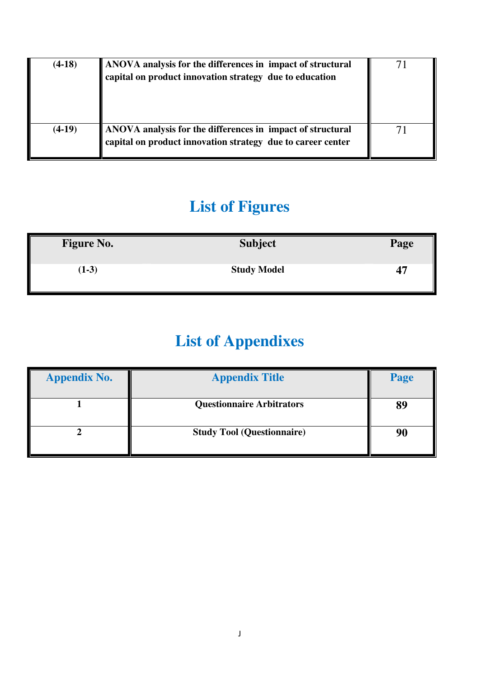| $(4-18)$ | ANOVA analysis for the differences in impact of structural<br>$\vert$ capital on product innovation strategy due to education |  |
|----------|-------------------------------------------------------------------------------------------------------------------------------|--|
| $(4-19)$ | ANOVA analysis for the differences in impact of structural<br>capital on product innovation strategy due to career center     |  |

# **List of Figures**

| <b>Figure No.</b> | <b>Subject</b>     | Page |
|-------------------|--------------------|------|
| $(1-3)$           | <b>Study Model</b> | 47   |

# **List of Appendixes**

| <b>Appendix No.</b> | <b>Appendix Title</b>             | Page |
|---------------------|-----------------------------------|------|
|                     | <b>Questionnaire Arbitrators</b>  | 89   |
|                     | <b>Study Tool (Questionnaire)</b> | 90   |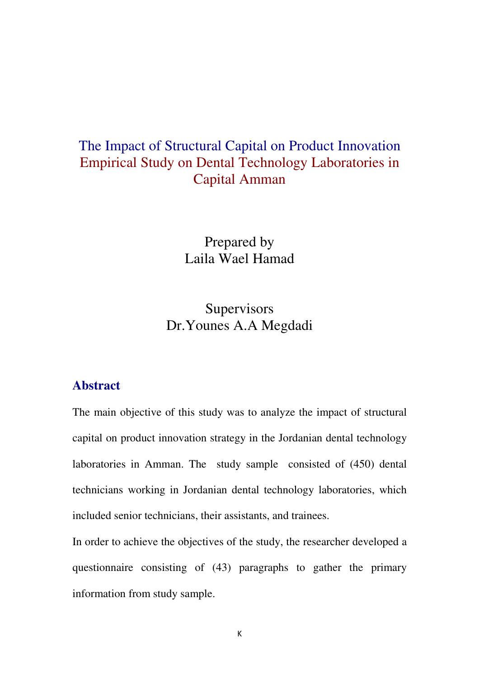## The Impact of Structural Capital on Product Innovation Empirical Study on Dental Technology Laboratories in Capital Amman

Prepared by Laila Wael Hamad

**Supervisors** Dr.Younes A.A Megdadi

#### **Abstract**

The main objective of this study was to analyze the impact of structural capital on product innovation strategy in the Jordanian dental technology laboratories in Amman. The study sample consisted of (450) dental technicians working in Jordanian dental technology laboratories, which included senior technicians, their assistants, and trainees.

In order to achieve the objectives of the study, the researcher developed a questionnaire consisting of (43) paragraphs to gather the primary information from study sample.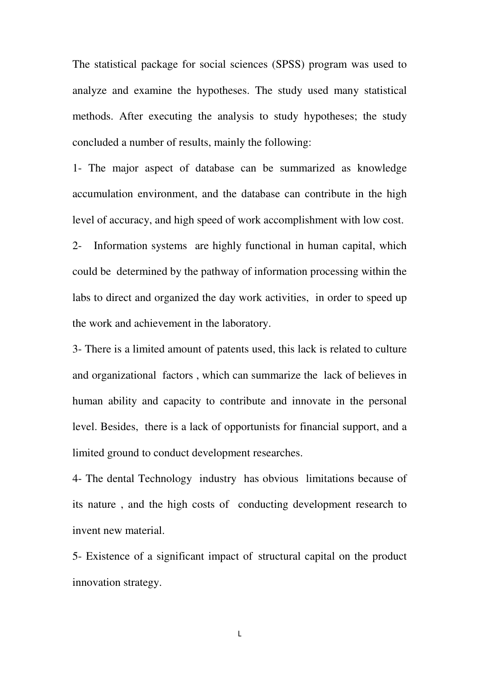The statistical package for social sciences (SPSS) program was used to analyze and examine the hypotheses. The study used many statistical methods. After executing the analysis to study hypotheses; the study concluded a number of results, mainly the following:

1- The major aspect of database can be summarized as knowledge accumulation environment, and the database can contribute in the high level of accuracy, and high speed of work accomplishment with low cost.

2- Information systems are highly functional in human capital, which could be determined by the pathway of information processing within the labs to direct and organized the day work activities, in order to speed up the work and achievement in the laboratory.

3- There is a limited amount of patents used, this lack is related to culture and organizational factors , which can summarize the lack of believes in human ability and capacity to contribute and innovate in the personal level. Besides, there is a lack of opportunists for financial support, and a limited ground to conduct development researches.

4- The dental Technology industry has obvious limitations because of its nature , and the high costs of conducting development research to invent new material.

5- Existence of a significant impact of structural capital on the product innovation strategy.

L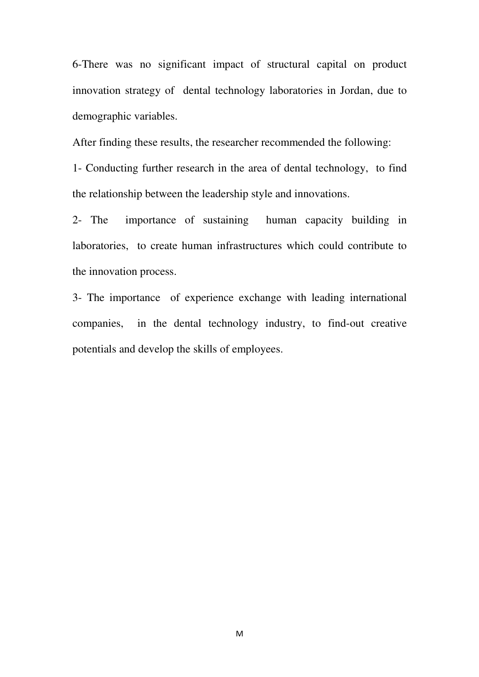6-There was no significant impact of structural capital on product innovation strategy of dental technology laboratories in Jordan, due to demographic variables.

After finding these results, the researcher recommended the following:

1- Conducting further research in the area of dental technology, to find the relationship between the leadership style and innovations.

2- The importance of sustaining human capacity building in laboratories, to create human infrastructures which could contribute to the innovation process.

3- The importance of experience exchange with leading international companies, in the dental technology industry, to find-out creative potentials and develop the skills of employees.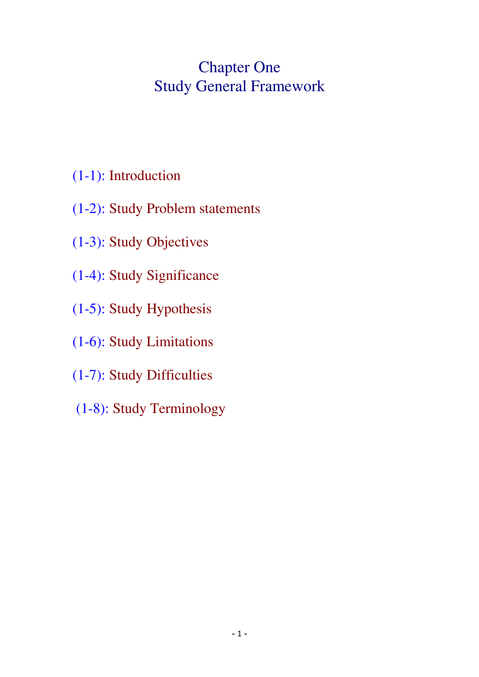## Chapter One Study General Framework

- (1-1): Introduction
- (1-2): Study Problem statements
- (1-3): Study Objectives
- (1-4): Study Significance
- (1-5): Study Hypothesis
- (1-6): Study Limitations
- (1-7): Study Difficulties
- (1-8): Study Terminology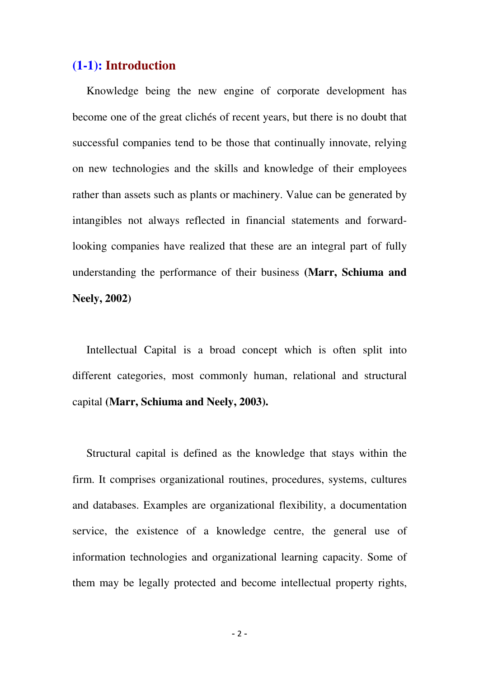#### **(1-1): Introduction**

 Knowledge being the new engine of corporate development has become one of the great clichés of recent years, but there is no doubt that successful companies tend to be those that continually innovate, relying on new technologies and the skills and knowledge of their employees rather than assets such as plants or machinery. Value can be generated by intangibles not always reflected in financial statements and forwardlooking companies have realized that these are an integral part of fully understanding the performance of their business **(Marr, Schiuma and Neely, 2002)** 

 Intellectual Capital is a broad concept which is often split into different categories, most commonly human, relational and structural capital **(Marr, Schiuma and Neely, 2003).** 

 Structural capital is defined as the knowledge that stays within the firm. It comprises organizational routines, procedures, systems, cultures and databases. Examples are organizational flexibility, a documentation service, the existence of a knowledge centre, the general use of information technologies and organizational learning capacity. Some of them may be legally protected and become intellectual property rights,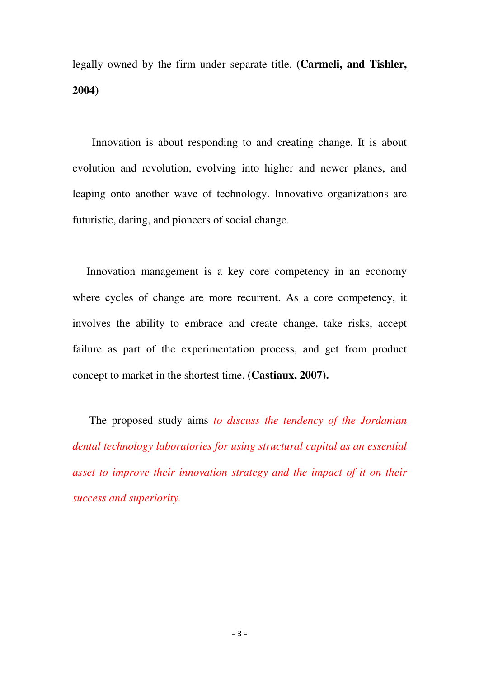legally owned by the firm under separate title. **(Carmeli, and Tishler, 2004)** 

 Innovation is about responding to and creating change. It is about evolution and revolution, evolving into higher and newer planes, and leaping onto another wave of technology. Innovative organizations are futuristic, daring, and pioneers of social change.

 Innovation management is a key core competency in an economy where cycles of change are more recurrent. As a core competency, it involves the ability to embrace and create change, take risks, accept failure as part of the experimentation process, and get from product concept to market in the shortest time. **(Castiaux, 2007).**

 The proposed study aims *to discuss the tendency of the Jordanian dental technology laboratories for using structural capital as an essential asset to improve their innovation strategy and the impact of it on their success and superiority.*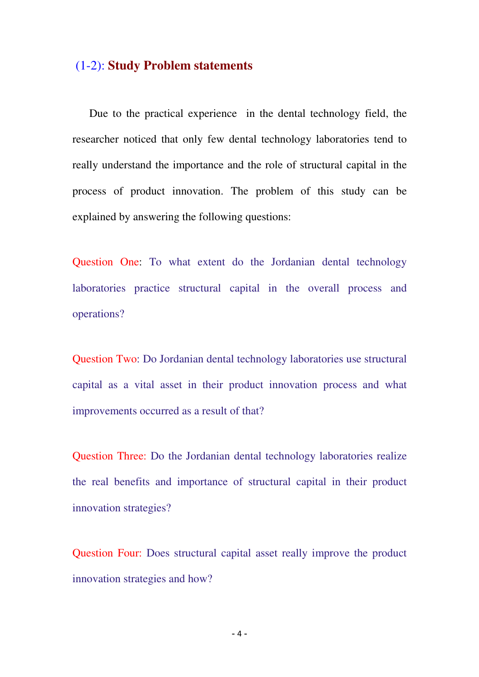#### (1-2): **Study Problem statements**

Due to the practical experience in the dental technology field, the researcher noticed that only few dental technology laboratories tend to really understand the importance and the role of structural capital in the process of product innovation. The problem of this study can be explained by answering the following questions:

Question One: To what extent do the Jordanian dental technology laboratories practice structural capital in the overall process and operations?

Question Two: Do Jordanian dental technology laboratories use structural capital as a vital asset in their product innovation process and what improvements occurred as a result of that?

Question Three: Do the Jordanian dental technology laboratories realize the real benefits and importance of structural capital in their product innovation strategies?

Question Four: Does structural capital asset really improve the product innovation strategies and how?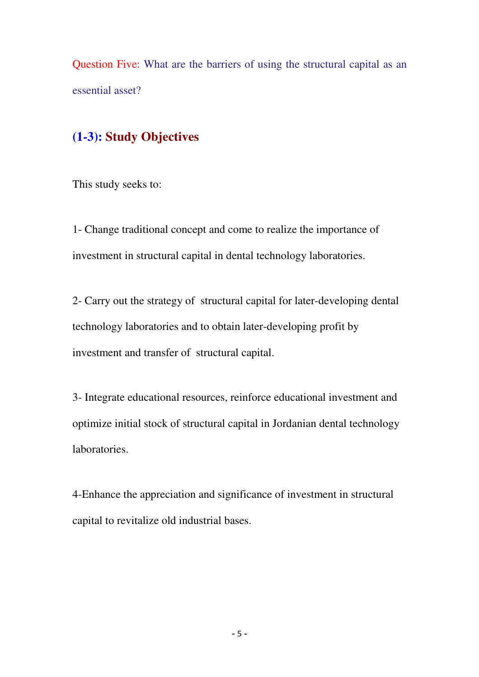Question Five: What are the barriers of using the structural capital as an essential asset?

### **(1-3): Study Objectives**

This study seeks to:

1- Change traditional concept and come to realize the importance of investment in structural capital in dental technology laboratories.

2- Carry out the strategy of structural capital for later-developing dental technology laboratories and to obtain later-developing profit by investment and transfer of structural capital.

3- Integrate educational resources, reinforce educational investment and optimize initial stock of structural capital in Jordanian dental technology laboratories.

4-Enhance the appreciation and significance of investment in structural capital to revitalize old industrial bases.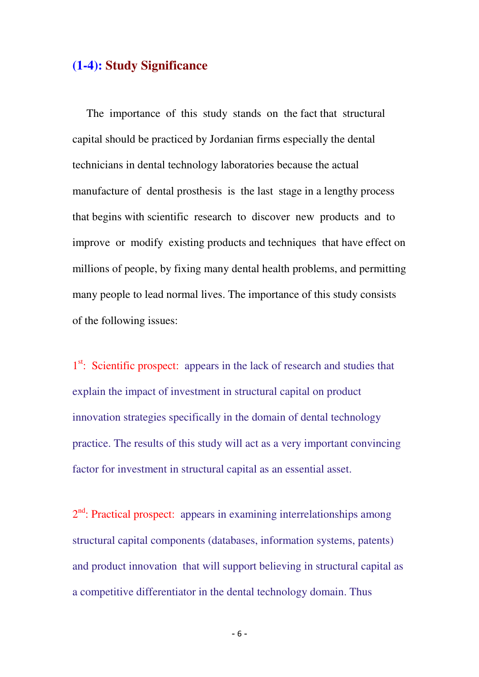#### **(1-4): Study Significance**

 The importance of this study stands on the fact that structural capital should be practiced by Jordanian firms especially the dental technicians in dental technology laboratories because the actual manufacture of dental prosthesis is the last stage in a lengthy process that begins with scientific research to discover new products and to improve or modify existing products and techniques that have effect on millions of people, by fixing many dental health problems, and permitting many people to lead normal lives. The importance of this study consists of the following issues:

1<sup>st</sup>: Scientific prospect: appears in the lack of research and studies that explain the impact of investment in structural capital on product innovation strategies specifically in the domain of dental technology practice. The results of this study will act as a very important convincing factor for investment in structural capital as an essential asset.

2<sup>nd</sup>: Practical prospect: appears in examining interrelationships among structural capital components (databases, information systems, patents) and product innovation that will support believing in structural capital as a competitive differentiator in the dental technology domain. Thus

- 6 -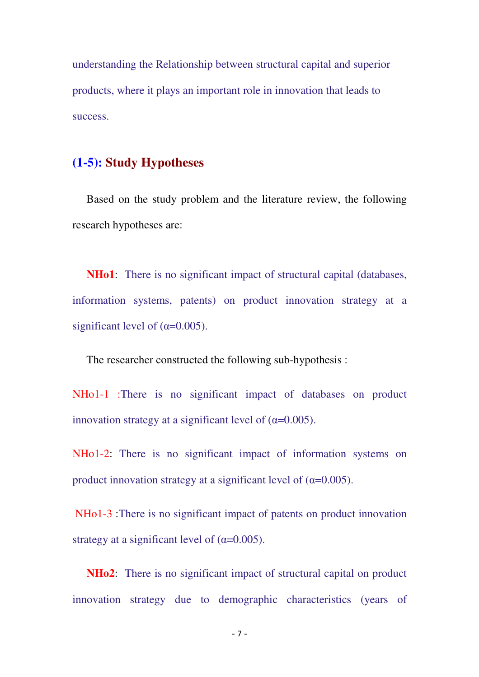understanding the Relationship between structural capital and superior products, where it plays an important role in innovation that leads to success.

#### **(1-5): Study Hypotheses**

 Based on the study problem and the literature review, the following research hypotheses are:

**NHo1**: There is no significant impact of structural capital (databases, information systems, patents) on product innovation strategy at a significant level of  $(\alpha=0.005)$ .

The researcher constructed the following sub-hypothesis :

NHo1-1 :There is no significant impact of databases on product innovation strategy at a significant level of  $(\alpha=0.005)$ .

NHo1-2: There is no significant impact of information systems on product innovation strategy at a significant level of  $(\alpha=0.005)$ .

 NHo1-3 :There is no significant impact of patents on product innovation strategy at a significant level of  $(\alpha=0.005)$ .

 **NHo2**: There is no significant impact of structural capital on product innovation strategy due to demographic characteristics (years of

- 7 -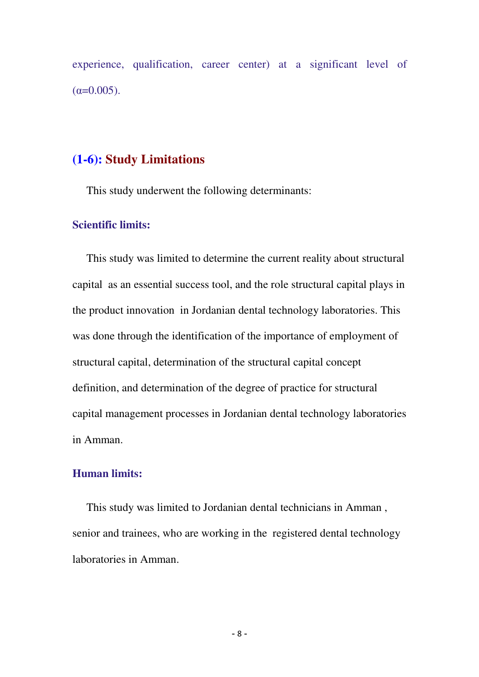experience, qualification, career center) at a significant level of  $(\alpha=0.005)$ .

#### **(1-6): Study Limitations**

This study underwent the following determinants:

#### **Scientific limits:**

 This study was limited to determine the current reality about structural capital as an essential success tool, and the role structural capital plays in the product innovation in Jordanian dental technology laboratories. This was done through the identification of the importance of employment of structural capital, determination of the structural capital concept definition, and determination of the degree of practice for structural capital management processes in Jordanian dental technology laboratories in Amman.

#### **Human limits:**

 This study was limited to Jordanian dental technicians in Amman , senior and trainees, who are working in the registered dental technology laboratories in Amman.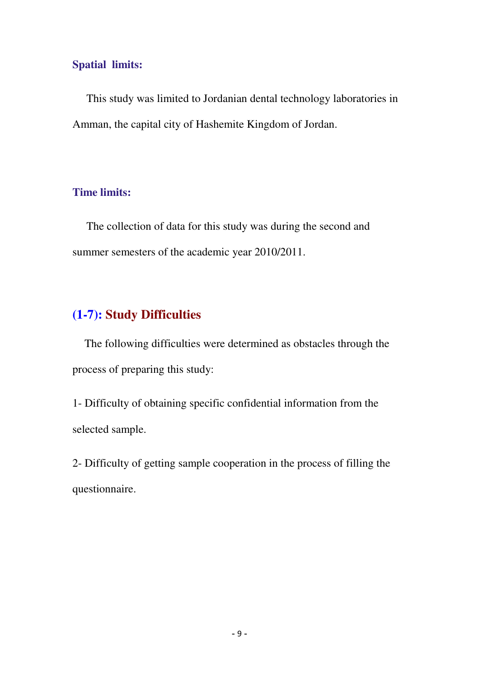#### **Spatial limits:**

 This study was limited to Jordanian dental technology laboratories in Amman, the capital city of Hashemite Kingdom of Jordan.

#### **Time limits:**

 The collection of data for this study was during the second and summer semesters of the academic year 2010/2011.

## **(1-7): Study Difficulties**

 The following difficulties were determined as obstacles through the process of preparing this study:

1- Difficulty of obtaining specific confidential information from the selected sample.

2- Difficulty of getting sample cooperation in the process of filling the questionnaire.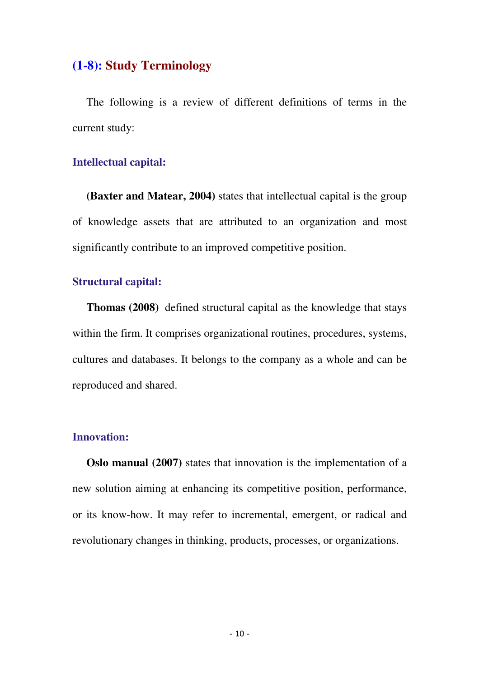#### **(1-8): Study Terminology**

 The following is a review of different definitions of terms in the current study:

#### **Intellectual capital:**

**(Baxter and Matear, 2004)** states that intellectual capital is the group of knowledge assets that are attributed to an organization and most significantly contribute to an improved competitive position.

#### **Structural capital:**

 **Thomas (2008)** defined structural capital as the knowledge that stays within the firm. It comprises organizational routines, procedures, systems, cultures and databases. It belongs to the company as a whole and can be reproduced and shared.

#### **Innovation:**

**Oslo manual (2007)** states that innovation is the implementation of a new solution aiming at enhancing its competitive position, performance, or its know-how. It may refer to incremental, emergent, or radical and revolutionary changes in thinking, products, processes, or organizations.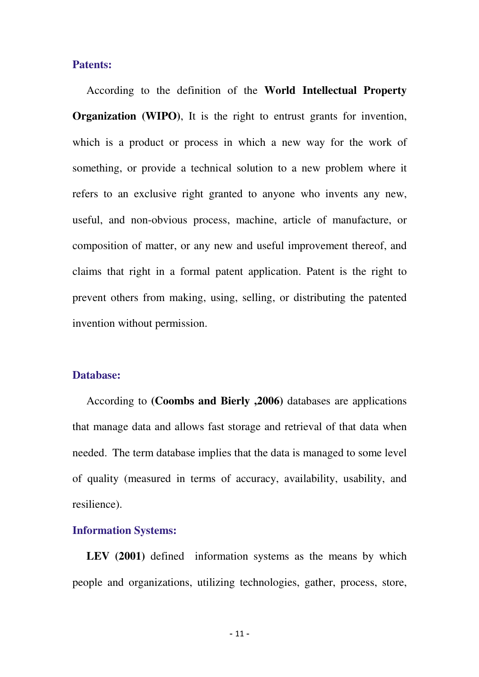#### **Patents:**

 According to the definition of the **World Intellectual Property Organization (WIPO)**, It is the right to entrust grants for invention, which is a product or process in which a new way for the work of something, or provide a technical solution to a new problem where it refers to an exclusive right granted to anyone who invents any new, useful, and non-obvious process, machine, article of manufacture, or composition of matter, or any new and useful improvement thereof, and claims that right in a formal patent application. Patent is the right to prevent others from making, using, selling, or distributing the patented invention without permission.

#### **Database:**

 According to **(Coombs and Bierly ,2006)** databases are applications that manage data and allows fast storage and retrieval of that data when needed. The term database implies that the data is managed to some level of quality (measured in terms of accuracy, availability, usability, and resilience).

#### **Information Systems:**

LEV (2001) defined information systems as the means by which people and organizations, utilizing technologies, gather, process, store,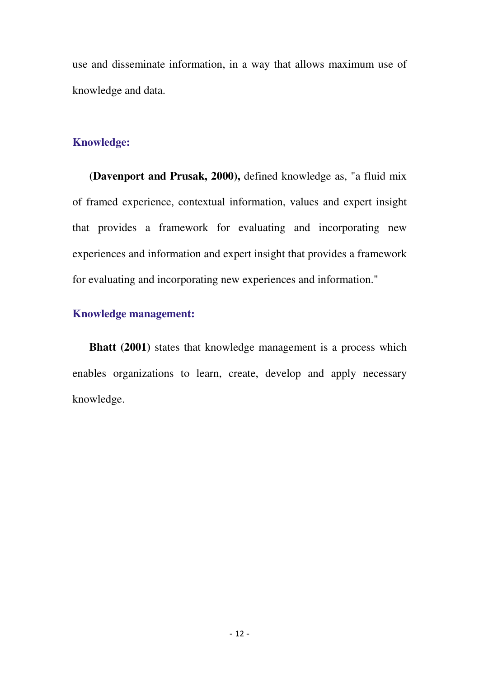use and disseminate information, in a way that allows maximum use of knowledge and data.

#### **Knowledge:**

 **(Davenport and Prusak, 2000),** defined knowledge as, "a fluid mix of framed experience, contextual information, values and expert insight that provides a framework for evaluating and incorporating new experiences and information and expert insight that provides a framework for evaluating and incorporating new experiences and information."

#### **Knowledge management:**

**Bhatt (2001)** states that knowledge management is a process which enables organizations to learn, create, develop and apply necessary knowledge.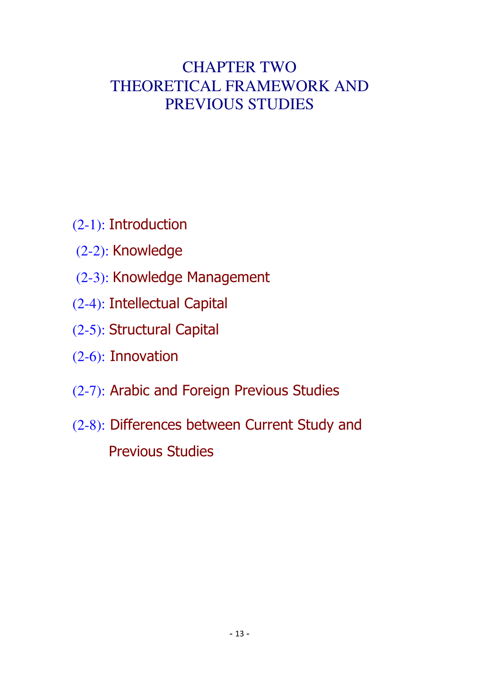# CHAPTER TWO THEORETICAL FRAMEWORK AND PREVIOUS STUDIES

- (2-1): Introduction
- (2-2): Knowledge
- (2-3): Knowledge Management
- (2-4): Intellectual Capital
- (2-5): Structural Capital
- (2-6): Innovation
- (2-7): Arabic and Foreign Previous Studies
- (2-8): Differences between Current Study and Previous Studies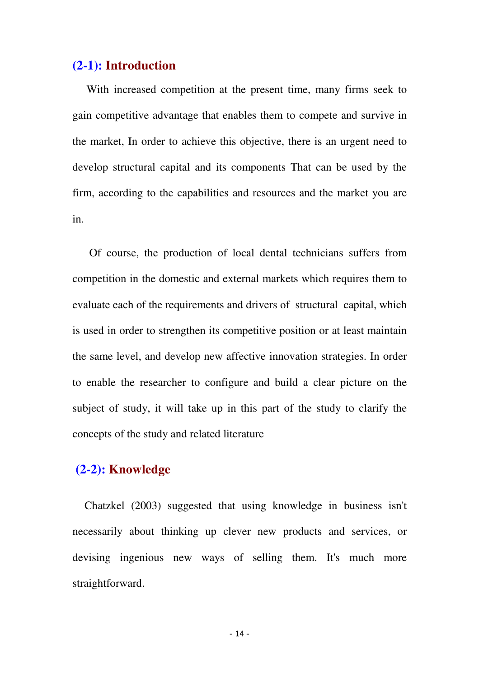#### **(2-1): Introduction**

 With increased competition at the present time, many firms seek to gain competitive advantage that enables them to compete and survive in the market, In order to achieve this objective, there is an urgent need to develop structural capital and its components That can be used by the firm, according to the capabilities and resources and the market you are in.

 Of course, the production of local dental technicians suffers from competition in the domestic and external markets which requires them to evaluate each of the requirements and drivers of structural capital, which is used in order to strengthen its competitive position or at least maintain the same level, and develop new affective innovation strategies. In order to enable the researcher to configure and build a clear picture on the subject of study, it will take up in this part of the study to clarify the concepts of the study and related literature

#### **(2-2): Knowledge**

 Chatzkel (2003) suggested that using knowledge in business isn't necessarily about thinking up clever new products and services, or devising ingenious new ways of selling them. It's much more straightforward.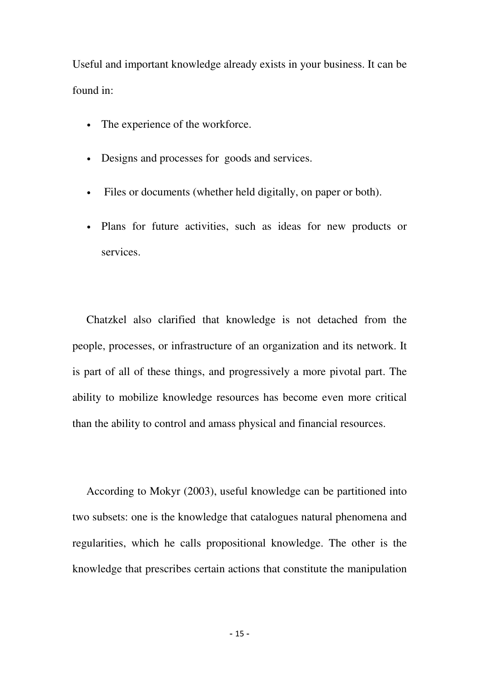Useful and important knowledge already exists in your business. It can be found in:

- The experience of the workforce.
- Designs and processes for goods and services.
- Files or documents (whether held digitally, on paper or both).
- Plans for future activities, such as ideas for new products or services.

 Chatzkel also clarified that knowledge is not detached from the people, processes, or infrastructure of an organization and its network. It is part of all of these things, and progressively a more pivotal part. The ability to mobilize knowledge resources has become even more critical than the ability to control and amass physical and financial resources.

 According to Mokyr (2003), useful knowledge can be partitioned into two subsets: one is the knowledge that catalogues natural phenomena and regularities, which he calls propositional knowledge. The other is the knowledge that prescribes certain actions that constitute the manipulation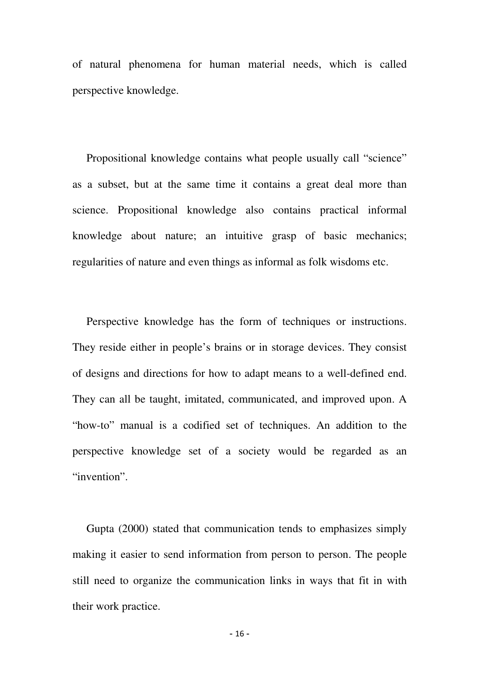of natural phenomena for human material needs, which is called perspective knowledge.

 Propositional knowledge contains what people usually call "science" as a subset, but at the same time it contains a great deal more than science. Propositional knowledge also contains practical informal knowledge about nature; an intuitive grasp of basic mechanics; regularities of nature and even things as informal as folk wisdoms etc.

 Perspective knowledge has the form of techniques or instructions. They reside either in people's brains or in storage devices. They consist of designs and directions for how to adapt means to a well-defined end. They can all be taught, imitated, communicated, and improved upon. A "how-to" manual is a codified set of techniques. An addition to the perspective knowledge set of a society would be regarded as an "invention".

 Gupta (2000) stated that communication tends to emphasizes simply making it easier to send information from person to person. The people still need to organize the communication links in ways that fit in with their work practice.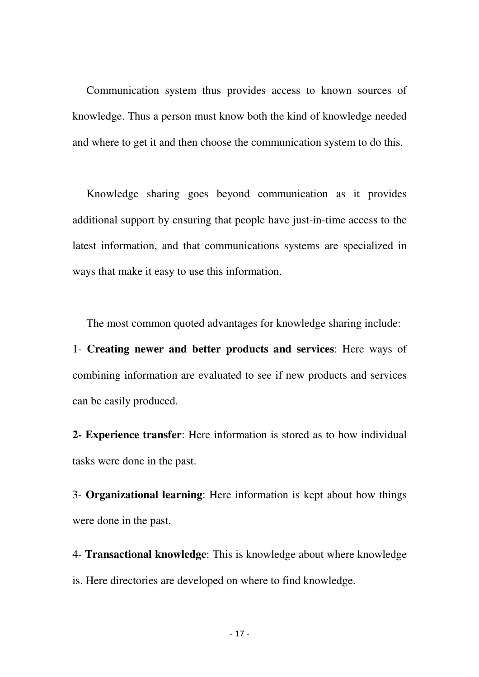Communication system thus provides access to known sources of knowledge. Thus a person must know both the kind of knowledge needed and where to get it and then choose the communication system to do this.

 Knowledge sharing goes beyond communication as it provides additional support by ensuring that people have just-in-time access to the latest information, and that communications systems are specialized in ways that make it easy to use this information.

The most common quoted advantages for knowledge sharing include:

1- **Creating newer and better products and services**: Here ways of combining information are evaluated to see if new products and services can be easily produced.

**2- Experience transfer**: Here information is stored as to how individual tasks were done in the past.

3- **Organizational learning**: Here information is kept about how things were done in the past.

4- **Transactional knowledge**: This is knowledge about where knowledge is. Here directories are developed on where to find knowledge.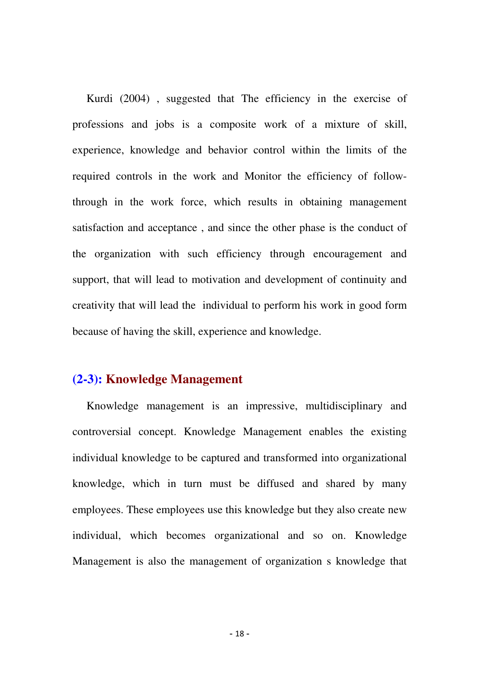Kurdi (2004) , suggested that The efficiency in the exercise of professions and jobs is a composite work of a mixture of skill, experience, knowledge and behavior control within the limits of the required controls in the work and Monitor the efficiency of followthrough in the work force, which results in obtaining management satisfaction and acceptance , and since the other phase is the conduct of the organization with such efficiency through encouragement and support, that will lead to motivation and development of continuity and creativity that will lead the individual to perform his work in good form because of having the skill, experience and knowledge.

#### **(2-3): Knowledge Management**

 Knowledge management is an impressive, multidisciplinary and controversial concept. Knowledge Management enables the existing individual knowledge to be captured and transformed into organizational knowledge, which in turn must be diffused and shared by many employees. These employees use this knowledge but they also create new individual, which becomes organizational and so on. Knowledge Management is also the management of organization s knowledge that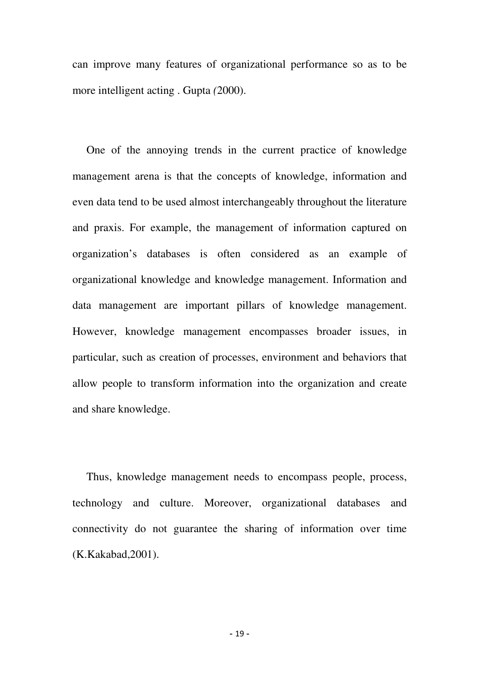can improve many features of organizational performance so as to be more intelligent acting . Gupta *(*2000).

 One of the annoying trends in the current practice of knowledge management arena is that the concepts of knowledge, information and even data tend to be used almost interchangeably throughout the literature and praxis. For example, the management of information captured on organization's databases is often considered as an example of organizational knowledge and knowledge management. Information and data management are important pillars of knowledge management. However, knowledge management encompasses broader issues, in particular, such as creation of processes, environment and behaviors that allow people to transform information into the organization and create and share knowledge.

 Thus, knowledge management needs to encompass people, process, technology and culture. Moreover, organizational databases and connectivity do not guarantee the sharing of information over time (K.Kakabad,2001).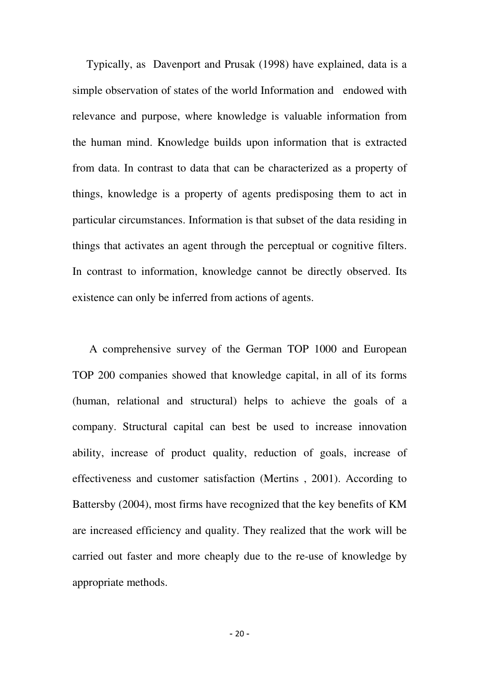Typically, as Davenport and Prusak (1998) have explained, data is a simple observation of states of the world Information and endowed with relevance and purpose, where knowledge is valuable information from the human mind. Knowledge builds upon information that is extracted from data. In contrast to data that can be characterized as a property of things, knowledge is a property of agents predisposing them to act in particular circumstances. Information is that subset of the data residing in things that activates an agent through the perceptual or cognitive filters. In contrast to information, knowledge cannot be directly observed. Its existence can only be inferred from actions of agents.

 A comprehensive survey of the German TOP 1000 and European TOP 200 companies showed that knowledge capital, in all of its forms (human, relational and structural) helps to achieve the goals of a company. Structural capital can best be used to increase innovation ability, increase of product quality, reduction of goals, increase of effectiveness and customer satisfaction (Mertins , 2001). According to Battersby (2004), most firms have recognized that the key benefits of KM are increased efficiency and quality. They realized that the work will be carried out faster and more cheaply due to the re-use of knowledge by appropriate methods.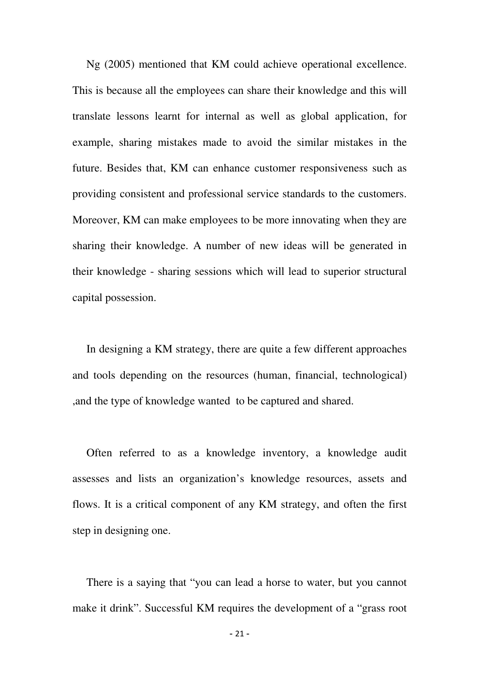Ng (2005) mentioned that KM could achieve operational excellence. This is because all the employees can share their knowledge and this will translate lessons learnt for internal as well as global application, for example, sharing mistakes made to avoid the similar mistakes in the future. Besides that, KM can enhance customer responsiveness such as providing consistent and professional service standards to the customers. Moreover, KM can make employees to be more innovating when they are sharing their knowledge. A number of new ideas will be generated in their knowledge - sharing sessions which will lead to superior structural capital possession.

 In designing a KM strategy, there are quite a few different approaches and tools depending on the resources (human, financial, technological) ,and the type of knowledge wanted to be captured and shared.

 Often referred to as a knowledge inventory, a knowledge audit assesses and lists an organization's knowledge resources, assets and flows. It is a critical component of any KM strategy, and often the first step in designing one.

 There is a saying that "you can lead a horse to water, but you cannot make it drink". Successful KM requires the development of a "grass root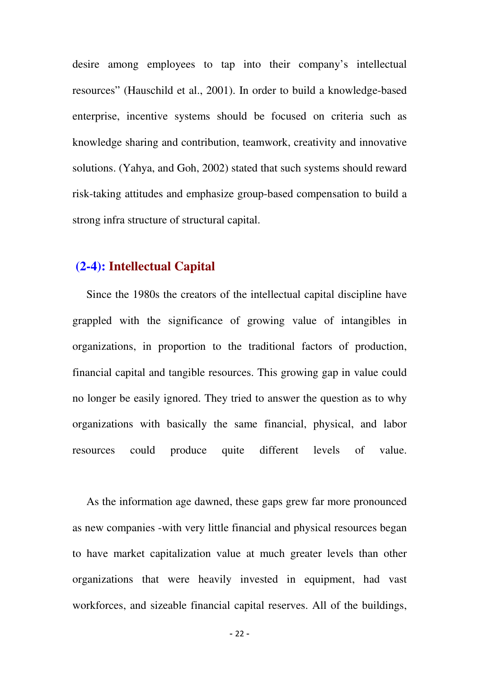desire among employees to tap into their company's intellectual resources" (Hauschild et al., 2001). In order to build a knowledge-based enterprise, incentive systems should be focused on criteria such as knowledge sharing and contribution, teamwork, creativity and innovative solutions. (Yahya, and Goh, 2002) stated that such systems should reward risk-taking attitudes and emphasize group-based compensation to build a strong infra structure of structural capital.

#### **(2-4): Intellectual Capital**

 Since the 1980s the creators of the intellectual capital discipline have grappled with the significance of growing value of intangibles in organizations, in proportion to the traditional factors of production, financial capital and tangible resources. This growing gap in value could no longer be easily ignored. They tried to answer the question as to why organizations with basically the same financial, physical, and labor resources could produce quite different levels of value.

 As the information age dawned, these gaps grew far more pronounced as new companies -with very little financial and physical resources began to have market capitalization value at much greater levels than other organizations that were heavily invested in equipment, had vast workforces, and sizeable financial capital reserves. All of the buildings,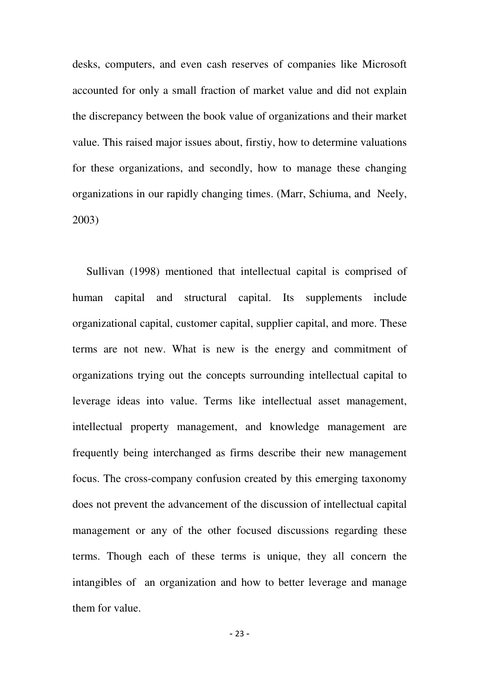desks, computers, and even cash reserves of companies like Microsoft accounted for only a small fraction of market value and did not explain the discrepancy between the book value of organizations and their market value. This raised major issues about, firstiy, how to determine valuations for these organizations, and secondly, how to manage these changing organizations in our rapidly changing times. (Marr, Schiuma, and Neely, 2003)

 Sullivan (1998) mentioned that intellectual capital is comprised of human capital and structural capital. Its supplements include organizational capital, customer capital, supplier capital, and more. These terms are not new. What is new is the energy and commitment of organizations trying out the concepts surrounding intellectual capital to leverage ideas into value. Terms like intellectual asset management, intellectual property management, and knowledge management are frequently being interchanged as firms describe their new management focus. The cross-company confusion created by this emerging taxonomy does not prevent the advancement of the discussion of intellectual capital management or any of the other focused discussions regarding these terms. Though each of these terms is unique, they all concern the intangibles of an organization and how to better leverage and manage them for value.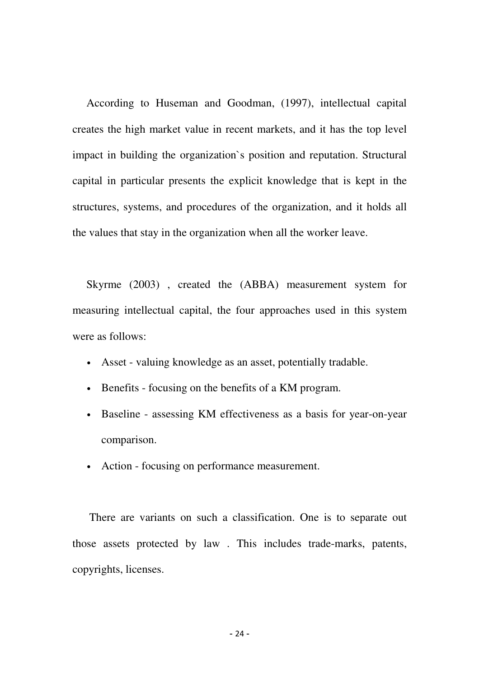According to Huseman and Goodman, (1997), intellectual capital creates the high market value in recent markets, and it has the top level impact in building the organization`s position and reputation. Structural capital in particular presents the explicit knowledge that is kept in the structures, systems, and procedures of the organization, and it holds all the values that stay in the organization when all the worker leave.

 Skyrme (2003) , created the (ABBA) measurement system for measuring intellectual capital, the four approaches used in this system were as follows:

- Asset valuing knowledge as an asset, potentially tradable.
- Benefits focusing on the benefits of a KM program.
- Baseline assessing KM effectiveness as a basis for year-on-year comparison.
- Action focusing on performance measurement.

 There are variants on such a classification. One is to separate out those assets protected by law . This includes trade-marks, patents, copyrights, licenses.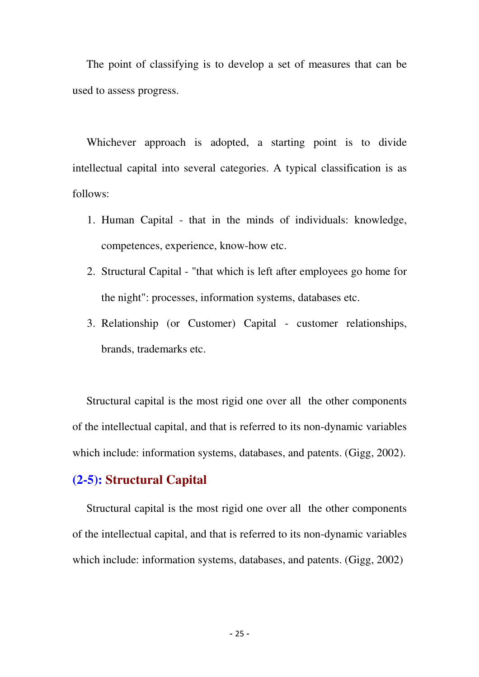The point of classifying is to develop a set of measures that can be used to assess progress.

 Whichever approach is adopted, a starting point is to divide intellectual capital into several categories. A typical classification is as follows:

- 1. Human Capital that in the minds of individuals: knowledge, competences, experience, know-how etc.
- 2. Structural Capital "that which is left after employees go home for the night": processes, information systems, databases etc.
- 3. Relationship (or Customer) Capital customer relationships, brands, trademarks etc.

 Structural capital is the most rigid one over all the other components of the intellectual capital, and that is referred to its non-dynamic variables which include: information systems, databases, and patents. (Gigg, 2002).

## **(2-5): Structural Capital**

 Structural capital is the most rigid one over all the other components of the intellectual capital, and that is referred to its non-dynamic variables which include: information systems, databases, and patents. (Gigg, 2002)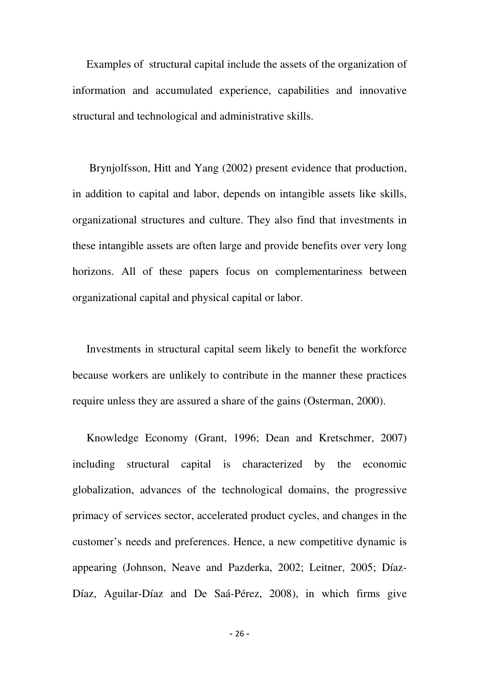Examples of structural capital include the assets of the organization of information and accumulated experience, capabilities and innovative structural and technological and administrative skills.

 Brynjolfsson, Hitt and Yang (2002) present evidence that production, in addition to capital and labor, depends on intangible assets like skills, organizational structures and culture. They also find that investments in these intangible assets are often large and provide benefits over very long horizons. All of these papers focus on complementariness between organizational capital and physical capital or labor.

 Investments in structural capital seem likely to benefit the workforce because workers are unlikely to contribute in the manner these practices require unless they are assured a share of the gains (Osterman, 2000).

 Knowledge Economy (Grant, 1996; Dean and Kretschmer, 2007) including structural capital is characterized by the economic globalization, advances of the technological domains, the progressive primacy of services sector, accelerated product cycles, and changes in the customer's needs and preferences. Hence, a new competitive dynamic is appearing (Johnson, Neave and Pazderka, 2002; Leitner, 2005; Díaz-Díaz, Aguilar-Díaz and De Saá-Pérez, 2008), in which firms give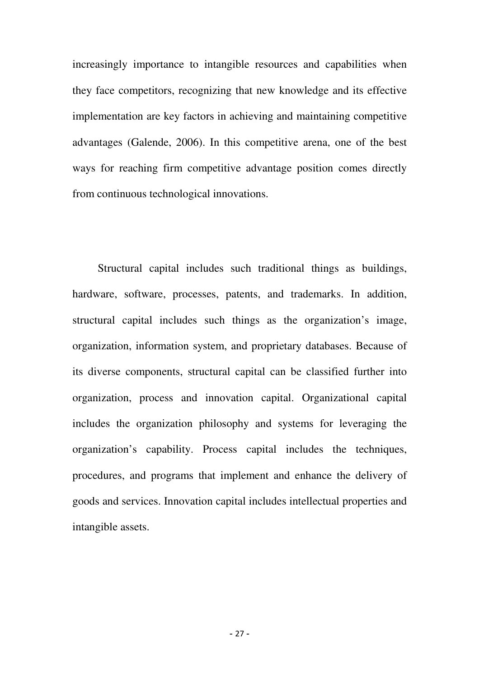increasingly importance to intangible resources and capabilities when they face competitors, recognizing that new knowledge and its effective implementation are key factors in achieving and maintaining competitive advantages (Galende, 2006). In this competitive arena, one of the best ways for reaching firm competitive advantage position comes directly from continuous technological innovations.

 Structural capital includes such traditional things as buildings, hardware, software, processes, patents, and trademarks. In addition, structural capital includes such things as the organization's image, organization, information system, and proprietary databases. Because of its diverse components, structural capital can be classified further into organization, process and innovation capital. Organizational capital includes the organization philosophy and systems for leveraging the organization's capability. Process capital includes the techniques, procedures, and programs that implement and enhance the delivery of goods and services. Innovation capital includes intellectual properties and intangible assets.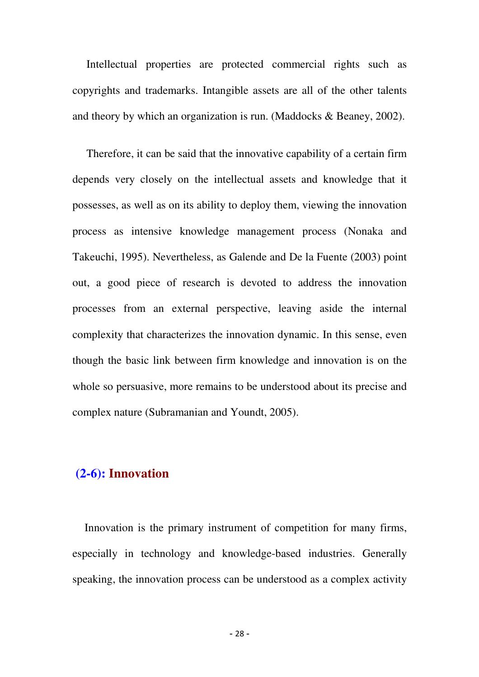Intellectual properties are protected commercial rights such as copyrights and trademarks. Intangible assets are all of the other talents and theory by which an organization is run. (Maddocks & Beaney, 2002).

 Therefore, it can be said that the innovative capability of a certain firm depends very closely on the intellectual assets and knowledge that it possesses, as well as on its ability to deploy them, viewing the innovation process as intensive knowledge management process (Nonaka and Takeuchi, 1995). Nevertheless, as Galende and De la Fuente (2003) point out, a good piece of research is devoted to address the innovation processes from an external perspective, leaving aside the internal complexity that characterizes the innovation dynamic. In this sense, even though the basic link between firm knowledge and innovation is on the whole so persuasive, more remains to be understood about its precise and complex nature (Subramanian and Youndt, 2005).

## **(2-6): Innovation**

 Innovation is the primary instrument of competition for many firms, especially in technology and knowledge-based industries. Generally speaking, the innovation process can be understood as a complex activity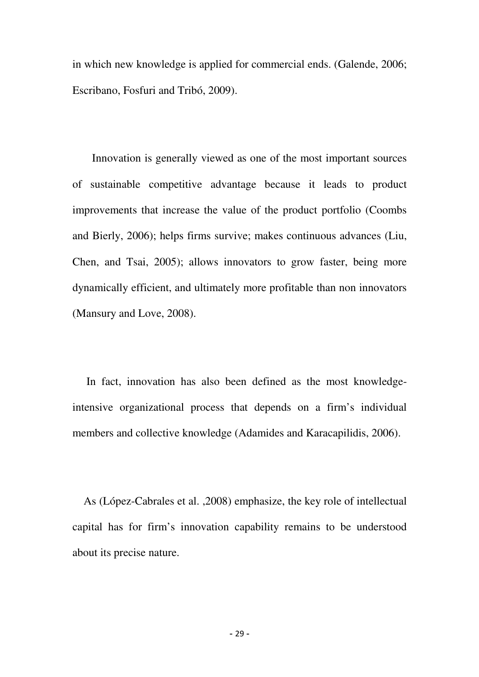in which new knowledge is applied for commercial ends. (Galende, 2006; Escribano, Fosfuri and Tribó, 2009).

 Innovation is generally viewed as one of the most important sources of sustainable competitive advantage because it leads to product improvements that increase the value of the product portfolio (Coombs and Bierly, 2006); helps firms survive; makes continuous advances (Liu, Chen, and Tsai, 2005); allows innovators to grow faster, being more dynamically efficient, and ultimately more profitable than non innovators (Mansury and Love, 2008).

 In fact, innovation has also been defined as the most knowledgeintensive organizational process that depends on a firm's individual members and collective knowledge (Adamides and Karacapilidis, 2006).

 As (López-Cabrales et al. ,2008) emphasize, the key role of intellectual capital has for firm's innovation capability remains to be understood about its precise nature.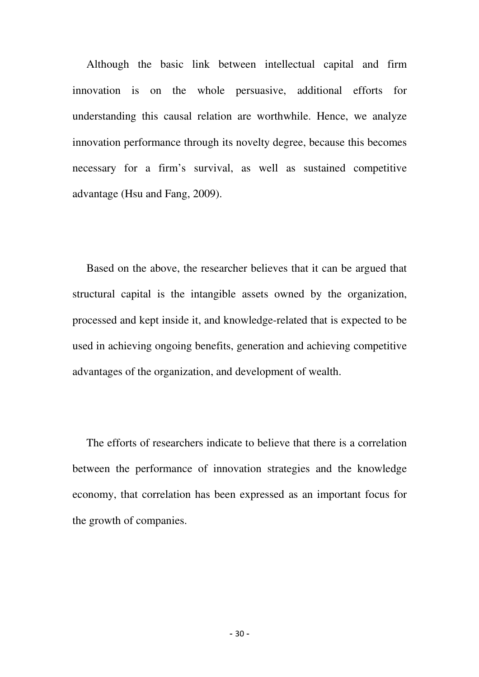Although the basic link between intellectual capital and firm innovation is on the whole persuasive, additional efforts for understanding this causal relation are worthwhile. Hence, we analyze innovation performance through its novelty degree, because this becomes necessary for a firm's survival, as well as sustained competitive advantage (Hsu and Fang, 2009).

 Based on the above, the researcher believes that it can be argued that structural capital is the intangible assets owned by the organization, processed and kept inside it, and knowledge-related that is expected to be used in achieving ongoing benefits, generation and achieving competitive advantages of the organization, and development of wealth.

 The efforts of researchers indicate to believe that there is a correlation between the performance of innovation strategies and the knowledge economy, that correlation has been expressed as an important focus for the growth of companies.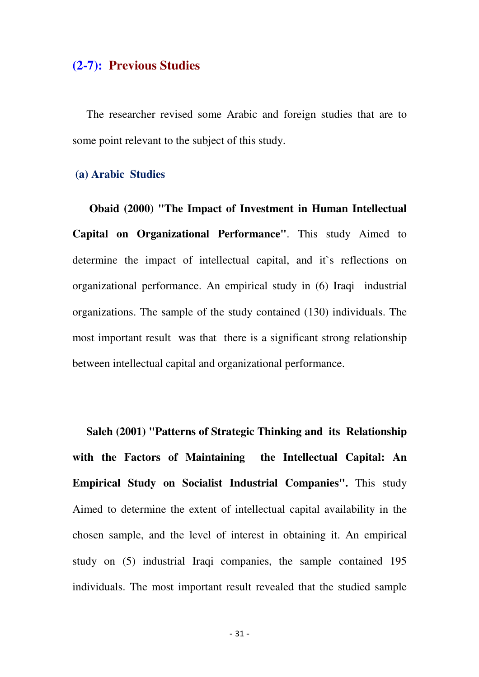## **(2-7): Previous Studies**

 The researcher revised some Arabic and foreign studies that are to some point relevant to the subject of this study.

#### **(a) Arabic Studies**

 **Obaid (2000) "The Impact of Investment in Human Intellectual Capital on Organizational Performance"**. This study Aimed to determine the impact of intellectual capital, and it`s reflections on organizational performance. An empirical study in (6) Iraqi industrial organizations. The sample of the study contained (130) individuals. The most important result was that there is a significant strong relationship between intellectual capital and organizational performance.

 **Saleh (2001) "Patterns of Strategic Thinking and its Relationship with the Factors of Maintaining the Intellectual Capital: An Empirical Study on Socialist Industrial Companies".** This study Aimed to determine the extent of intellectual capital availability in the chosen sample, and the level of interest in obtaining it. An empirical study on (5) industrial Iraqi companies, the sample contained 195 individuals. The most important result revealed that the studied sample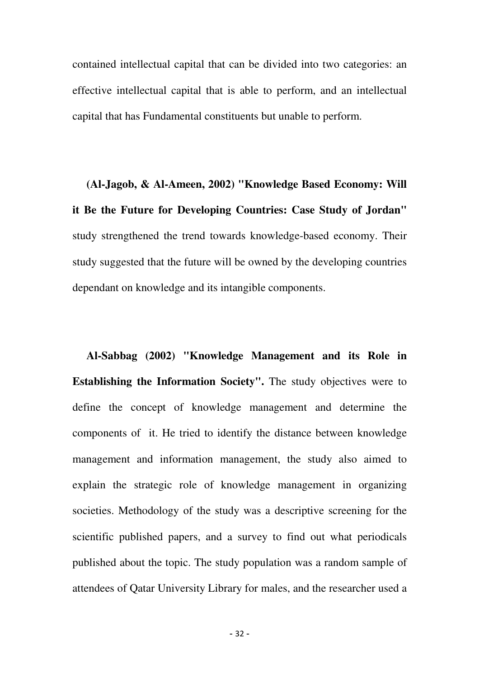contained intellectual capital that can be divided into two categories: an effective intellectual capital that is able to perform, and an intellectual capital that has Fundamental constituents but unable to perform.

 **(Al-Jagob, & Al-Ameen, 2002) "Knowledge Based Economy: Will it Be the Future for Developing Countries: Case Study of Jordan"** study strengthened the trend towards knowledge-based economy. Their study suggested that the future will be owned by the developing countries dependant on knowledge and its intangible components.

 **Al-Sabbag (2002) "Knowledge Management and its Role in Establishing the Information Society".** The study objectives were to define the concept of knowledge management and determine the components of it. He tried to identify the distance between knowledge management and information management, the study also aimed to explain the strategic role of knowledge management in organizing societies. Methodology of the study was a descriptive screening for the scientific published papers, and a survey to find out what periodicals published about the topic. The study population was a random sample of attendees of Qatar University Library for males, and the researcher used a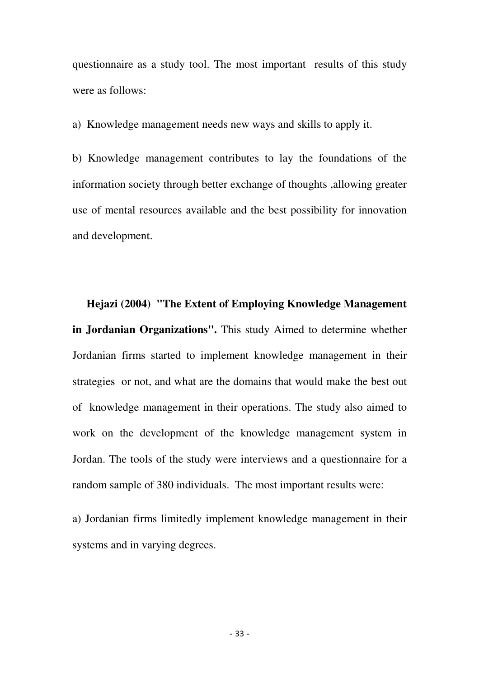questionnaire as a study tool. The most important results of this study were as follows:

a) Knowledge management needs new ways and skills to apply it.

b) Knowledge management contributes to lay the foundations of the information society through better exchange of thoughts ,allowing greater use of mental resources available and the best possibility for innovation and development.

 **Hejazi (2004) "The Extent of Employing Knowledge Management in Jordanian Organizations".** This study Aimed to determine whether Jordanian firms started to implement knowledge management in their strategies or not, and what are the domains that would make the best out of knowledge management in their operations. The study also aimed to work on the development of the knowledge management system in Jordan. The tools of the study were interviews and a questionnaire for a random sample of 380 individuals. The most important results were:

a) Jordanian firms limitedly implement knowledge management in their systems and in varying degrees.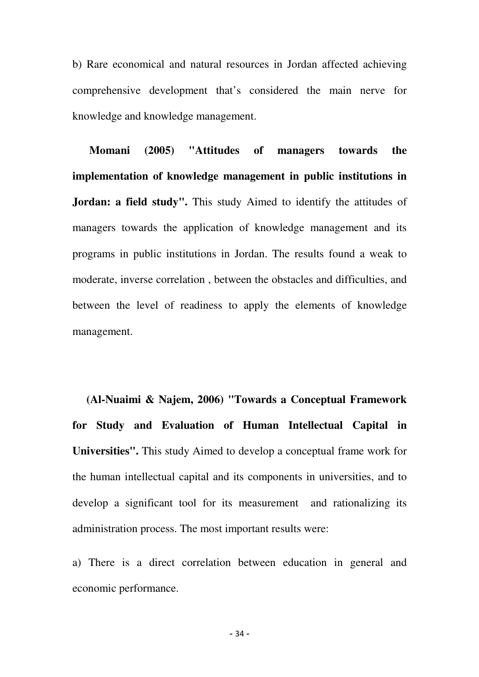b) Rare economical and natural resources in Jordan affected achieving comprehensive development that's considered the main nerve for knowledge and knowledge management.

 **Momani (2005) "Attitudes of managers towards the implementation of knowledge management in public institutions in Jordan: a field study".** This study Aimed to identify the attitudes of managers towards the application of knowledge management and its programs in public institutions in Jordan. The results found a weak to moderate, inverse correlation , between the obstacles and difficulties, and between the level of readiness to apply the elements of knowledge management.

 **(Al-Nuaimi & Najem, 2006) "Towards a Conceptual Framework for Study and Evaluation of Human Intellectual Capital in Universities".** This study Aimed to develop a conceptual frame work for the human intellectual capital and its components in universities, and to develop a significant tool for its measurement and rationalizing its administration process. The most important results were:

a) There is a direct correlation between education in general and economic performance.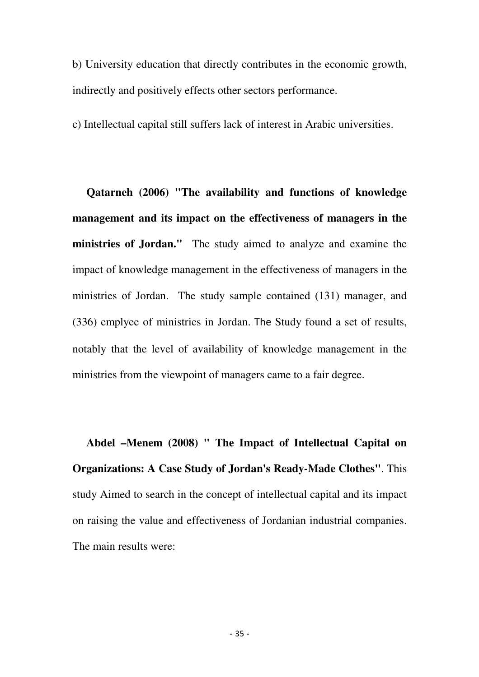b) University education that directly contributes in the economic growth, indirectly and positively effects other sectors performance.

c) Intellectual capital still suffers lack of interest in Arabic universities.

 **Qatarneh (2006) "The availability and functions of knowledge management and its impact on the effectiveness of managers in the ministries of Jordan."** The study aimed to analyze and examine the impact of knowledge management in the effectiveness of managers in the ministries of Jordan. The study sample contained (131) manager, and (336) emplyee of ministries in Jordan. The Study found a set of results, notably that the level of availability of knowledge management in the ministries from the viewpoint of managers came to a fair degree.

 **Abdel –Menem (2008) " The Impact of Intellectual Capital on Organizations: A Case Study of Jordan's Ready-Made Clothes"**. This study Aimed to search in the concept of intellectual capital and its impact on raising the value and effectiveness of Jordanian industrial companies. The main results were: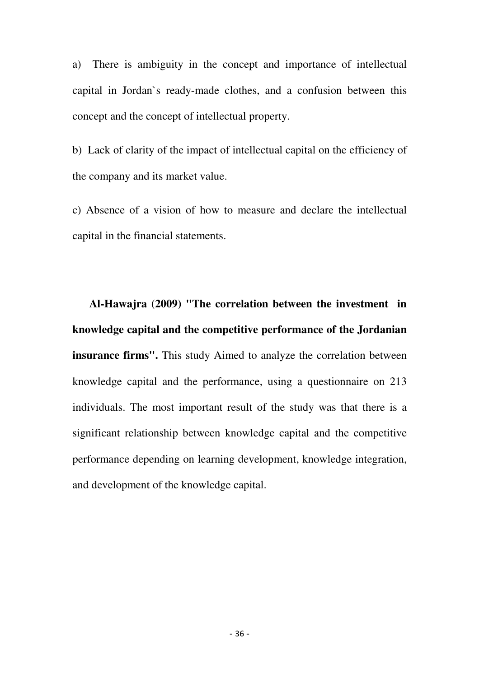a) There is ambiguity in the concept and importance of intellectual capital in Jordan`s ready-made clothes, and a confusion between this concept and the concept of intellectual property.

b) Lack of clarity of the impact of intellectual capital on the efficiency of the company and its market value.

c) Absence of a vision of how to measure and declare the intellectual capital in the financial statements.

 **Al-Hawajra (2009) "The correlation between the investment in knowledge capital and the competitive performance of the Jordanian insurance firms".** This study Aimed to analyze the correlation between knowledge capital and the performance, using a questionnaire on 213 individuals. The most important result of the study was that there is a significant relationship between knowledge capital and the competitive performance depending on learning development, knowledge integration, and development of the knowledge capital.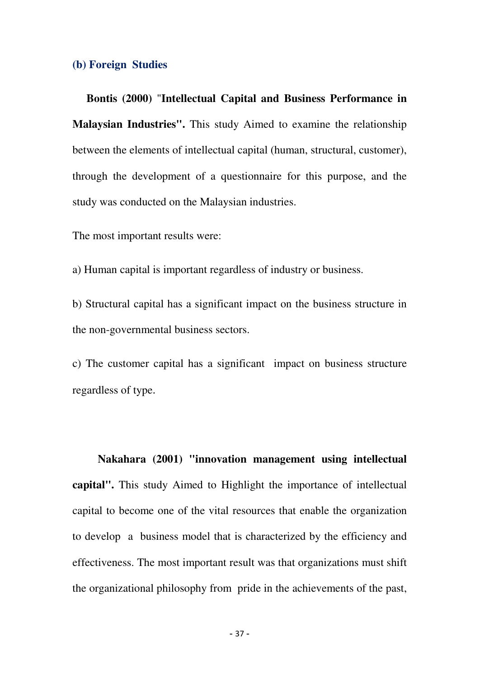#### **(b) Foreign Studies**

 **Bontis (2000)** "**Intellectual Capital and Business Performance in Malaysian Industries".** This study Aimed to examine the relationship between the elements of intellectual capital (human, structural, customer), through the development of a questionnaire for this purpose, and the study was conducted on the Malaysian industries.

The most important results were:

a) Human capital is important regardless of industry or business.

b) Structural capital has a significant impact on the business structure in the non-governmental business sectors.

c) The customer capital has a significant impact on business structure regardless of type.

 **Nakahara (2001) "innovation management using intellectual capital".** This study Aimed to Highlight the importance of intellectual capital to become one of the vital resources that enable the organization to develop a business model that is characterized by the efficiency and effectiveness. The most important result was that organizations must shift the organizational philosophy from pride in the achievements of the past,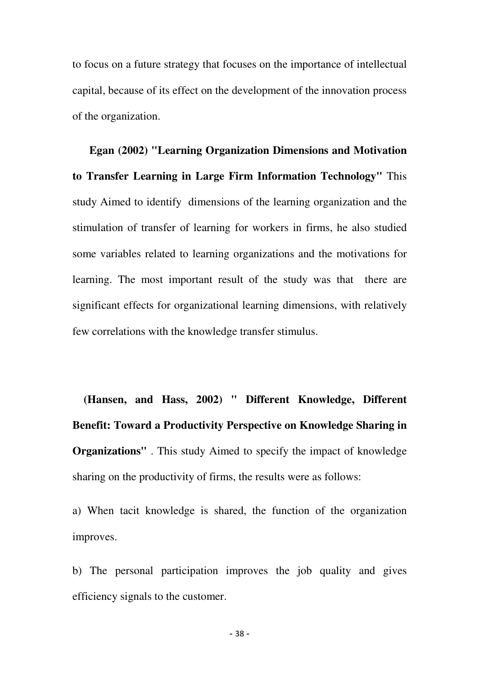to focus on a future strategy that focuses on the importance of intellectual capital, because of its effect on the development of the innovation process of the organization.

 **Egan (2002) "Learning Organization Dimensions and Motivation to Transfer Learning in Large Firm Information Technology"** This study Aimed to identify dimensions of the learning organization and the stimulation of transfer of learning for workers in firms, he also studied some variables related to learning organizations and the motivations for learning. The most important result of the study was that there are significant effects for organizational learning dimensions, with relatively few correlations with the knowledge transfer stimulus.

 **(Hansen, and Hass, 2002) " Different Knowledge, Different Benefit: Toward a Productivity Perspective on Knowledge Sharing in Organizations"** . This study Aimed to specify the impact of knowledge sharing on the productivity of firms, the results were as follows:

a) When tacit knowledge is shared, the function of the organization improves.

b) The personal participation improves the job quality and gives efficiency signals to the customer.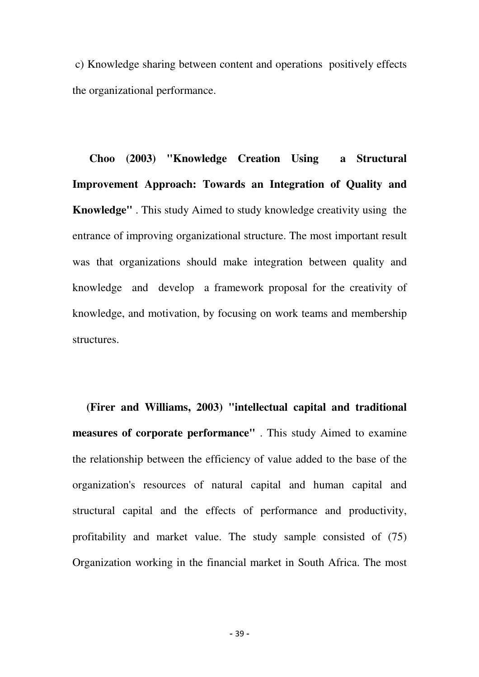c) Knowledge sharing between content and operations positively effects the organizational performance.

 **Choo (2003) "Knowledge Creation Using a Structural Improvement Approach: Towards an Integration of Quality and Knowledge"** . This study Aimed to study knowledge creativity using the entrance of improving organizational structure. The most important result was that organizations should make integration between quality and knowledge and develop a framework proposal for the creativity of knowledge, and motivation, by focusing on work teams and membership structures.

 **(Firer and Williams, 2003) "intellectual capital and traditional measures of corporate performance"** . This study Aimed to examine the relationship between the efficiency of value added to the base of the organization's resources of natural capital and human capital and structural capital and the effects of performance and productivity, profitability and market value. The study sample consisted of (75) Organization working in the financial market in South Africa. The most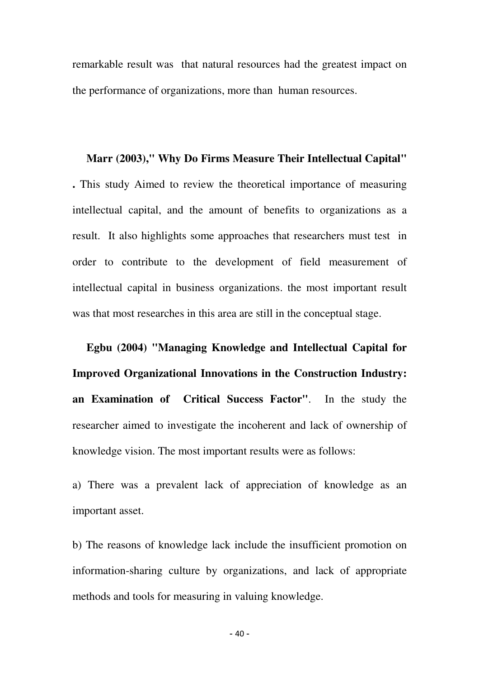remarkable result was that natural resources had the greatest impact on the performance of organizations, more than human resources.

#### **Marr (2003)," Why Do Firms Measure Their Intellectual Capital"**

**.** This study Aimed to review the theoretical importance of measuring intellectual capital, and the amount of benefits to organizations as a result. It also highlights some approaches that researchers must test in order to contribute to the development of field measurement of intellectual capital in business organizations. the most important result was that most researches in this area are still in the conceptual stage.

 **Egbu (2004) "Managing Knowledge and Intellectual Capital for Improved Organizational Innovations in the Construction Industry: an Examination of Critical Success Factor"**. In the study the researcher aimed to investigate the incoherent and lack of ownership of knowledge vision. The most important results were as follows:

a) There was a prevalent lack of appreciation of knowledge as an important asset.

b) The reasons of knowledge lack include the insufficient promotion on information-sharing culture by organizations, and lack of appropriate methods and tools for measuring in valuing knowledge.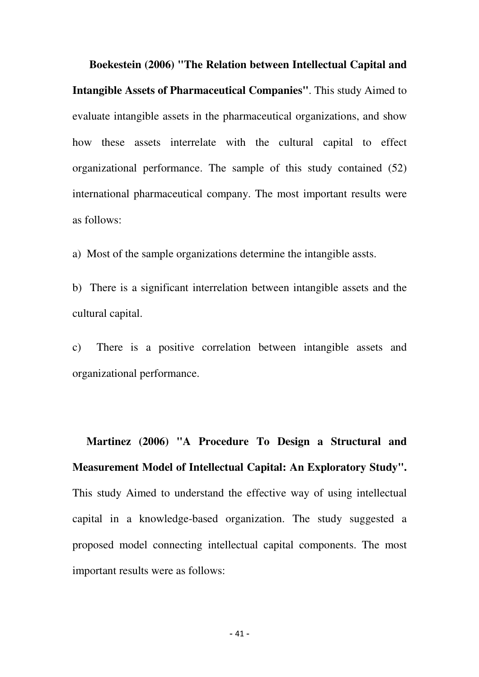**Boekestein (2006) "The Relation between Intellectual Capital and Intangible Assets of Pharmaceutical Companies"**. This study Aimed to evaluate intangible assets in the pharmaceutical organizations, and show how these assets interrelate with the cultural capital to effect organizational performance. The sample of this study contained (52) international pharmaceutical company. The most important results were as follows:

a) Most of the sample organizations determine the intangible assts.

b) There is a significant interrelation between intangible assets and the cultural capital.

c) There is a positive correlation between intangible assets and organizational performance.

 **Martinez (2006) "A Procedure To Design a Structural and Measurement Model of Intellectual Capital: An Exploratory Study".**  This study Aimed to understand the effective way of using intellectual capital in a knowledge-based organization. The study suggested a proposed model connecting intellectual capital components. The most important results were as follows: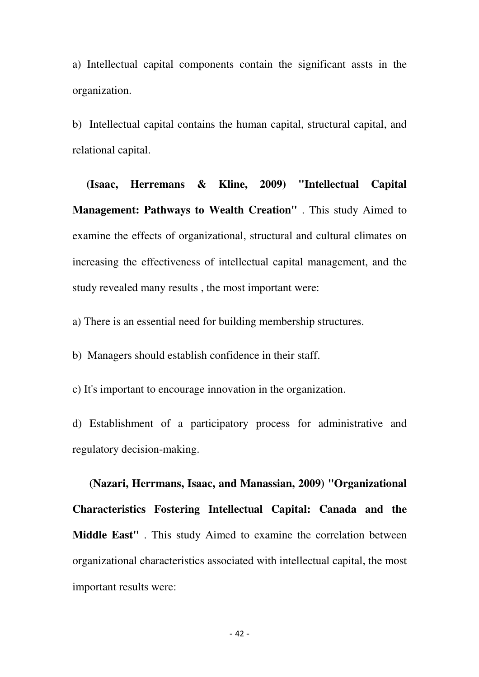a) Intellectual capital components contain the significant assts in the organization.

b) Intellectual capital contains the human capital, structural capital, and relational capital.

 **(Isaac, Herremans & Kline, 2009) "Intellectual Capital Management: Pathways to Wealth Creation"** . This study Aimed to examine the effects of organizational, structural and cultural climates on increasing the effectiveness of intellectual capital management, and the study revealed many results , the most important were:

a) There is an essential need for building membership structures.

b) Managers should establish confidence in their staff.

c) It's important to encourage innovation in the organization.

d) Establishment of a participatory process for administrative and regulatory decision-making.

 **(Nazari, Herrmans, Isaac, and Manassian, 2009) "Organizational Characteristics Fostering Intellectual Capital: Canada and the Middle East"** . This study Aimed to examine the correlation between organizational characteristics associated with intellectual capital, the most important results were: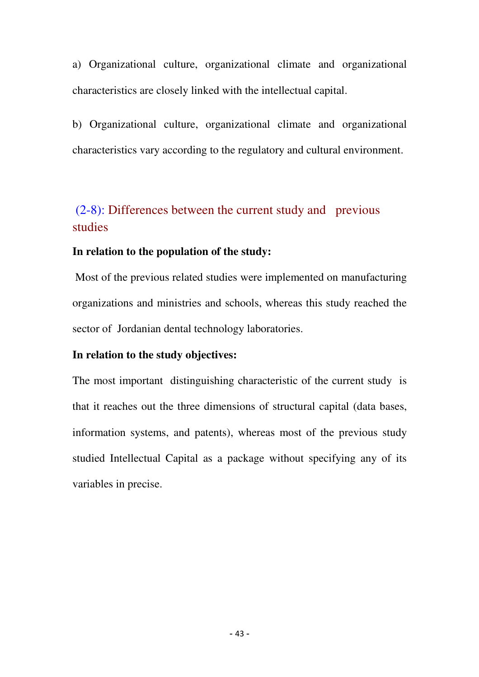a) Organizational culture, organizational climate and organizational characteristics are closely linked with the intellectual capital.

b) Organizational culture, organizational climate and organizational characteristics vary according to the regulatory and cultural environment.

## (2-8): Differences between the current study and previous studies

#### **In relation to the population of the study:**

 Most of the previous related studies were implemented on manufacturing organizations and ministries and schools, whereas this study reached the sector of Jordanian dental technology laboratories.

#### **In relation to the study objectives:**

The most important distinguishing characteristic of the current study is that it reaches out the three dimensions of structural capital (data bases, information systems, and patents), whereas most of the previous study studied Intellectual Capital as a package without specifying any of its variables in precise.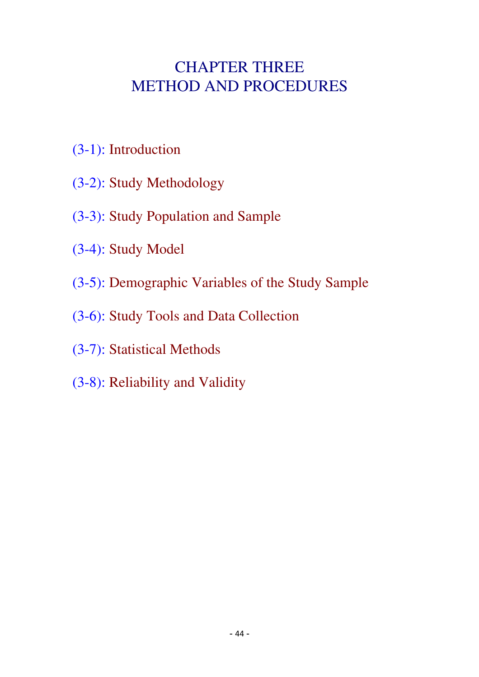# CHAPTER THREE METHOD AND PROCEDURES

- (3-1): Introduction
- (3-2): Study Methodology
- (3-3): Study Population and Sample
- (3-4): Study Model
- (3-5): Demographic Variables of the Study Sample
- (3-6): Study Tools and Data Collection
- (3-7): Statistical Methods
- (3-8): Reliability and Validity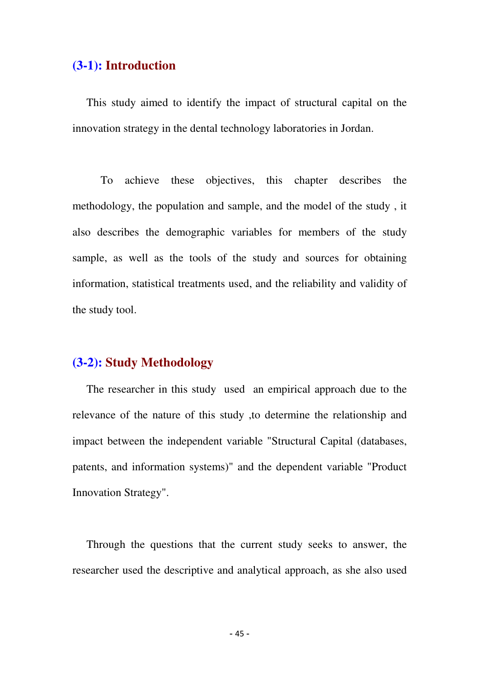## **(3-1): Introduction**

 This study aimed to identify the impact of structural capital on the innovation strategy in the dental technology laboratories in Jordan.

 To achieve these objectives, this chapter describes the methodology, the population and sample, and the model of the study , it also describes the demographic variables for members of the study sample, as well as the tools of the study and sources for obtaining information, statistical treatments used, and the reliability and validity of the study tool.

### **(3-2): Study Methodology**

 The researcher in this study used an empirical approach due to the relevance of the nature of this study ,to determine the relationship and impact between the independent variable "Structural Capital (databases, patents, and information systems)" and the dependent variable "Product Innovation Strategy".

 Through the questions that the current study seeks to answer, the researcher used the descriptive and analytical approach, as she also used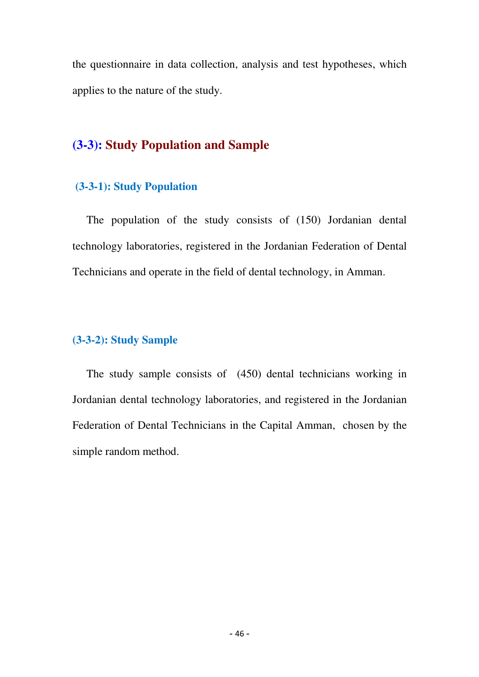the questionnaire in data collection, analysis and test hypotheses, which applies to the nature of the study.

## **(3-3): Study Population and Sample**

## **(3-3-1): Study Population**

 The population of the study consists of (150) Jordanian dental technology laboratories, registered in the Jordanian Federation of Dental Technicians and operate in the field of dental technology, in Amman.

## **(3-3-2): Study Sample**

 The study sample consists of (450) dental technicians working in Jordanian dental technology laboratories, and registered in the Jordanian Federation of Dental Technicians in the Capital Amman, chosen by the simple random method.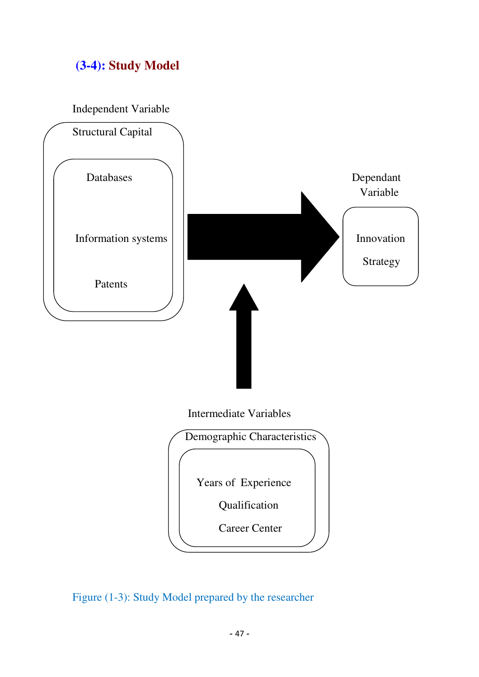## **(3-4): Study Model**

Independent Variable



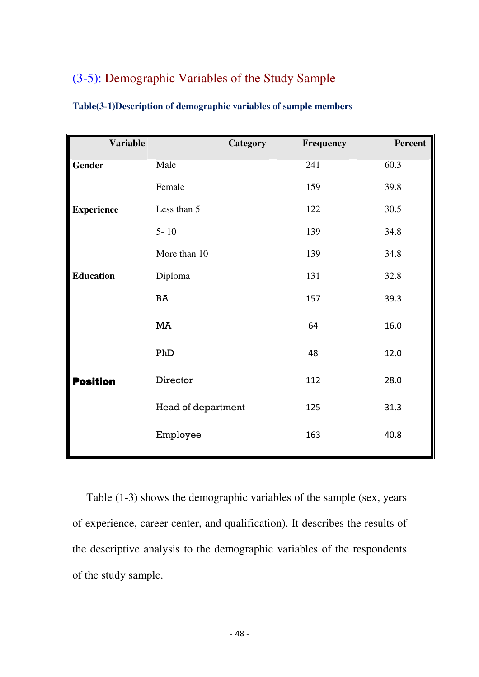## (3-5): Demographic Variables of the Study Sample

| <b>Variable</b>   |                           | <b>Category</b> | Frequency | Percent |
|-------------------|---------------------------|-----------------|-----------|---------|
| Gender            | Male                      |                 | 241       | 60.3    |
|                   | Female                    |                 | 159       | 39.8    |
| <b>Experience</b> | Less than 5               |                 | 122       | 30.5    |
|                   | $5 - 10$                  |                 | 139       | 34.8    |
|                   | More than 10              |                 | 139       | 34.8    |
| <b>Education</b>  | Diploma                   |                 | 131       | 32.8    |
|                   | BA                        |                 | 157       | 39.3    |
|                   | MA                        |                 | 64        | 16.0    |
|                   | PhD                       |                 | 48        | 12.0    |
| <b>Position</b>   | Director                  |                 | 112       | 28.0    |
|                   | <b>Head of department</b> |                 | 125       | 31.3    |
|                   | Employee                  |                 | 163       | 40.8    |
|                   |                           |                 |           |         |

| Table(3-1)Description of demographic variables of sample members |  |  |
|------------------------------------------------------------------|--|--|
|                                                                  |  |  |
|                                                                  |  |  |

 Table (1-3) shows the demographic variables of the sample (sex, years of experience, career center, and qualification). It describes the results of the descriptive analysis to the demographic variables of the respondents of the study sample.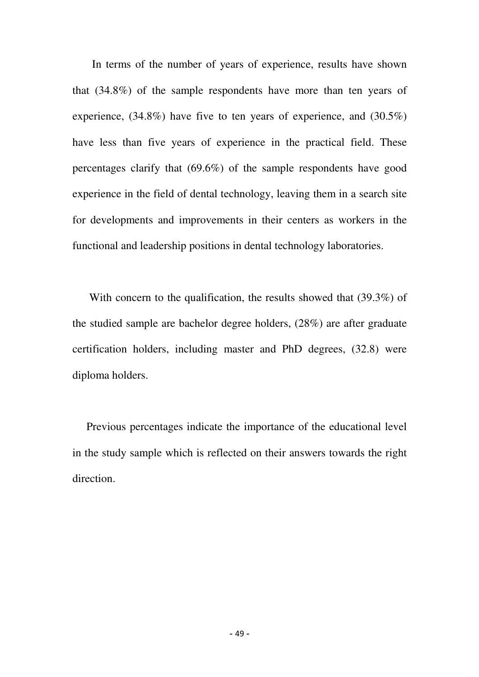In terms of the number of years of experience, results have shown that (34.8%) of the sample respondents have more than ten years of experience, (34.8%) have five to ten years of experience, and (30.5%) have less than five years of experience in the practical field. These percentages clarify that (69.6%) of the sample respondents have good experience in the field of dental technology, leaving them in a search site for developments and improvements in their centers as workers in the functional and leadership positions in dental technology laboratories.

With concern to the qualification, the results showed that (39.3%) of the studied sample are bachelor degree holders, (28%) are after graduate certification holders, including master and PhD degrees, (32.8) were diploma holders.

 Previous percentages indicate the importance of the educational level in the study sample which is reflected on their answers towards the right direction.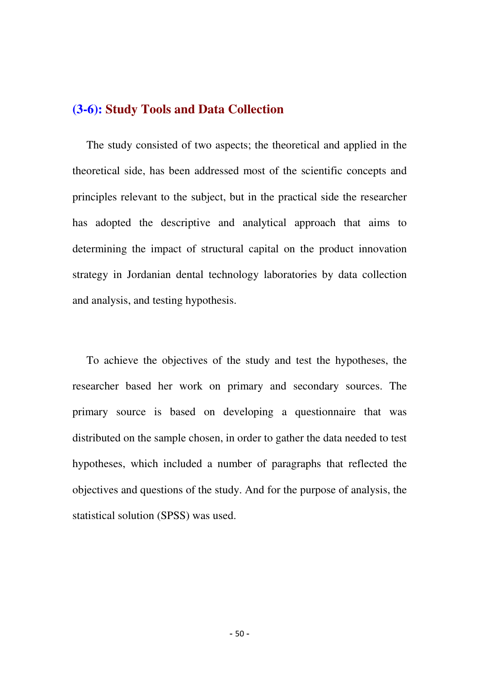## **(3-6): Study Tools and Data Collection**

 The study consisted of two aspects; the theoretical and applied in the theoretical side, has been addressed most of the scientific concepts and principles relevant to the subject, but in the practical side the researcher has adopted the descriptive and analytical approach that aims to determining the impact of structural capital on the product innovation strategy in Jordanian dental technology laboratories by data collection and analysis, and testing hypothesis.

 To achieve the objectives of the study and test the hypotheses, the researcher based her work on primary and secondary sources. The primary source is based on developing a questionnaire that was distributed on the sample chosen, in order to gather the data needed to test hypotheses, which included a number of paragraphs that reflected the objectives and questions of the study. And for the purpose of analysis, the statistical solution (SPSS) was used.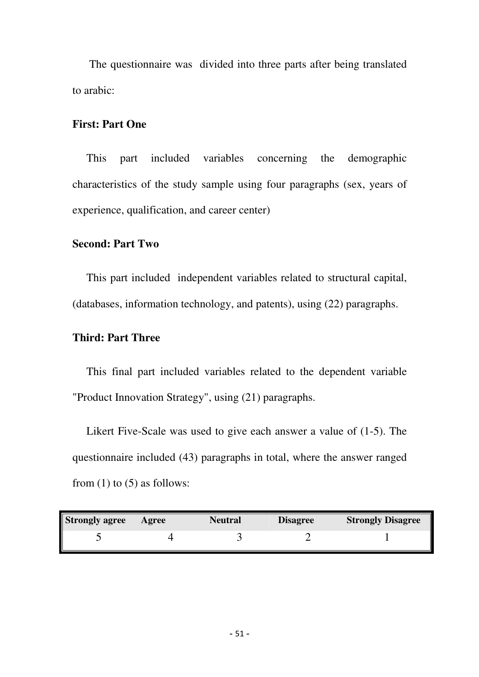The questionnaire was divided into three parts after being translated to arabic:

#### **First: Part One**

 This part included variables concerning the demographic characteristics of the study sample using four paragraphs (sex, years of experience, qualification, and career center)

#### **Second: Part Two**

 This part included independent variables related to structural capital, (databases, information technology, and patents), using (22) paragraphs.

#### **Third: Part Three**

 This final part included variables related to the dependent variable "Product Innovation Strategy", using (21) paragraphs.

 Likert Five-Scale was used to give each answer a value of (1-5). The questionnaire included (43) paragraphs in total, where the answer ranged from  $(1)$  to  $(5)$  as follows:

| <b>Strongly agree</b> | Agree | <b>Neutral</b> | <b>Disagree</b> | <b>Strongly Disagree</b> |
|-----------------------|-------|----------------|-----------------|--------------------------|
|                       |       |                |                 |                          |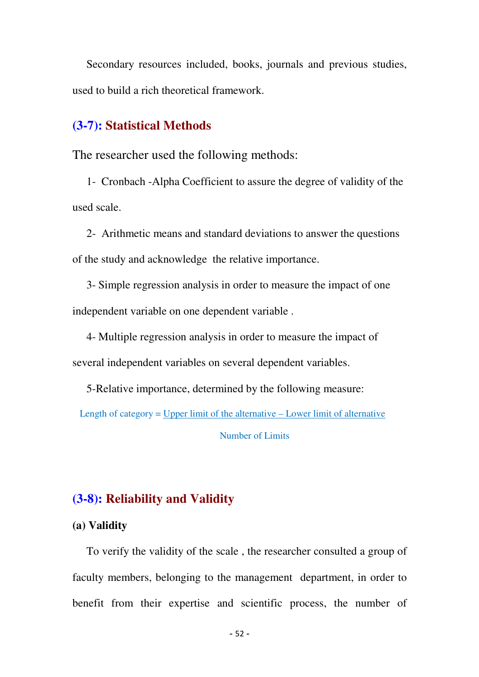Secondary resources included, books, journals and previous studies, used to build a rich theoretical framework.

## **(3-7): Statistical Methods**

The researcher used the following methods:

 1- Cronbach -Alpha Coefficient to assure the degree of validity of the used scale.

 2- Arithmetic means and standard deviations to answer the questions of the study and acknowledge the relative importance.

 3- Simple regression analysis in order to measure the impact of one independent variable on one dependent variable .

 4- Multiple regression analysis in order to measure the impact of several independent variables on several dependent variables.

5-Relative importance, determined by the following measure:

Length of category = Upper limit of the alternative – Lower limit of alternative

Number of Limits

## **(3-8): Reliability and Validity**

#### **(a) Validity**

 To verify the validity of the scale , the researcher consulted a group of faculty members, belonging to the management department, in order to benefit from their expertise and scientific process, the number of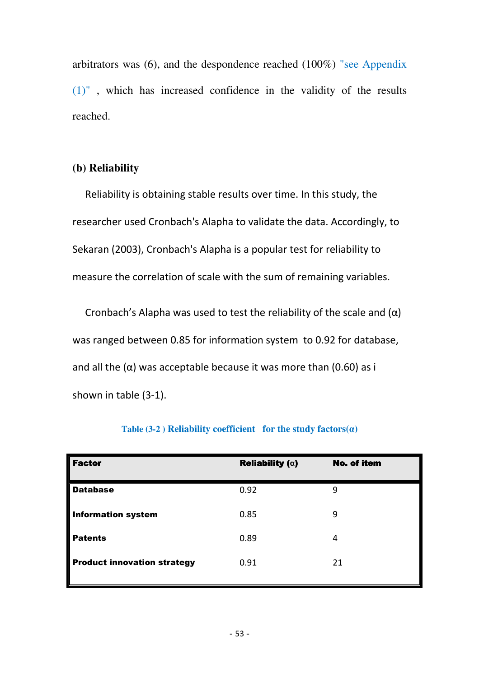arbitrators was (6), and the despondence reached (100%) "see Appendix (1)" , which has increased confidence in the validity of the results reached.

#### **(b) Reliability**

 Reliability is obtaining stable results over time. In this study, the researcher used Cronbach's Alapha to validate the data. Accordingly, to Sekaran (2003), Cronbach's Alapha is a popular test for reliability to measure the correlation of scale with the sum of remaining variables.

Cronbach's Alapha was used to test the reliability of the scale and  $(\alpha)$ was ranged between 0.85 for information system to 0.92 for database, and all the  $(\alpha)$  was acceptable because it was more than  $(0.60)$  as i shown in table (3-1).

| <b>Factor</b>                      | <b>Reliability (<math>\alpha</math>)</b> | <b>No. of item</b> |
|------------------------------------|------------------------------------------|--------------------|
| <b>Database</b>                    | 0.92                                     | 9                  |
| <b>Information system</b>          | 0.85                                     | 9                  |
| <b>Patents</b>                     | 0.89                                     | 4                  |
| <b>Product innovation strategy</b> | 0.91                                     | 21                 |
|                                    |                                          |                    |

#### **Table (3-2) Reliability coefficient for the study factors(** $\alpha$ **)**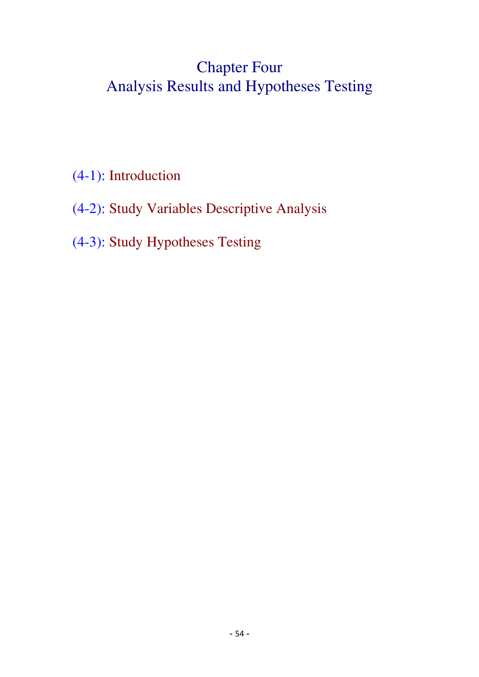# Chapter Four Analysis Results and Hypotheses Testing

- (4-1): Introduction
- (4-2): Study Variables Descriptive Analysis
- (4-3): Study Hypotheses Testing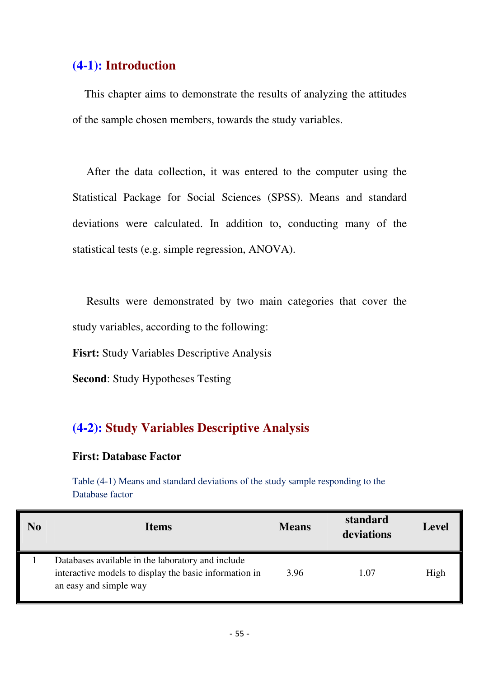## **(4-1): Introduction**

 This chapter aims to demonstrate the results of analyzing the attitudes of the sample chosen members, towards the study variables.

 After the data collection, it was entered to the computer using the Statistical Package for Social Sciences (SPSS). Means and standard deviations were calculated. In addition to, conducting many of the statistical tests (e.g. simple regression, ANOVA).

 Results were demonstrated by two main categories that cover the study variables, according to the following:

**Fisrt:** Study Variables Descriptive Analysis

**Second**: Study Hypotheses Testing

## **(4-2): Study Variables Descriptive Analysis**

#### **First: Database Factor**

Table (4-1) Means and standard deviations of the study sample responding to the Database factor

| No | <b>Items</b>                                                                                                                          | <b>Means</b> | standard<br>deviations | <b>Level</b> |
|----|---------------------------------------------------------------------------------------------------------------------------------------|--------------|------------------------|--------------|
|    | Databases available in the laboratory and include<br>interactive models to display the basic information in<br>an easy and simple way | 3.96         | 1.07                   | High         |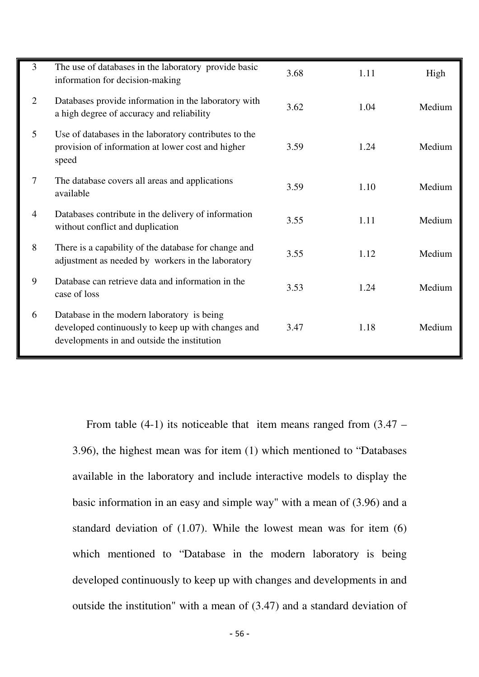| 3              | The use of databases in the laboratory provide basic<br>information for decision-making                                                         | 3.68 | 1.11 | High   |
|----------------|-------------------------------------------------------------------------------------------------------------------------------------------------|------|------|--------|
| 2              | Databases provide information in the laboratory with<br>a high degree of accuracy and reliability                                               | 3.62 | 1.04 | Medium |
| 5              | Use of databases in the laboratory contributes to the<br>provision of information at lower cost and higher<br>speed                             | 3.59 | 1.24 | Medium |
| $\tau$         | The database covers all areas and applications<br>available                                                                                     | 3.59 | 1.10 | Medium |
| $\overline{4}$ | Databases contribute in the delivery of information<br>without conflict and duplication                                                         | 3.55 | 1.11 | Medium |
| 8              | There is a capability of the database for change and<br>adjustment as needed by workers in the laboratory                                       | 3.55 | 1.12 | Medium |
| 9              | Database can retrieve data and information in the<br>case of loss                                                                               | 3.53 | 1.24 | Medium |
| 6              | Database in the modern laboratory is being<br>developed continuously to keep up with changes and<br>developments in and outside the institution | 3.47 | 1.18 | Medium |

From table  $(4-1)$  its noticeable that item means ranged from  $(3.47 -$ 3.96), the highest mean was for item (1) which mentioned to "Databases available in the laboratory and include interactive models to display the basic information in an easy and simple way" with a mean of (3.96) and a standard deviation of (1.07). While the lowest mean was for item (6) which mentioned to "Database in the modern laboratory is being developed continuously to keep up with changes and developments in and outside the institution" with a mean of (3.47) and a standard deviation of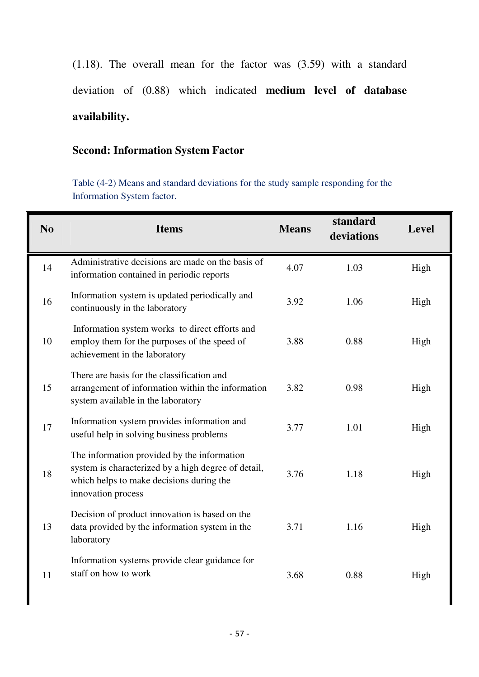(1.18). The overall mean for the factor was (3.59) with a standard deviation of (0.88) which indicated **medium level of database availability.**

## **Second: Information System Factor**

Table (4-2) Means and standard deviations for the study sample responding for the Information System factor.

| N <sub>0</sub> | <b>Items</b>                                                                                                                                                         | <b>Means</b> | standard<br>deviations | Level |
|----------------|----------------------------------------------------------------------------------------------------------------------------------------------------------------------|--------------|------------------------|-------|
| 14             | Administrative decisions are made on the basis of<br>information contained in periodic reports                                                                       | 4.07         | 1.03                   | High  |
| 16             | Information system is updated periodically and<br>continuously in the laboratory                                                                                     | 3.92         | 1.06                   | High  |
| 10             | Information system works to direct efforts and<br>employ them for the purposes of the speed of<br>achievement in the laboratory                                      | 3.88         | 0.88                   | High  |
| 15             | There are basis for the classification and<br>arrangement of information within the information<br>system available in the laboratory                                | 3.82         | 0.98                   | High  |
| 17             | Information system provides information and<br>useful help in solving business problems                                                                              | 3.77         | 1.01                   | High  |
| 18             | The information provided by the information<br>system is characterized by a high degree of detail,<br>which helps to make decisions during the<br>innovation process | 3.76         | 1.18                   | High  |
| 13             | Decision of product innovation is based on the<br>data provided by the information system in the<br>laboratory                                                       | 3.71         | 1.16                   | High  |
| 11             | Information systems provide clear guidance for<br>staff on how to work                                                                                               | 3.68         | 0.88                   | High  |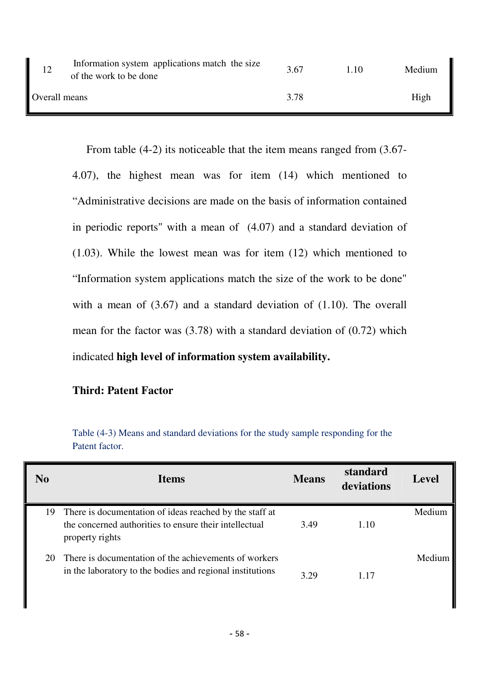| 12            | Information system applications match the size<br>of the work to be done | 3.67 | 1.10 | Medium |
|---------------|--------------------------------------------------------------------------|------|------|--------|
| Overall means |                                                                          | 3.78 |      | High   |

 From table (4-2) its noticeable that the item means ranged from (3.67- 4.07), the highest mean was for item (14) which mentioned to "Administrative decisions are made on the basis of information contained in periodic reports" with a mean of (4.07) and a standard deviation of (1.03). While the lowest mean was for item (12) which mentioned to "Information system applications match the size of the work to be done" with a mean of (3.67) and a standard deviation of (1.10). The overall mean for the factor was (3.78) with a standard deviation of (0.72) which indicated **high level of information system availability.** 

#### **Third: Patent Factor**

| Table (4-3) Means and standard deviations for the study sample responding for the |
|-----------------------------------------------------------------------------------|
| Patent factor.                                                                    |

| N <sub>0</sub> | <b>Items</b>                                                                                                                            | <b>Means</b> | standard<br>deviations | <b>Level</b> |
|----------------|-----------------------------------------------------------------------------------------------------------------------------------------|--------------|------------------------|--------------|
|                | 19 There is documentation of ideas reached by the staff at<br>the concerned authorities to ensure their intellectual<br>property rights | 3.49         | 1.10                   | Medium       |
| 20             | There is documentation of the achievements of workers<br>in the laboratory to the bodies and regional institutions                      | 3.29         | 117                    | Medium       |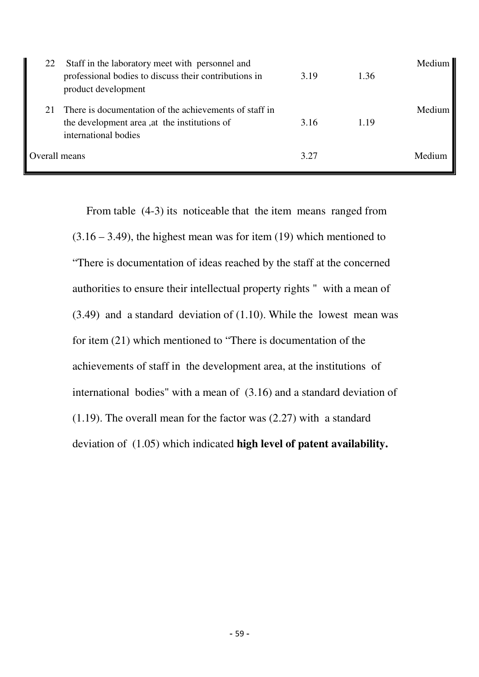| 22 | Staff in the laboratory meet with personnel and<br>professional bodies to discuss their contributions in<br>product development | 3.19 | 1.36 | Medium |
|----|---------------------------------------------------------------------------------------------------------------------------------|------|------|--------|
| 21 | There is documentation of the achievements of staff in<br>the development area, at the institutions of<br>international bodies  | 3.16 | 1.19 | Medium |
|    | Overall means                                                                                                                   | 3.27 |      | Medium |

 From table (4-3) its noticeable that the item means ranged from  $(3.16 - 3.49)$ , the highest mean was for item  $(19)$  which mentioned to "There is documentation of ideas reached by the staff at the concerned authorities to ensure their intellectual property rights " with a mean of (3.49) and a standard deviation of (1.10). While the lowest mean was for item (21) which mentioned to "There is documentation of the achievements of staff in the development area, at the institutions of international bodies" with a mean of (3.16) and a standard deviation of (1.19). The overall mean for the factor was (2.27) with a standard deviation of (1.05) which indicated **high level of patent availability.**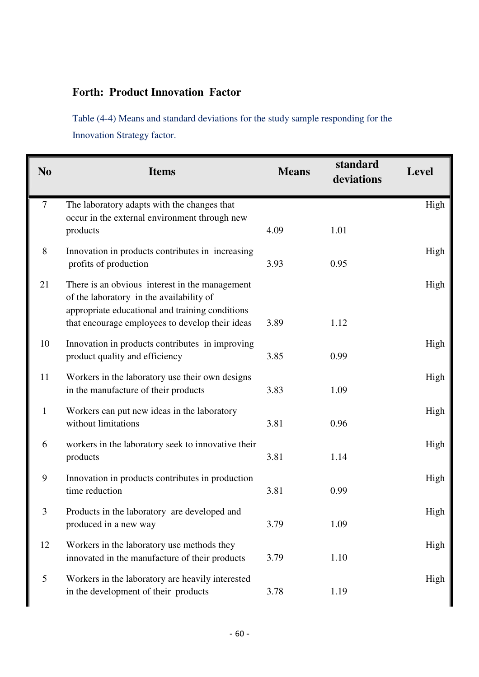### **Forth: Product Innovation Factor**

Table (4-4) Means and standard deviations for the study sample responding for the Innovation Strategy factor.

| N <sub>0</sub> | <b>Items</b>                                                                                                                                                                                     | <b>Means</b> | standard<br>deviations | <b>Level</b> |
|----------------|--------------------------------------------------------------------------------------------------------------------------------------------------------------------------------------------------|--------------|------------------------|--------------|
| $\tau$         | The laboratory adapts with the changes that<br>occur in the external environment through new<br>products                                                                                         | 4.09         | 1.01                   | High         |
| $8\,$          | Innovation in products contributes in increasing<br>profits of production                                                                                                                        | 3.93         | 0.95                   | High         |
| 21             | There is an obvious interest in the management<br>of the laboratory in the availability of<br>appropriate educational and training conditions<br>that encourage employees to develop their ideas | 3.89         | 1.12                   | High         |
| 10             | Innovation in products contributes in improving<br>product quality and efficiency                                                                                                                | 3.85         | 0.99                   | High         |
| 11             | Workers in the laboratory use their own designs<br>in the manufacture of their products                                                                                                          | 3.83         | 1.09                   | High         |
| $\mathbf{1}$   | Workers can put new ideas in the laboratory<br>without limitations                                                                                                                               | 3.81         | 0.96                   | High         |
| 6              | workers in the laboratory seek to innovative their<br>products                                                                                                                                   | 3.81         | 1.14                   | High         |
| 9              | Innovation in products contributes in production<br>time reduction                                                                                                                               | 3.81         | 0.99                   | High         |
| 3              | Products in the laboratory are developed and<br>produced in a new way                                                                                                                            | 3.79         | 1.09                   | High         |
| 12             | Workers in the laboratory use methods they<br>innovated in the manufacture of their products                                                                                                     | 3.79         | 1.10                   | High         |
| 5              | Workers in the laboratory are heavily interested<br>in the development of their products                                                                                                         | 3.78         | 1.19                   | High         |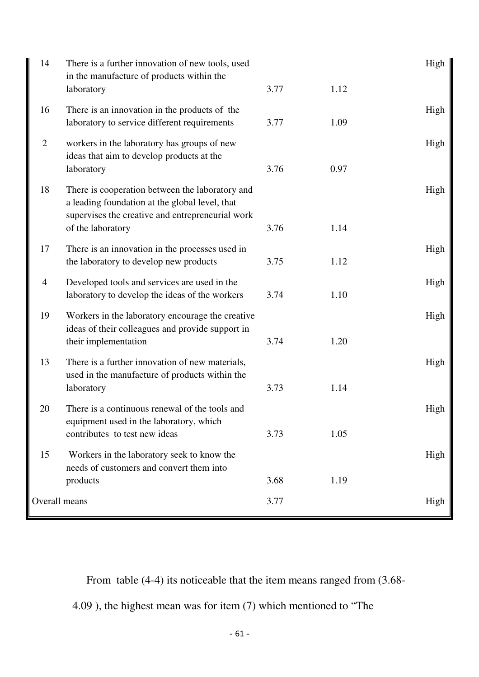| 14             | There is a further innovation of new tools, used<br>in the manufacture of products within the<br>laboratory                                                                | 3.77         | 1.12 | High |
|----------------|----------------------------------------------------------------------------------------------------------------------------------------------------------------------------|--------------|------|------|
| 16             | There is an innovation in the products of the<br>laboratory to service different requirements                                                                              | 3.77         | 1.09 | High |
| $\overline{2}$ | workers in the laboratory has groups of new<br>ideas that aim to develop products at the<br>laboratory                                                                     | 3.76         | 0.97 | High |
| 18             | There is cooperation between the laboratory and<br>a leading foundation at the global level, that<br>supervises the creative and entrepreneurial work<br>of the laboratory | 3.76         | 1.14 | High |
| 17             | There is an innovation in the processes used in<br>the laboratory to develop new products                                                                                  | 3.75         | 1.12 | High |
| $\overline{4}$ | Developed tools and services are used in the<br>laboratory to develop the ideas of the workers                                                                             | 3.74         | 1.10 | High |
| 19             | Workers in the laboratory encourage the creative<br>ideas of their colleagues and provide support in<br>their implementation                                               | 3.74         | 1.20 | High |
| 13             | There is a further innovation of new materials,<br>used in the manufacture of products within the<br>laboratory                                                            | 3.73         | 1.14 | High |
| 20             | There is a continuous renewal of the tools and<br>equipment used in the laboratory, which<br>contributes to test new ideas                                                 | 3.73         | 1.05 | High |
| 15             | Workers in the laboratory seek to know the<br>needs of customers and convert them into                                                                                     |              |      | High |
| Overall means  | products                                                                                                                                                                   | 3.68<br>3.77 | 1.19 | High |
|                |                                                                                                                                                                            |              |      |      |

From table (4-4) its noticeable that the item means ranged from (3.68-

4.09 ), the highest mean was for item (7) which mentioned to "The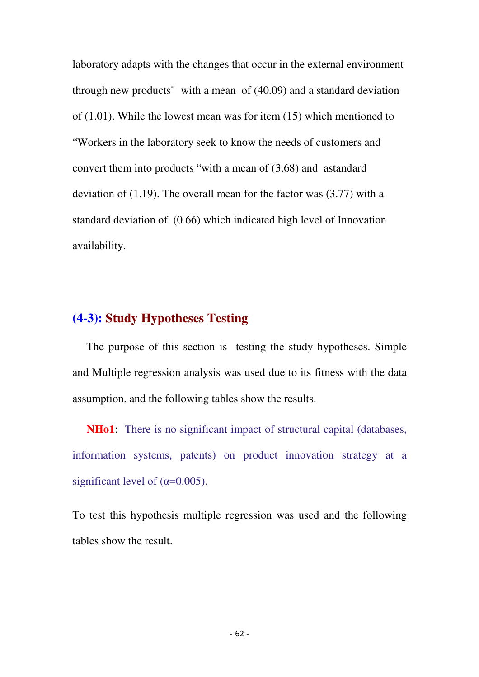laboratory adapts with the changes that occur in the external environment through new products" with a mean of (40.09) and a standard deviation of (1.01). While the lowest mean was for item (15) which mentioned to "Workers in the laboratory seek to know the needs of customers and convert them into products "with a mean of (3.68) and astandard deviation of (1.19). The overall mean for the factor was (3.77) with a standard deviation of (0.66) which indicated high level of Innovation availability.

## **(4-3): Study Hypotheses Testing**

 The purpose of this section is testing the study hypotheses. Simple and Multiple regression analysis was used due to its fitness with the data assumption, and the following tables show the results.

**NHo1**: There is no significant impact of structural capital (databases, information systems, patents) on product innovation strategy at a significant level of  $(\alpha=0.005)$ .

To test this hypothesis multiple regression was used and the following tables show the result.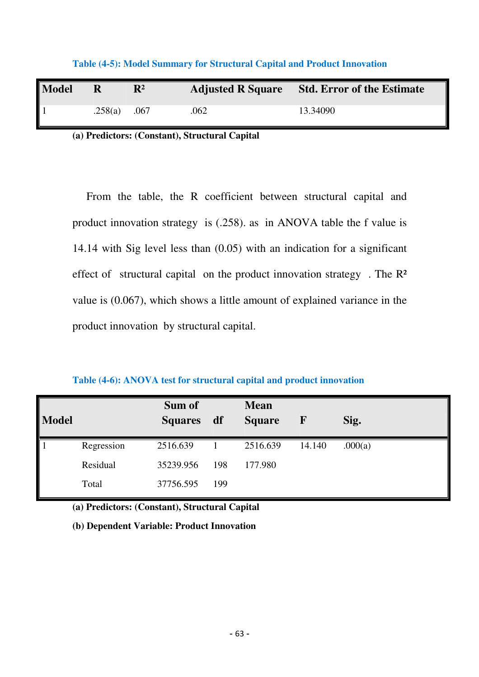| <b>Model</b> | $\mathbf R$ | $\mathbf{R}^2$ | <b>Adjusted R Square</b> | <b>Std. Error of the Estimate</b> |
|--------------|-------------|----------------|--------------------------|-----------------------------------|
|              | .258(a)     | .067           | 062                      | 13.34090                          |

**Table (4-5): Model Summary for Structural Capital and Product Innovation** 

**(a) Predictors: (Constant), Structural Capital** 

 From the table, the R coefficient between structural capital and product innovation strategy is (.258). as in ANOVA table the f value is 14.14 with Sig level less than (0.05) with an indication for a significant effect of structural capital on the product innovation strategy . The R² value is (0.067), which shows a little amount of explained variance in the product innovation by structural capital.

|  |  |  | Table (4-6): ANOVA test for structural capital and product innovation |
|--|--|--|-----------------------------------------------------------------------|
|--|--|--|-----------------------------------------------------------------------|

| <b>Model</b> |            | Sum of<br><b>Squares</b> | df  | <b>Mean</b><br><b>Square</b> | $\mathbf F$ | Sig.    |
|--------------|------------|--------------------------|-----|------------------------------|-------------|---------|
|              | Regression | 2516.639                 |     | 2516.639                     | 14.140      | .000(a) |
|              | Residual   | 35239.956                | 198 | 177.980                      |             |         |
|              | Total      | 37756.595                | 199 |                              |             |         |

**(a) Predictors: (Constant), Structural Capital** 

**(b) Dependent Variable: Product Innovation**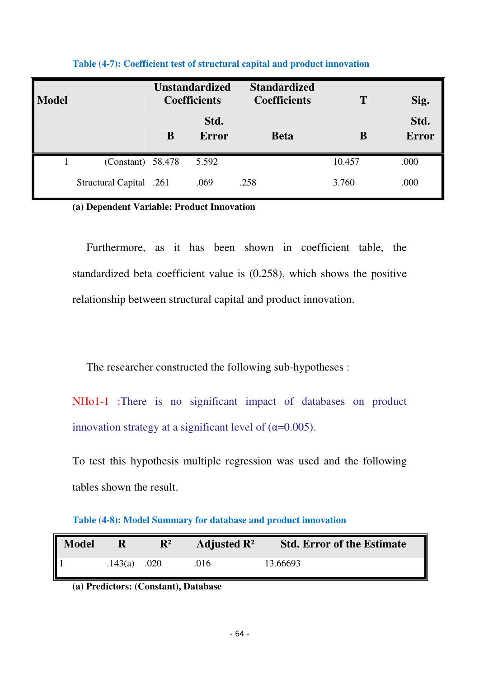| <b>Model</b> |                         | <b>Unstandardized</b><br><b>Coefficients</b> |                      | <b>Standardized</b><br><b>Coefficients</b> | T      | Sig.                 |
|--------------|-------------------------|----------------------------------------------|----------------------|--------------------------------------------|--------|----------------------|
|              |                         | B                                            | Std.<br><b>Error</b> | <b>Beta</b>                                | B      | Std.<br><b>Error</b> |
|              | $(Constant)$ 58.478     |                                              | 5.592                |                                            | 10.457 | .000                 |
|              | Structural Capital .261 |                                              | .069                 | .258                                       | 3.760  | .000                 |

**Table (4-7): Coefficient test of structural capital and product innovation**

( **a) Dependent Variable: Product Innovation**

 Furthermore, as it has been shown in coefficient table, the standardized beta coefficient value is (0.258), which shows the positive relationship between structural capital and product innovation.

The researcher constructed the following sub-hypotheses :

NHo1-1 :There is no significant impact of databases on product innovation strategy at a significant level of  $(\alpha=0.005)$ .

To test this hypothesis multiple regression was used and the following tables shown the result.

**Table (4-8): Model Summary for database and product innovation** 

| <b>Model</b> |         | $\mathbf{R}^2$ | Adjusted $\mathbb{R}^2$ | <b>Std. Error of the Estimate</b> |
|--------------|---------|----------------|-------------------------|-----------------------------------|
|              | .143(a) | .020           | .016                    | 13.66693                          |

**(a) Predictors: (Constant), Database**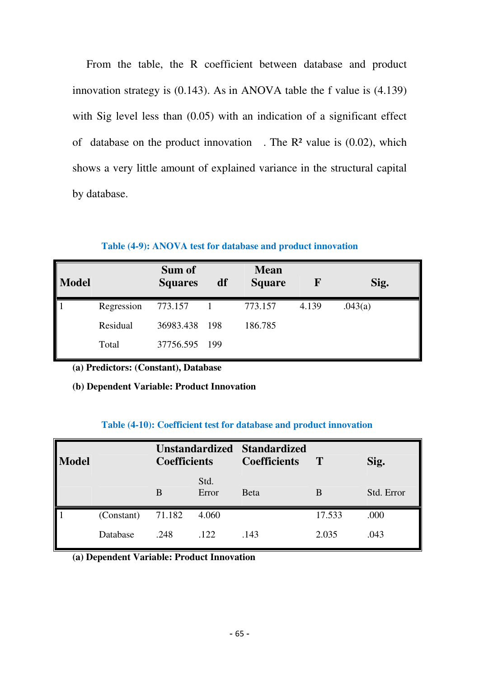From the table, the R coefficient between database and product innovation strategy is (0.143). As in ANOVA table the f value is (4.139) with Sig level less than  $(0.05)$  with an indication of a significant effect of database on the product innovation . The  $\mathbb{R}^2$  value is (0.02), which shows a very little amount of explained variance in the structural capital by database.

### **Table (4-9): ANOVA test for database and product innovation**

| <b>Model</b> |            | Sum of<br><b>Squares</b> | df  | <b>Mean</b><br><b>Square</b> | $\mathbf F$ | Sig.    |
|--------------|------------|--------------------------|-----|------------------------------|-------------|---------|
|              | Regression | 773.157                  |     | 773.157                      | 4.139       | .043(a) |
|              | Residual   | 36983.438                | 198 | 186.785                      |             |         |
|              | Total      | 37756.595 199            |     |                              |             |         |

**(a) Predictors: (Constant), Database** 

### **(b) Dependent Variable: Product Innovation**

### **Table (4-10): Coefficient test for database and product innovation**

| $\vert$ Model |            | Unstandardized Standardized<br><b>Coefficients</b> |               | <b>Coefficients</b> | $\bf T$ | Sig.       |  |
|---------------|------------|----------------------------------------------------|---------------|---------------------|---------|------------|--|
|               |            | B                                                  | Std.<br>Error | <b>Beta</b>         | B       | Std. Error |  |
|               | (Constant) | 71.182                                             | 4.060         |                     | 17.533  | .000       |  |
|               | Database   | .248                                               | .122          | .143                | 2.035   | .043       |  |

**(a) Dependent Variable: Product Innovation**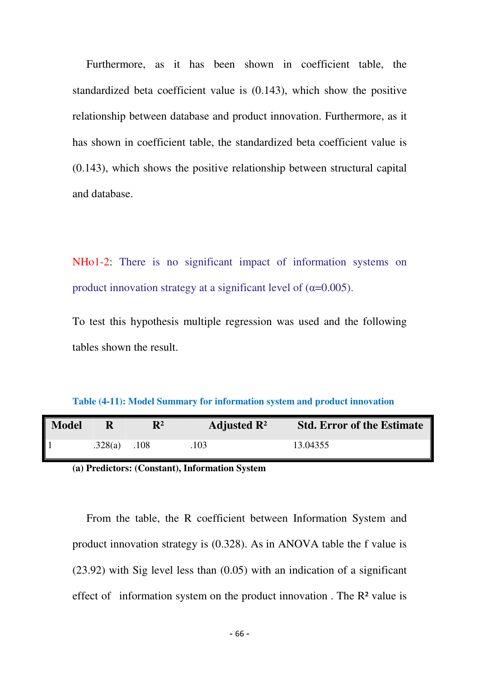Furthermore, as it has been shown in coefficient table, the standardized beta coefficient value is (0.143), which show the positive relationship between database and product innovation. Furthermore, as it has shown in coefficient table, the standardized beta coefficient value is (0.143), which shows the positive relationship between structural capital and database.

NHo1-2: There is no significant impact of information systems on product innovation strategy at a significant level of  $(\alpha=0.005)$ .

To test this hypothesis multiple regression was used and the following tables shown the result.

**Table (4-11): Model Summary for information system and product innovation** 

| Model |         | $\mathbf{R}^2$ | Adjusted $\mathbb{R}^2$ | <b>Std. Error of the Estimate</b> |
|-------|---------|----------------|-------------------------|-----------------------------------|
|       | .328(a) | .108           | .103                    | 13.04355                          |

**(a) Predictors: (Constant), Information System** 

 From the table, the R coefficient between Information System and product innovation strategy is (0.328). As in ANOVA table the f value is (23.92) with Sig level less than (0.05) with an indication of a significant effect of information system on the product innovation. The  $\mathbb{R}^2$  value is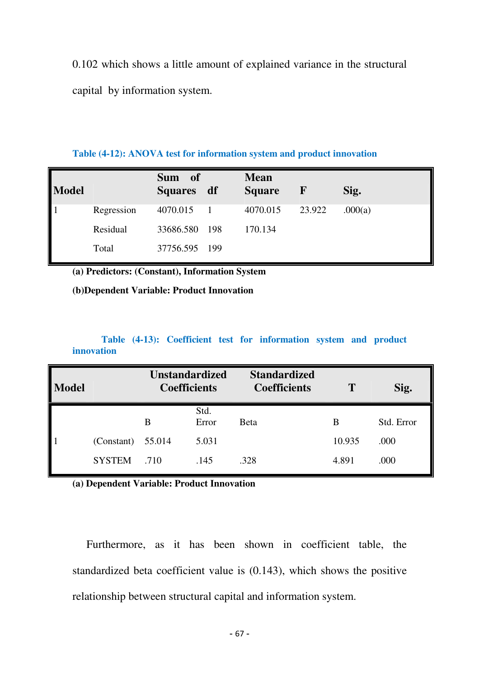0.102 which shows a little amount of explained variance in the structural capital by information system.

#### **Table (4-12): ANOVA test for information system and product innovation**

| <b>Model</b> |            | Sum of<br><b>Squares</b> | df  | <b>Mean</b><br><b>Square</b> | $\mathbf{F}$ | Sig.    |
|--------------|------------|--------------------------|-----|------------------------------|--------------|---------|
|              | Regression | 4070.015                 |     | 4070.015                     | 23.922       | .000(a) |
|              | Residual   | 33686.580                | 198 | 170.134                      |              |         |
|              | Total      | 37756.595                | 199 |                              |              |         |

**(a) Predictors: (Constant), Information System** 

#### **(b)Dependent Variable: Product Innovation**

### **Table (4-13): Coefficient test for information system and product innovation**

| <b>Model</b>                            |               | <b>Unstandardized</b><br><b>Coefficients</b> |               | <b>Standardized</b><br><b>Coefficients</b> |        | Sig.       |
|-----------------------------------------|---------------|----------------------------------------------|---------------|--------------------------------------------|--------|------------|
|                                         |               | B                                            | Std.<br>Error | Beta                                       | В      | Std. Error |
|                                         | (Constant)    | 55.014                                       | 5.031         |                                            | 10.935 | .000       |
| $\begin{array}{c}\n1 \\ 1\n\end{array}$ | <b>SYSTEM</b> | .710                                         | .145          | .328                                       | 4.891  | .000       |

**(a) Dependent Variable: Product Innovation** 

 Furthermore, as it has been shown in coefficient table, the standardized beta coefficient value is (0.143), which shows the positive relationship between structural capital and information system.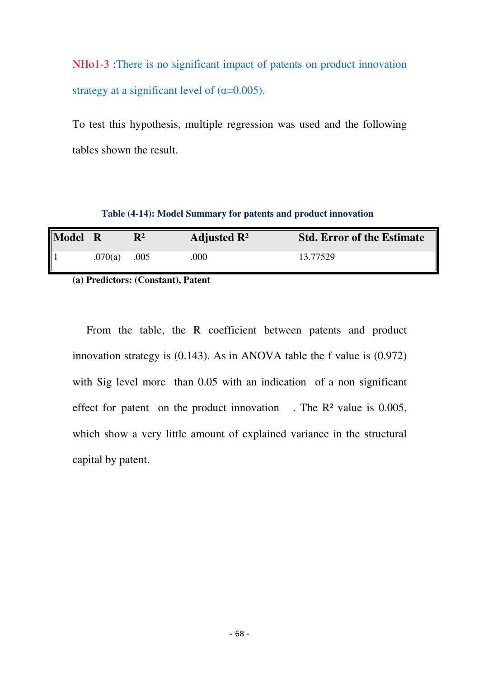NHo1-3 :There is no significant impact of patents on product innovation strategy at a significant level of  $(\alpha=0.005)$ .

To test this hypothesis, multiple regression was used and the following tables shown the result.

 **Table (4-14): Model Summary for patents and product innovation** 

| <b>Model</b>         | - R     | $\mathbf{R}^2$ | Adjusted $\mathbb{R}^2$ | <b>Std. Error of the Estimate</b> |
|----------------------|---------|----------------|-------------------------|-----------------------------------|
| $\vert$ <sub>1</sub> | .070(a) | .005           | .000                    | 13.77529                          |

**(a) Predictors: (Constant), Patent** 

 From the table, the R coefficient between patents and product innovation strategy is (0.143). As in ANOVA table the f value is (0.972) with Sig level more than 0.05 with an indication of a non significant effect for patent on the product innovation  $\therefore$  The R<sup>2</sup> value is 0.005, which show a very little amount of explained variance in the structural capital by patent.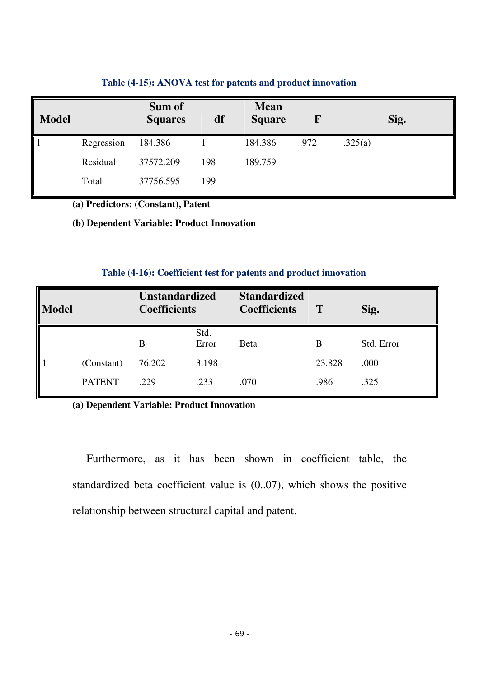| <b>Model</b> |            | Sum of<br><b>Squares</b> | df  | <b>Mean</b><br><b>Square</b> | F    |         | Sig. |
|--------------|------------|--------------------------|-----|------------------------------|------|---------|------|
|              | Regression | 184.386                  |     | 184.386                      | .972 | .325(a) |      |
|              | Residual   | 37572.209                | 198 | 189.759                      |      |         |      |
|              | Total      | 37756.595                | 199 |                              |      |         |      |

### **Table (4-15): ANOVA test for patents and product innovation**

**(a) Predictors: (Constant), Patent** 

**(b) Dependent Variable: Product Innovation** 

### **Table (4-16): Coefficient test for patents and product innovation**

| <b>Model</b> |               | <b>Unstandardized</b><br><b>Coefficients</b> |               | <b>Standardized</b><br><b>Coefficients</b> | T      | Sig.       |
|--------------|---------------|----------------------------------------------|---------------|--------------------------------------------|--------|------------|
|              |               | B                                            | Std.<br>Error | <b>Beta</b>                                | B      | Std. Error |
|              | (Constant)    | 76.202                                       | 3.198         |                                            | 23.828 | .000       |
|              | <b>PATENT</b> | .229                                         | .233          | .070                                       | .986   | .325       |

**(a) Dependent Variable: Product Innovation** 

 Furthermore, as it has been shown in coefficient table, the standardized beta coefficient value is (0..07), which shows the positive relationship between structural capital and patent.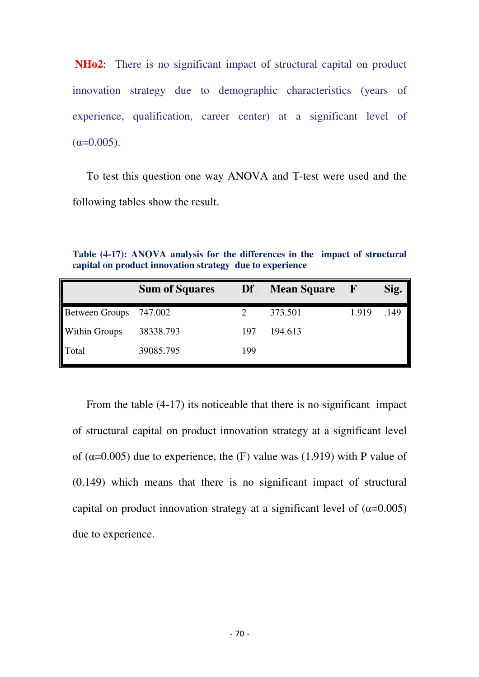**NHo2**: There is no significant impact of structural capital on product innovation strategy due to demographic characteristics (years of experience, qualification, career center) at a significant level of  $(\alpha=0.005)$ .

 To test this question one way ANOVA and T-test were used and the following tables show the result.

**Table (4-17): ANOVA analysis for the differences in the impact of structural capital on product innovation strategy due to experience** 

|                | <b>Sum of Squares</b> | Df  | <b>Mean Square</b> | F     | Sig. |
|----------------|-----------------------|-----|--------------------|-------|------|
| Between Groups | 747.002               |     | 373.501            | 1.919 | .149 |
| Within Groups  | 38338.793             | 197 | 194.613            |       |      |
| Total          | 39085.795             | 199 |                    |       |      |

From the table  $(4-17)$  its noticeable that there is no significant impact of structural capital on product innovation strategy at a significant level of ( $\alpha$ =0.005) due to experience, the (F) value was (1.919) with P value of (0.149) which means that there is no significant impact of structural capital on product innovation strategy at a significant level of  $(\alpha=0.005)$ due to experience.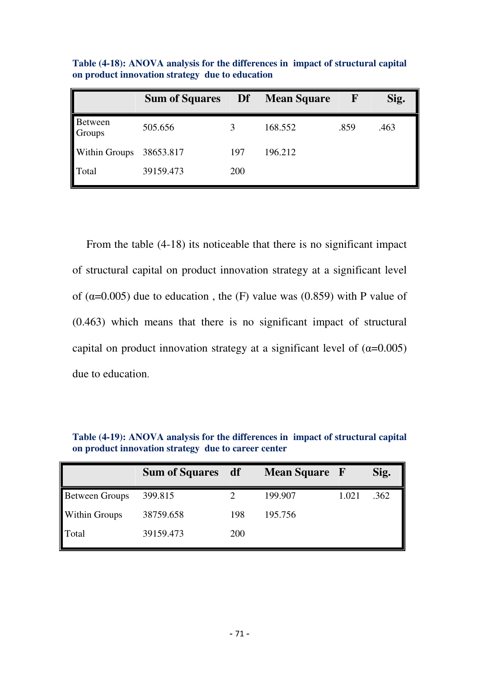|                      | <b>Sum of Squares</b> | Df         | <b>Mean Square</b> | ${\bf F}$ | Sig. |
|----------------------|-----------------------|------------|--------------------|-----------|------|
| Between<br>Groups    | 505.656               |            | 168.552            | .859      | .463 |
| <b>Within Groups</b> | 38653.817             | 197        | 196.212            |           |      |
| Total                | 39159.473             | <b>200</b> |                    |           |      |

**Table (4-18): ANOVA analysis for the differences in impact of structural capital on product innovation strategy due to education** 

 From the table (4-18) its noticeable that there is no significant impact of structural capital on product innovation strategy at a significant level of ( $\alpha$ =0.005) due to education, the (F) value was (0.859) with P value of (0.463) which means that there is no significant impact of structural capital on product innovation strategy at a significant level of  $(\alpha=0.005)$ due to education.

|                       | <b>Sum of Squares</b> | df         | <b>Mean Square</b> F |       | Sig. |
|-----------------------|-----------------------|------------|----------------------|-------|------|
| <b>Between Groups</b> | 399.815               |            | 199.907              | 1.021 | .362 |
| <b>Within Groups</b>  | 38759.658             | 198        | 195.756              |       |      |
| Total                 | 39159.473             | <b>200</b> |                      |       |      |

**Table (4-19): ANOVA analysis for the differences in impact of structural capital on product innovation strategy due to career center**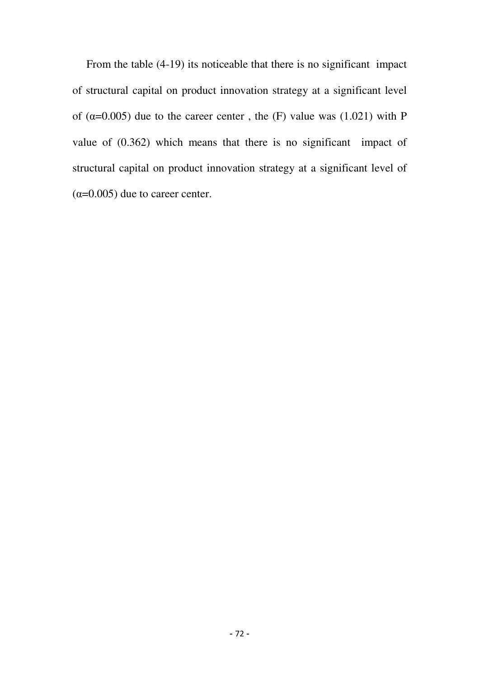From the table (4-19) its noticeable that there is no significant impact of structural capital on product innovation strategy at a significant level of ( $\alpha$ =0.005) due to the career center, the (F) value was (1.021) with P value of (0.362) which means that there is no significant impact of structural capital on product innovation strategy at a significant level of  $(\alpha=0.005)$  due to career center.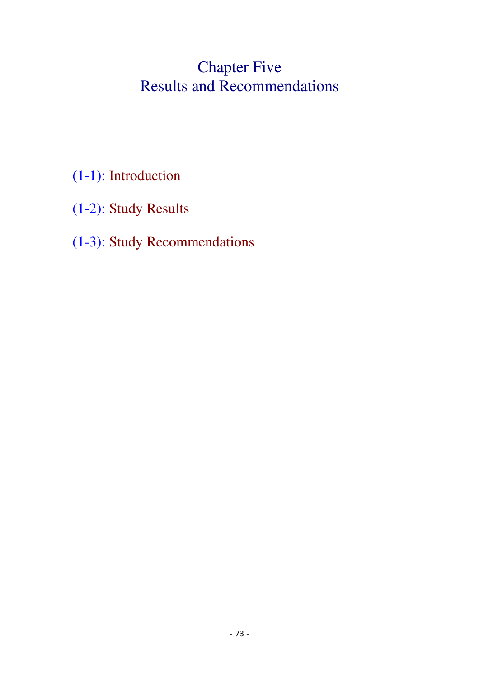# Chapter Five Results and Recommendations

# (1-1): Introduction

(1-2): Study Results

## (1-3): Study Recommendations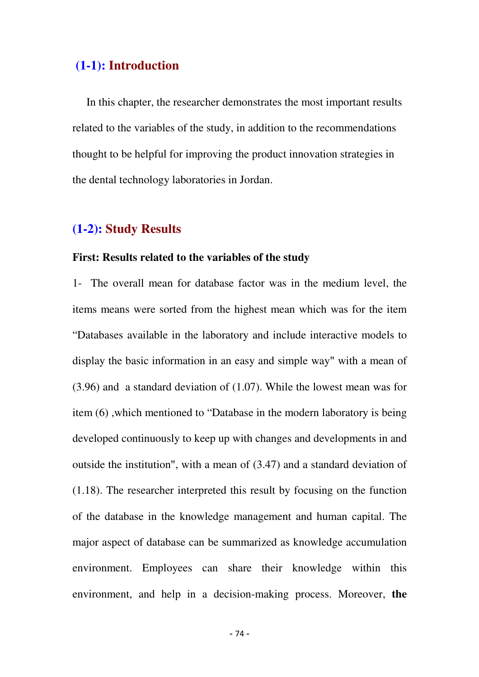### **(1-1): Introduction**

In this chapter, the researcher demonstrates the most important results related to the variables of the study, in addition to the recommendations thought to be helpful for improving the product innovation strategies in the dental technology laboratories in Jordan.

## **(1-2): Study Results**

### **First: Results related to the variables of the study**

1- The overall mean for database factor was in the medium level, the items means were sorted from the highest mean which was for the item "Databases available in the laboratory and include interactive models to display the basic information in an easy and simple way" with a mean of (3.96) and a standard deviation of (1.07). While the lowest mean was for item (6) ,which mentioned to "Database in the modern laboratory is being developed continuously to keep up with changes and developments in and outside the institution", with a mean of (3.47) and a standard deviation of (1.18). The researcher interpreted this result by focusing on the function of the database in the knowledge management and human capital. The major aspect of database can be summarized as knowledge accumulation environment. Employees can share their knowledge within this environment, and help in a decision-making process. Moreover, **the**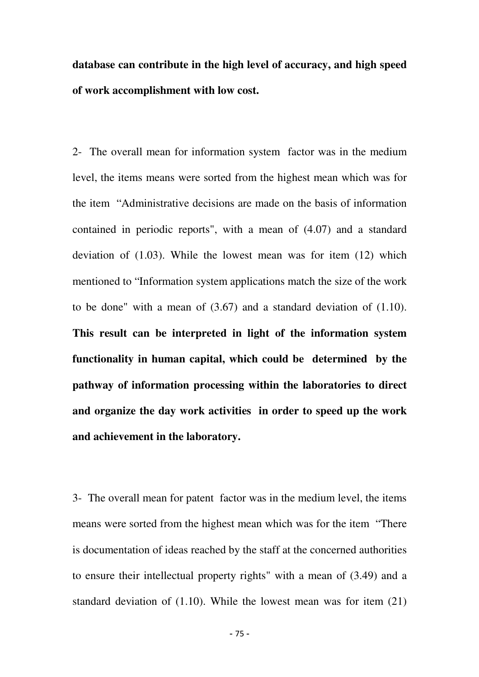**database can contribute in the high level of accuracy, and high speed of work accomplishment with low cost.**

2- The overall mean for information system factor was in the medium level, the items means were sorted from the highest mean which was for the item "Administrative decisions are made on the basis of information contained in periodic reports", with a mean of (4.07) and a standard deviation of (1.03). While the lowest mean was for item (12) which mentioned to "Information system applications match the size of the work to be done" with a mean of (3.67) and a standard deviation of (1.10). **This result can be interpreted in light of the information system functionality in human capital, which could be determined by the pathway of information processing within the laboratories to direct and organize the day work activities in order to speed up the work and achievement in the laboratory.**

3- The overall mean for patent factor was in the medium level, the items means were sorted from the highest mean which was for the item "There is documentation of ideas reached by the staff at the concerned authorities to ensure their intellectual property rights" with a mean of (3.49) and a standard deviation of (1.10). While the lowest mean was for item (21)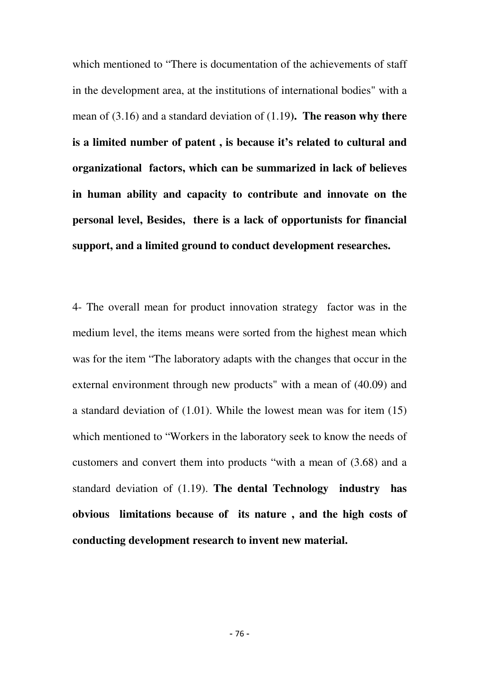which mentioned to "There is documentation of the achievements of staff in the development area, at the institutions of international bodies" with a mean of (3.16) and a standard deviation of (1.19**). The reason why there is a limited number of patent , is because it's related to cultural and organizational factors, which can be summarized in lack of believes in human ability and capacity to contribute and innovate on the personal level, Besides, there is a lack of opportunists for financial support, and a limited ground to conduct development researches.** 

4- The overall mean for product innovation strategy factor was in the medium level, the items means were sorted from the highest mean which was for the item "The laboratory adapts with the changes that occur in the external environment through new products" with a mean of (40.09) and a standard deviation of (1.01). While the lowest mean was for item (15) which mentioned to "Workers in the laboratory seek to know the needs of customers and convert them into products "with a mean of (3.68) and a standard deviation of (1.19). **The dental Technology industry has obvious limitations because of its nature , and the high costs of conducting development research to invent new material.**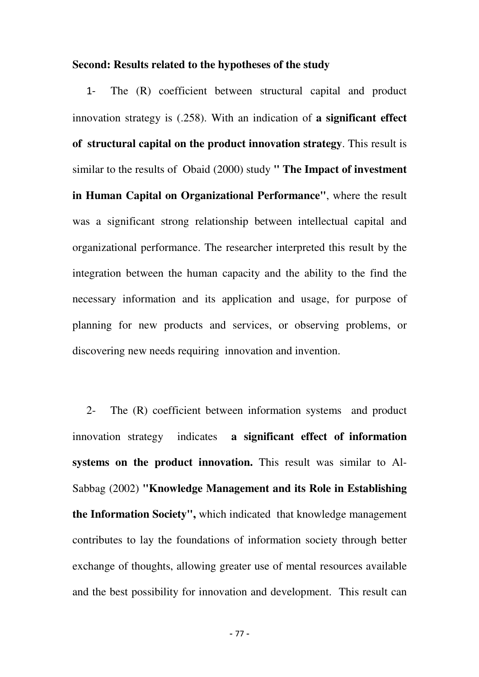#### **Second: Results related to the hypotheses of the study**

 1- The (R) coefficient between structural capital and product innovation strategy is (.258). With an indication of **a significant effect of structural capital on the product innovation strategy**. This result is similar to the results of Obaid (2000) study **" The Impact of investment in Human Capital on Organizational Performance"**, where the result was a significant strong relationship between intellectual capital and organizational performance. The researcher interpreted this result by the integration between the human capacity and the ability to the find the necessary information and its application and usage, for purpose of planning for new products and services, or observing problems, or discovering new needs requiring innovation and invention.

 2- The (R) coefficient between information systems and product innovation strategy indicates **a significant effect of information systems on the product innovation.** This result was similar to Al-Sabbag (2002) **"Knowledge Management and its Role in Establishing the Information Society",** which indicated that knowledge management contributes to lay the foundations of information society through better exchange of thoughts, allowing greater use of mental resources available and the best possibility for innovation and development. This result can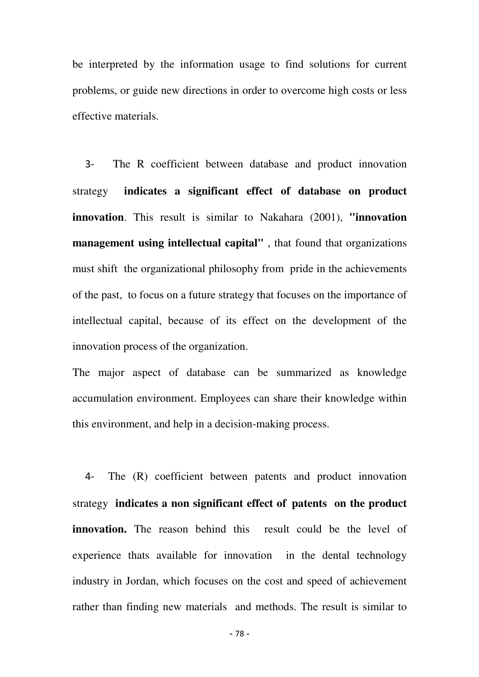be interpreted by the information usage to find solutions for current problems, or guide new directions in order to overcome high costs or less effective materials.

 3- The R coefficient between database and product innovation strategy **indicates a significant effect of database on product innovation**. This result is similar to Nakahara (2001), **"innovation management using intellectual capital"** , that found that organizations must shift the organizational philosophy from pride in the achievements of the past, to focus on a future strategy that focuses on the importance of intellectual capital, because of its effect on the development of the innovation process of the organization.

The major aspect of database can be summarized as knowledge accumulation environment. Employees can share their knowledge within this environment, and help in a decision-making process.

 4- The (R) coefficient between patents and product innovation strategy **indicates a non significant effect of patents on the product innovation.** The reason behind this result could be the level of experience thats available for innovation in the dental technology industry in Jordan, which focuses on the cost and speed of achievement rather than finding new materials and methods. The result is similar to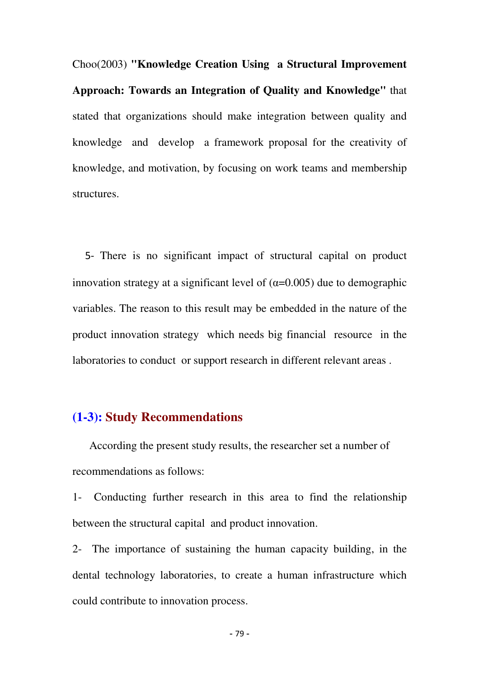Choo(2003) **"Knowledge Creation Using a Structural Improvement Approach: Towards an Integration of Quality and Knowledge"** that stated that organizations should make integration between quality and knowledge and develop a framework proposal for the creativity of knowledge, and motivation, by focusing on work teams and membership structures.

 5- There is no significant impact of structural capital on product innovation strategy at a significant level of  $(\alpha=0.005)$  due to demographic variables. The reason to this result may be embedded in the nature of the product innovation strategy which needs big financial resource in the laboratories to conduct or support research in different relevant areas .

## **(1-3): Study Recommendations**

According the present study results, the researcher set a number of recommendations as follows:

1- Conducting further research in this area to find the relationship between the structural capital and product innovation.

2- The importance of sustaining the human capacity building, in the dental technology laboratories, to create a human infrastructure which could contribute to innovation process.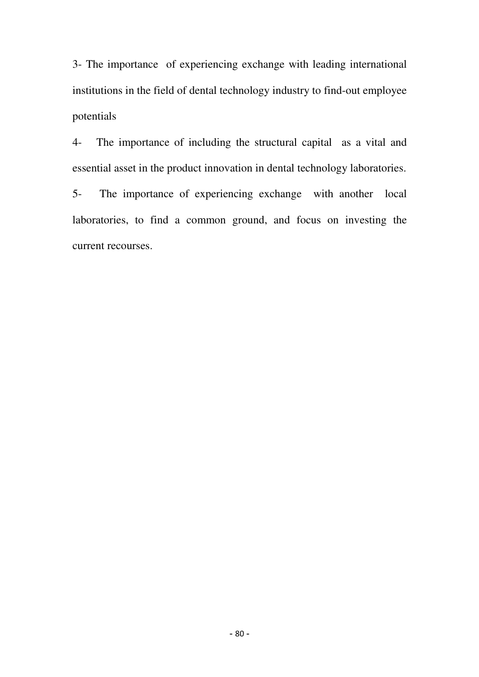3- The importance of experiencing exchange with leading international institutions in the field of dental technology industry to find-out employee potentials

4- The importance of including the structural capital as a vital and essential asset in the product innovation in dental technology laboratories.

5- The importance of experiencing exchange with another local laboratories, to find a common ground, and focus on investing the current recourses.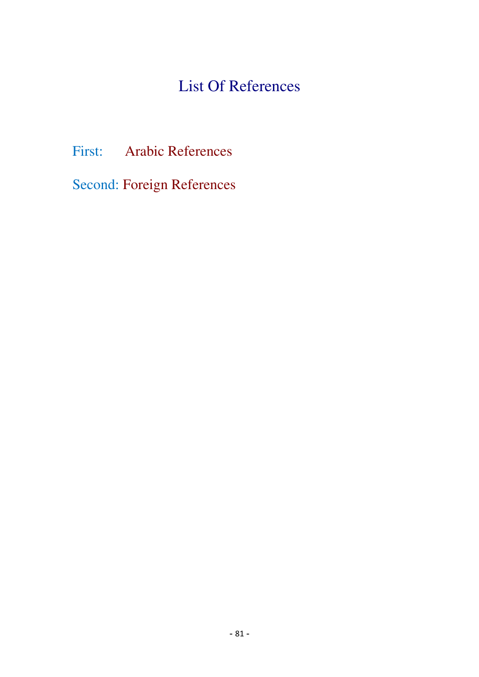## List Of References

First: Arabic References

Second: Foreign References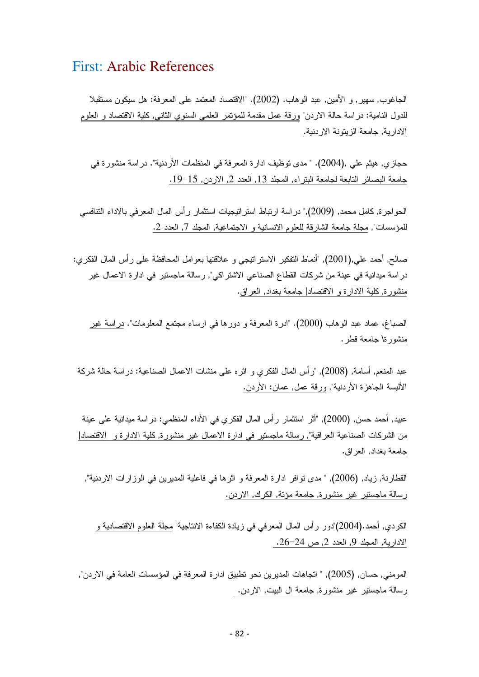### First: Arabic References

الجاغوب, سهير, و الأمين, عبد الوهاب. (2002). "الاقتصاد المعتمد على المعرفة: هل سيكون مستقبلا للدول النامية: دراسة حالة الاردن" ورقة عمل مقدمة للمؤتمر العلمي السنوي الثاني, كلية الاقتصاد و العلوم الادارية, جامعة الزيتونة الاردنية.

حجازي, هيثم علي ,(2004). " مدى توظيف ادارة المعرفة في المنظمات الأردنية". دراسة منشورة في جامعة البصائر التابعة لجامعة البتراء, المجلد 13, العدد 2, الاردن, 15–19.

الحو اجر ة, كامل محمد, (2009)," در اسة ارتباط استر اتيجيات استثمار ر أس المال المعرفي بالاداء التنافسي للمؤسسات", مجلَّة جامعة الشارقة للعلوم الانسانية و الاجتماعية, المجلد 7, العدد 2.

صالح, أحمد علي,(2001), "أنماط التفكير الاستراتيجي و علاقتها بعوامل المحافظة على رأس المال الفكري: در اسة ميدانية في عينة من شركات القطاع الصناعي الاشتر اك<u>ي", ر</u>سالة ماجستير في ادار ة الاعمال غير<sub>.</sub> منشورة, كلية الادارة و الاقتصاد| جامعة بغداد, العراق.

الصباغ، عماد عبد الوهاب (2000). "ادرة المعرفة و دورها في ارساء مجتمع المعلومات". دراسة غير منشورةا جامعة قطر .

عبد المنعم, أسامة, (2008), "رأس المال الفكري و اثره على منشات الاعمال الصناعية: دراسة حالة شركة الألبسة الجاهزة الأردنية", ورقة عمل, عمان: الأردن.

عبيد, أحمد حسن, (2000), "أثر استثمار رأس المال الفكري في الأداء المنظمي: دراسة ميدانية على عينة من الشركات الصناعية العراقية"<u>, ر</u>سالة ماجستير في ادارة الاعمال غير منشورة, كلية الادارة و الاقتصاد| جامعة بغداد, العراق.

القطارنة, زياد, (2006), " مدى تو افر ادار ة المعرفة و اثر ها في فاعلية المديرين في الوز ار ات الاردنية", رِسالة ماجستير غير منشورة, جامعة مؤتة, الكرك, الاردن.

الكردي, أحمد.(2004)"دور رأس المال المعرفي في زيادة الكفاءة الانتاجية" مجلة العلوم الاقتصادية و الادارية, المجلد 9, العدد 2, ص 24–26. <sub>.</sub>

المومني, حسان, (2005), " اتجاهات المديرين نحو تطبيق ادارة المعرفة في المؤسسات العامة في الاردن", رسالة ماجستير غير منشورة, جامعة ال البيت, الاردن.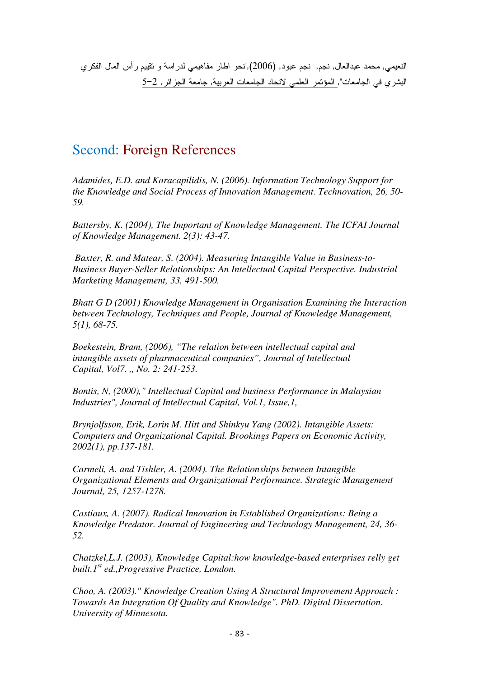النعيمي, محمد عبدالعال, نجم, نجم عبود, (2006),"نحو اطار مفاهيمي لدراسة و تقييم رأس المال الفكري البشري في الجامعات", المؤتمر العلمي لاتحاد الجامعات العربية, جامعة الجزائر, 2–5

## Second: Foreign References

*Adamides, E.D. and Karacapilidis, N. (2006). Information Technology Support for the Knowledge and Social Process of Innovation Management. Technovation, 26, 50- 59.* 

*Battersby, K. (2004), The Important of Knowledge Management. The ICFAI Journal of Knowledge Management. 2(3): 43-47.* 

 *Baxter, R. and Matear, S. (2004). Measuring Intangible Value in Business-to-Business Buyer-Seller Relationships: An Intellectual Capital Perspective. Industrial Marketing Management, 33, 491-500.* 

*Bhatt G D (2001) Knowledge Management in Organisation Examining the Interaction between Technology, Techniques and People, Journal of Knowledge Management, 5(1), 68-75.* 

*Boekestein, Bram, (2006), "The relation between intellectual capital and intangible assets of pharmaceutical companies", Journal of Intellectual Capital, Vol7. ,, No. 2: 241-253.* 

*Bontis, N, (2000)," Intellectual Capital and business Performance in Malaysian Industries", Journal of Intellectual Capital, Vol.1, Issue,1,* 

*Brynjolfsson, Erik, Lorin M. Hitt and Shinkyu Yang (2002). Intangible Assets: Computers and Organizational Capital. Brookings Papers on Economic Activity, 2002(1), pp.137-181.* 

*Carmeli, A. and Tishler, A. (2004). The Relationships between Intangible Organizational Elements and Organizational Performance. Strategic Management Journal, 25, 1257-1278.* 

*Castiaux, A. (2007). Radical Innovation in Established Organizations: Being a Knowledge Predator. Journal of Engineering and Technology Management, 24, 36- 52.* 

*Chatzkel,L.J. (2003), Knowledge Capital:how knowledge-based enterprises relly get built.1st ed.,Progressive Practice, London.* 

*Choo, A. (2003)." Knowledge Creation Using A Structural Improvement Approach : Towards An Integration Of Quality and Knowledge". PhD. Digital Dissertation. University of Minnesota.*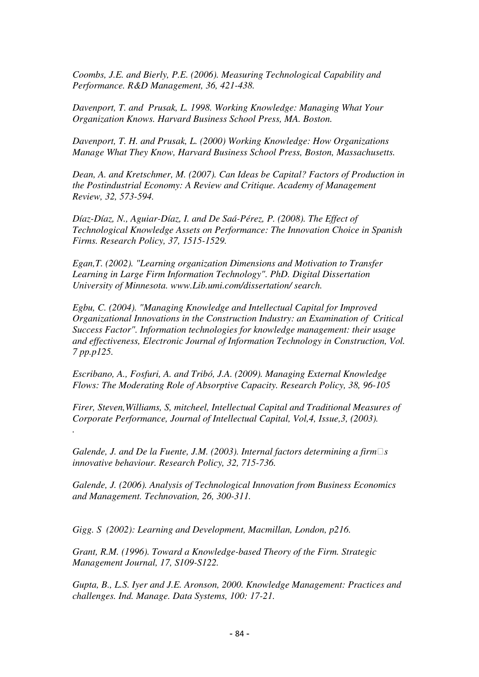*Coombs, J.E. and Bierly, P.E. (2006). Measuring Technological Capability and Performance. R&D Management, 36, 421-438.* 

*Davenport, T. and Prusak, L. 1998. Working Knowledge: Managing What Your Organization Knows. Harvard Business School Press, MA. Boston.* 

*Davenport, T. H. and Prusak, L. (2000) Working Knowledge: How Organizations Manage What They Know, Harvard Business School Press, Boston, Massachusetts.* 

*Dean, A. and Kretschmer, M. (2007). Can Ideas be Capital? Factors of Production in the Postindustrial Economy: A Review and Critique. Academy of Management Review, 32, 573-594.* 

*Díaz-Díaz, N., Aguiar-Díaz, I. and De Saá-Pérez, P. (2008). The Effect of Technological Knowledge Assets on Performance: The Innovation Choice in Spanish Firms. Research Policy, 37, 1515-1529.* 

*Egan,T. (2002). "Learning organization Dimensions and Motivation to Transfer Learning in Large Firm Information Technology". PhD. Digital Dissertation University of Minnesota. www.Lib.umi.com/dissertation/ search.* 

*Egbu, C. (2004). "Managing Knowledge and Intellectual Capital for Improved Organizational Innovations in the Construction Industry: an Examination of Critical Success Factor". Information technologies for knowledge management: their usage and effectiveness, Electronic Journal of Information Technology in Construction, Vol. 7 pp.p125.* 

*Escribano, A., Fosfuri, A. and Tribó, J.A. (2009). Managing External Knowledge Flows: The Moderating Role of Absorptive Capacity. Research Policy, 38, 96-105* 

*Firer, Steven,Williams, S, mitcheel, Intellectual Capital and Traditional Measures of Corporate Performance, Journal of Intellectual Capital, Vol,4, Issue,3, (2003). .* 

*Galende, J. and De la Fuente, J.M. (2003). Internal factors determining a firms innovative behaviour. Research Policy, 32, 715-736.*

*Galende, J. (2006). Analysis of Technological Innovation from Business Economics and Management. Technovation, 26, 300-311.* 

Gigg. S (2002): Learning and Development, Macmillan, London, p216.

*Grant, R.M. (1996). Toward a Knowledge-based Theory of the Firm. Strategic Management Journal, 17, S109-S122.* 

*Gupta, B., L.S. Iyer and J.E. Aronson, 2000. Knowledge Management: Practices and challenges. Ind. Manage. Data Systems, 100: 17-21.*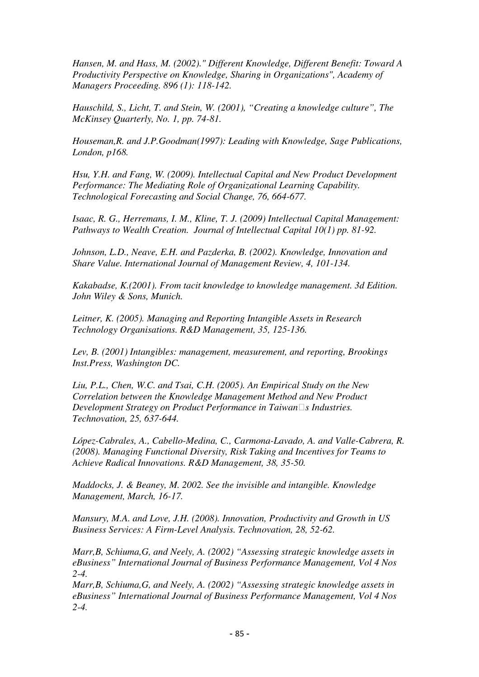*Hansen, M. and Hass, M. (2002)." Different Knowledge, Different Benefit: Toward A Productivity Perspective on Knowledge, Sharing in Organizations", Academy of Managers Proceeding. 896 (1): 118-142.* 

*Hauschild, S., Licht, T. and Stein, W. (2001), "Creating a knowledge culture", The McKinsey Quarterly, No. 1, pp. 74-81.* 

*Houseman,R. and J.P.Goodman(1997): Leading with Knowledge, Sage Publications, London, p168.* 

*Hsu, Y.H. and Fang, W. (2009). Intellectual Capital and New Product Development Performance: The Mediating Role of Organizational Learning Capability. Technological Forecasting and Social Change, 76, 664-677.* 

*Isaac, R. G., Herremans, I. M., Kline, T. J. (2009) Intellectual Capital Management: Pathways to Wealth Creation. Journal of Intellectual Capital 10(1) pp. 81-92.* 

*Johnson, L.D., Neave, E.H. and Pazderka, B. (2002). Knowledge, Innovation and Share Value. International Journal of Management Review, 4, 101-134.* 

*Kakabadse, K.(2001). From tacit knowledge to knowledge management. 3d Edition. John Wiley & Sons, Munich.* 

*Leitner, K. (2005). Managing and Reporting Intangible Assets in Research Technology Organisations. R&D Management, 35, 125-136.* 

*Lev, B. (2001) Intangibles: management, measurement, and reporting, Brookings Inst.Press, Washington DC.* 

*Liu, P.L., Chen, W.C. and Tsai, C.H. (2005). An Empirical Study on the New Correlation between the Knowledge Management Method and New Product Development Strategy on Product Performance in Taiwans Industries. Technovation, 25, 637-644.* 

*López-Cabrales, A., Cabello-Medina, C., Carmona-Lavado, A. and Valle-Cabrera, R. (2008). Managing Functional Diversity, Risk Taking and Incentives for Teams to Achieve Radical Innovations. R&D Management, 38, 35-50.* 

*Maddocks, J. & Beaney, M. 2002. See the invisible and intangible. Knowledge Management, March, 16-17.* 

*Mansury, M.A. and Love, J.H. (2008). Innovation, Productivity and Growth in US Business Services: A Firm-Level Analysis. Technovation, 28, 52-62.* 

*Marr,B, Schiuma,G, and Neely, A. (2002) "Assessing strategic knowledge assets in eBusiness" International Journal of Business Performance Management, Vol 4 Nos 2-4.* 

*Marr,B, Schiuma,G, and Neely, A. (2002) "Assessing strategic knowledge assets in eBusiness" International Journal of Business Performance Management, Vol 4 Nos 2-4.*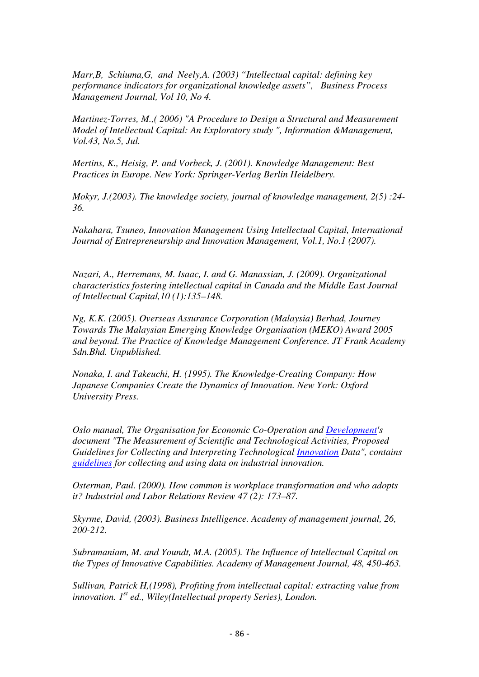*Marr,B, Schiuma,G, and Neely,A. (2003) "Intellectual capital: defining key performance indicators for organizational knowledge assets", Business Process Management Journal, Vol 10, No 4.* 

*Martinez-Torres, M.,( 2006) "A Procedure to Design a Structural and Measurement Model of Intellectual Capital: An Exploratory study ", Information &Management, Vol.43, No.5, Jul.* 

*Mertins, K., Heisig, P. and Vorbeck, J. (2001). Knowledge Management: Best Practices in Europe. New York: Springer-Verlag Berlin Heidelbery.* 

*Mokyr, J.(2003). The knowledge society, journal of knowledge management, 2(5) :24- 36.* 

*Nakahara, Tsuneo, Innovation Management Using Intellectual Capital, International Journal of Entrepreneurship and Innovation Management, Vol.1, No.1 (2007).* 

*Nazari, A., Herremans, M. Isaac, I. and G. Manassian, J. (2009). Organizational characteristics fostering intellectual capital in Canada and the Middle East Journal of Intellectual Capital,10 (1):135–148.* 

*Ng, K.K. (2005). Overseas Assurance Corporation (Malaysia) Berhad, Journey Towards The Malaysian Emerging Knowledge Organisation (MEKO) Award 2005 and beyond. The Practice of Knowledge Management Conference. JT Frank Academy Sdn.Bhd. Unpublished.* 

*Nonaka, I. and Takeuchi, H. (1995). The Knowledge-Creating Company: How Japanese Companies Create the Dynamics of Innovation. New York: Oxford University Press.* 

*Oslo manual, The Organisation for Economic Co-Operation and Development's document "The Measurement of Scientific and Technological Activities, Proposed Guidelines for Collecting and Interpreting Technological Innovation Data", contains guidelines for collecting and using data on industrial innovation.* 

*Osterman, Paul. (2000). How common is workplace transformation and who adopts it? Industrial and Labor Relations Review 47 (2): 173–87.* 

*Skyrme, David, (2003). Business Intelligence. Academy of management journal, 26, 200-212.* 

*Subramaniam, M. and Youndt, M.A. (2005). The Influence of Intellectual Capital on the Types of Innovative Capabilities. Academy of Management Journal, 48, 450-463.* 

*Sullivan, Patrick H,(1998), Profiting from intellectual capital: extracting value from innovation. 1st ed., Wiley(Intellectual property Series), London.*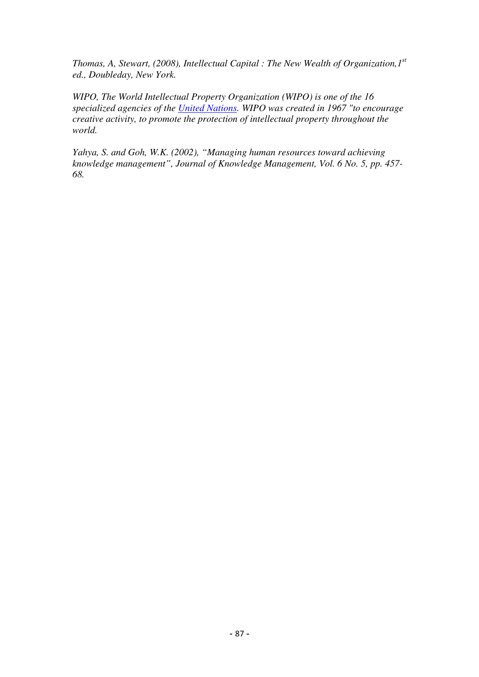*Thomas, A, Stewart, (2008), Intellectual Capital : The New Wealth of Organization,1st ed., Doubleday, New York.* 

*WIPO, The World Intellectual Property Organization (WIPO) is one of the 16 specialized agencies of the United Nations. WIPO was created in 1967 "to encourage creative activity, to promote the protection of intellectual property throughout the world.* 

*Yahya, S. and Goh, W.K. (2002), "Managing human resources toward achieving knowledge management", Journal of Knowledge Management, Vol. 6 No. 5, pp. 457- 68.*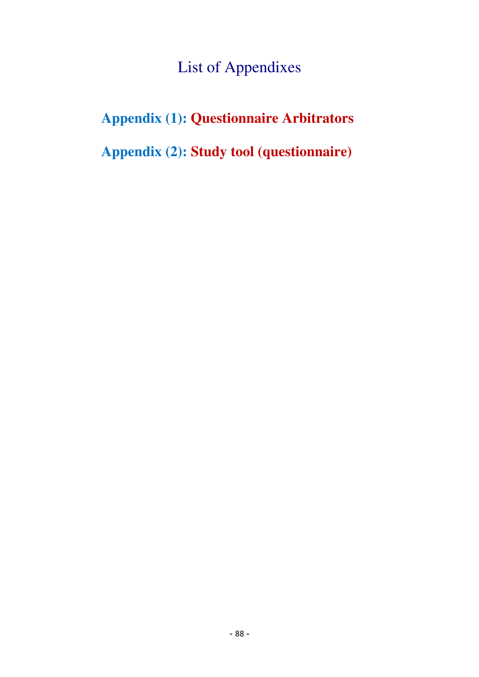# List of Appendixes

# **Appendix (1): Questionnaire Arbitrators**

**Appendix (2): Study tool (questionnaire)**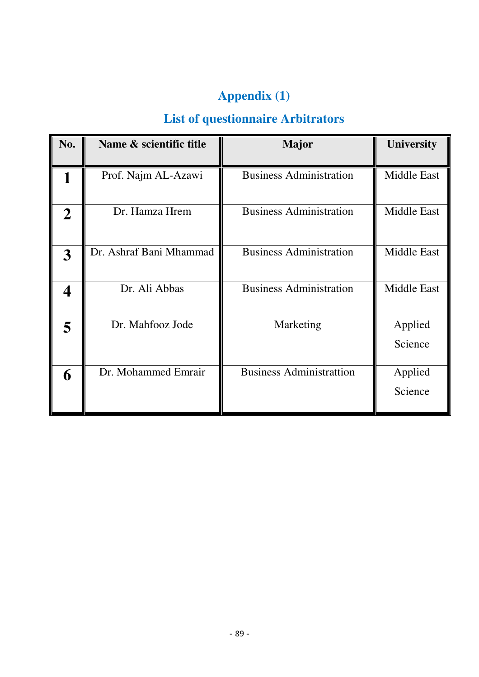# **Appendix (1)**

## **List of questionnaire Arbitrators**

| No.         | Name & scientific title | <b>Major</b>                    | <b>University</b>  |
|-------------|-------------------------|---------------------------------|--------------------|
|             | Prof. Najm AL-Azawi     | <b>Business Administration</b>  | Middle East        |
| $\mathbf 2$ | Dr. Hamza Hrem          | <b>Business Administration</b>  | Middle East        |
| 3           | Dr. Ashraf Bani Mhammad | <b>Business Administration</b>  | <b>Middle East</b> |
|             | Dr. Ali Abbas           | <b>Business Administration</b>  | <b>Middle East</b> |
|             | Dr. Mahfooz Jode        | Marketing                       | Applied<br>Science |
| 6           | Dr. Mohammed Emrair     | <b>Business Administrattion</b> | Applied<br>Science |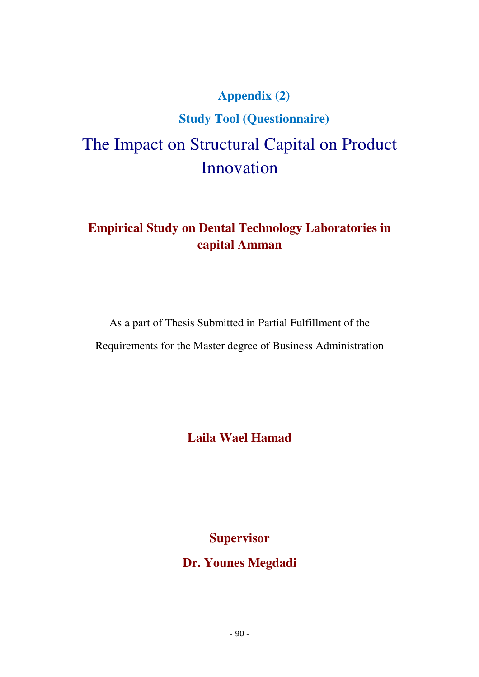# **Appendix (2) Study Tool (Questionnaire)**  The Impact on Structural Capital on Product Innovation

## **Empirical Study on Dental Technology Laboratories in capital Amman**

As a part of Thesis Submitted in Partial Fulfillment of the Requirements for the Master degree of Business Administration

**Laila Wael Hamad** 

**Supervisor** 

**Dr. Younes Megdadi**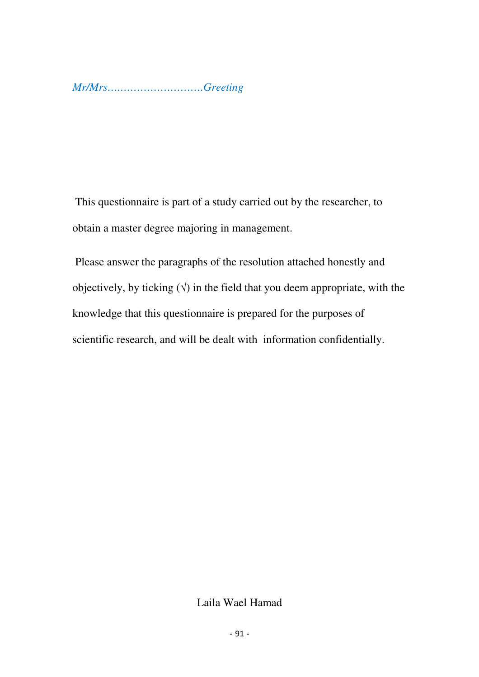*Mr/Mrs….…………………….Greeting*

 This questionnaire is part of a study carried out by the researcher, to obtain a master degree majoring in management.

 Please answer the paragraphs of the resolution attached honestly and objectively, by ticking  $(\sqrt{})$  in the field that you deem appropriate, with the knowledge that this questionnaire is prepared for the purposes of scientific research, and will be dealt with information confidentially.

## Laila Wael Hamad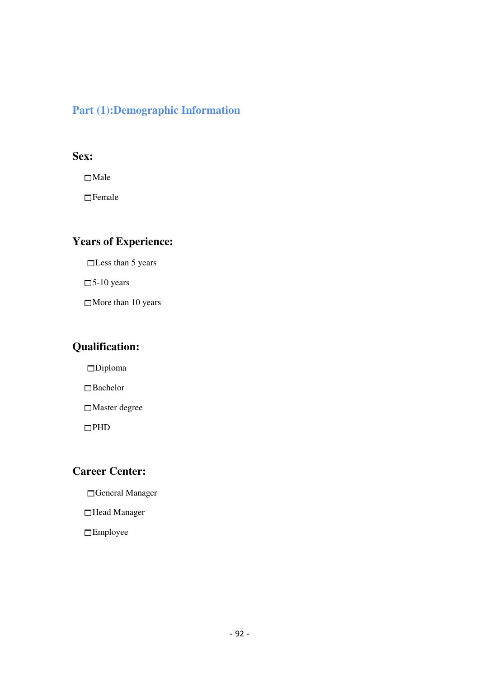### **Part (1):Demographic Information**

### **Sex:**

□Male

 $\Box$ Female

## **Years of Experience:**

□Less than 5 years

 $\square$ 5-10 years

More than 10 years

### **Qualification:**

Diploma

Bachelor

 $\Box$ Master degree

 $\Box$ PHD

### **Career Center:**

General Manager

Head Manager

Employee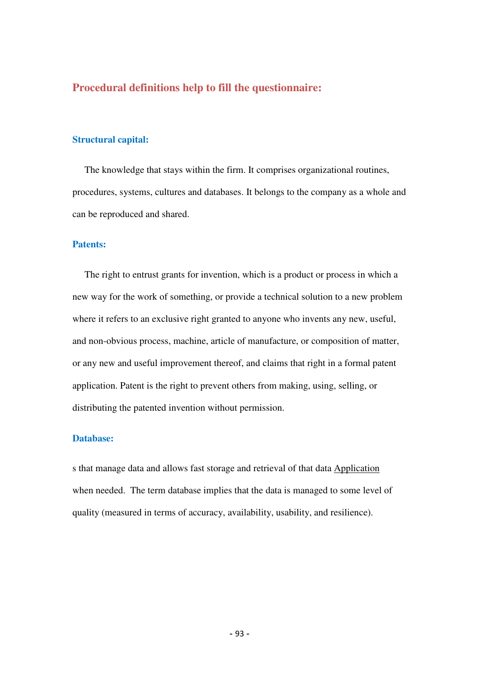### **Procedural definitions help to fill the questionnaire:**

#### **Structural capital:**

 The knowledge that stays within the firm. It comprises organizational routines, procedures, systems, cultures and databases. It belongs to the company as a whole and can be reproduced and shared.

#### **Patents:**

 The right to entrust grants for invention, which is a product or process in which a new way for the work of something, or provide a technical solution to a new problem where it refers to an exclusive right granted to anyone who invents any new, useful, and non-obvious process, machine, article of manufacture, or composition of matter, or any new and useful improvement thereof, and claims that right in a formal patent application. Patent is the right to prevent others from making, using, selling, or distributing the patented invention without permission.

#### **Database:**

s that manage data and allows fast storage and retrieval of that data Application when needed. The term database implies that the data is managed to some level of quality (measured in terms of accuracy, availability, usability, and resilience).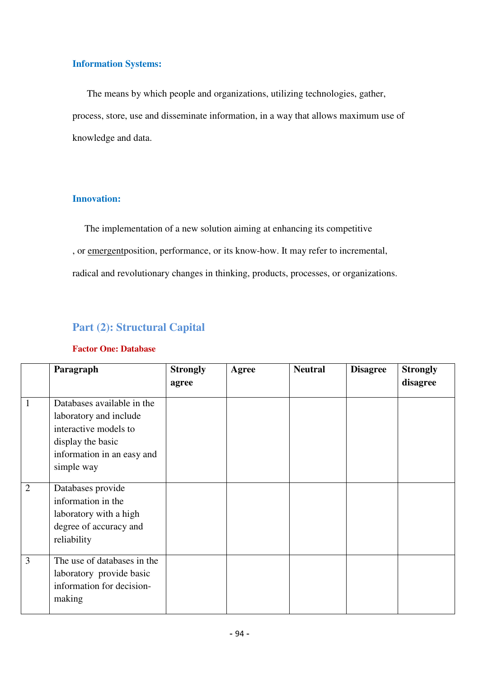#### **Information Systems:**

 The means by which people and organizations, utilizing technologies, gather, process, store, use and disseminate information, in a way that allows maximum use of knowledge and data.

### **Innovation:**

The implementation of a new solution aiming at enhancing its competitive , or emergent position, performance, or its know-how. It may refer to incremental, radical and revolutionary changes in thinking, products, processes, or organizations.

## **Part (2): Structural Capital**

### **Factor One: Database**

|                | Paragraph                                                                                                                                      | <b>Strongly</b> | Agree | <b>Neutral</b> | <b>Disagree</b> | <b>Strongly</b> |
|----------------|------------------------------------------------------------------------------------------------------------------------------------------------|-----------------|-------|----------------|-----------------|-----------------|
|                |                                                                                                                                                | agree           |       |                |                 | disagree        |
| $\mathbf{1}$   | Databases available in the<br>laboratory and include<br>interactive models to<br>display the basic<br>information in an easy and<br>simple way |                 |       |                |                 |                 |
| $\overline{2}$ | Databases provide<br>information in the<br>laboratory with a high<br>degree of accuracy and<br>reliability                                     |                 |       |                |                 |                 |
| $\overline{3}$ | The use of databases in the<br>laboratory provide basic<br>information for decision-<br>making                                                 |                 |       |                |                 |                 |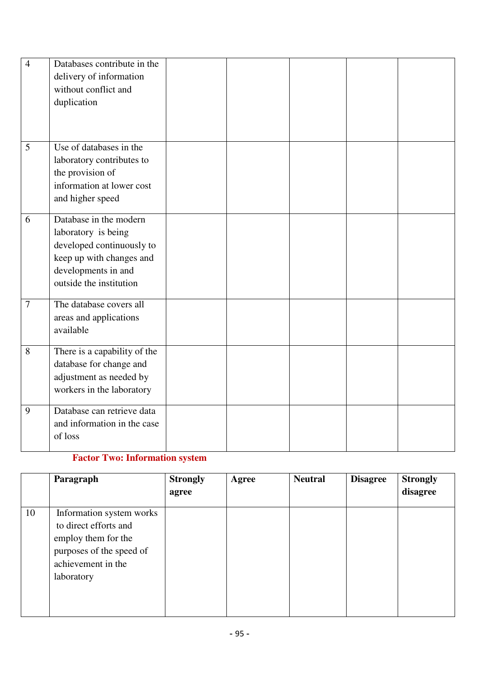| $\overline{4}$ | Databases contribute in the<br>delivery of information<br>without conflict and<br>duplication                                                            |  |  |  |
|----------------|----------------------------------------------------------------------------------------------------------------------------------------------------------|--|--|--|
| 5              | Use of databases in the<br>laboratory contributes to<br>the provision of<br>information at lower cost<br>and higher speed                                |  |  |  |
| 6              | Database in the modern<br>laboratory is being<br>developed continuously to<br>keep up with changes and<br>developments in and<br>outside the institution |  |  |  |
| 7              | The database covers all<br>areas and applications<br>available                                                                                           |  |  |  |
| $8\,$          | There is a capability of the<br>database for change and<br>adjustment as needed by<br>workers in the laboratory                                          |  |  |  |
| 9              | Database can retrieve data<br>and information in the case<br>of loss                                                                                     |  |  |  |

## **Factor Two: Information system**

|    | Paragraph                                                                                                                                | <b>Strongly</b><br>agree | Agree | <b>Neutral</b> | <b>Disagree</b> | <b>Strongly</b><br>disagree |
|----|------------------------------------------------------------------------------------------------------------------------------------------|--------------------------|-------|----------------|-----------------|-----------------------------|
| 10 | Information system works<br>to direct efforts and<br>employ them for the<br>purposes of the speed of<br>achievement in the<br>laboratory |                          |       |                |                 |                             |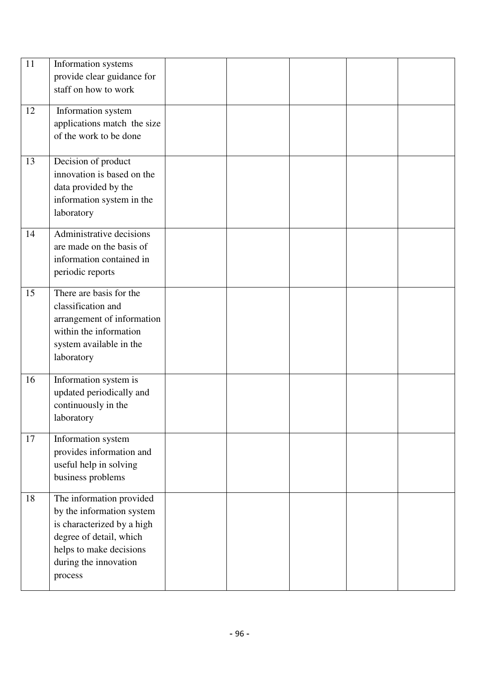| 11<br>12 | Information systems<br>provide clear guidance for<br>staff on how to work<br>Information system<br>applications match the size<br>of the work to be done                      |  |  |  |
|----------|-------------------------------------------------------------------------------------------------------------------------------------------------------------------------------|--|--|--|
| 13       | Decision of product<br>innovation is based on the<br>data provided by the<br>information system in the<br>laboratory                                                          |  |  |  |
| 14       | Administrative decisions<br>are made on the basis of<br>information contained in<br>periodic reports                                                                          |  |  |  |
| 15       | There are basis for the<br>classification and<br>arrangement of information<br>within the information<br>system available in the<br>laboratory                                |  |  |  |
| 16       | Information system is<br>updated periodically and<br>continuously in the<br>laboratory                                                                                        |  |  |  |
| 17       | Information system<br>provides information and<br>useful help in solving<br>business problems                                                                                 |  |  |  |
| 18       | The information provided<br>by the information system<br>is characterized by a high<br>degree of detail, which<br>helps to make decisions<br>during the innovation<br>process |  |  |  |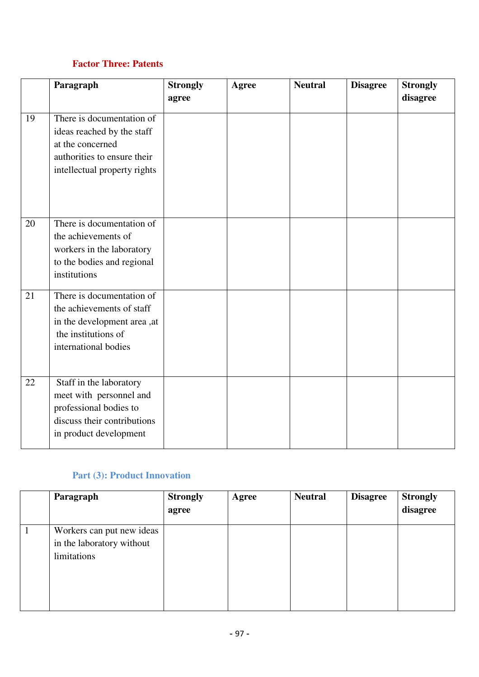## **Factor Three: Patents**

|    | Paragraph                                                                                                                                  | <b>Strongly</b><br>agree | <b>Agree</b> | <b>Neutral</b> | <b>Disagree</b> | <b>Strongly</b><br>disagree |
|----|--------------------------------------------------------------------------------------------------------------------------------------------|--------------------------|--------------|----------------|-----------------|-----------------------------|
| 19 | There is documentation of<br>ideas reached by the staff<br>at the concerned<br>authorities to ensure their<br>intellectual property rights |                          |              |                |                 |                             |
| 20 | There is documentation of<br>the achievements of<br>workers in the laboratory<br>to the bodies and regional<br>institutions                |                          |              |                |                 |                             |
| 21 | There is documentation of<br>the achievements of staff<br>in the development area, at<br>the institutions of<br>international bodies       |                          |              |                |                 |                             |
| 22 | Staff in the laboratory<br>meet with personnel and<br>professional bodies to<br>discuss their contributions<br>in product development      |                          |              |                |                 |                             |

## **Part (3): Product Innovation**

|              | Paragraph                                                             | <b>Strongly</b><br>agree | Agree | <b>Neutral</b> | <b>Disagree</b> | <b>Strongly</b><br>disagree |
|--------------|-----------------------------------------------------------------------|--------------------------|-------|----------------|-----------------|-----------------------------|
| $\mathbf{1}$ | Workers can put new ideas<br>in the laboratory without<br>limitations |                          |       |                |                 |                             |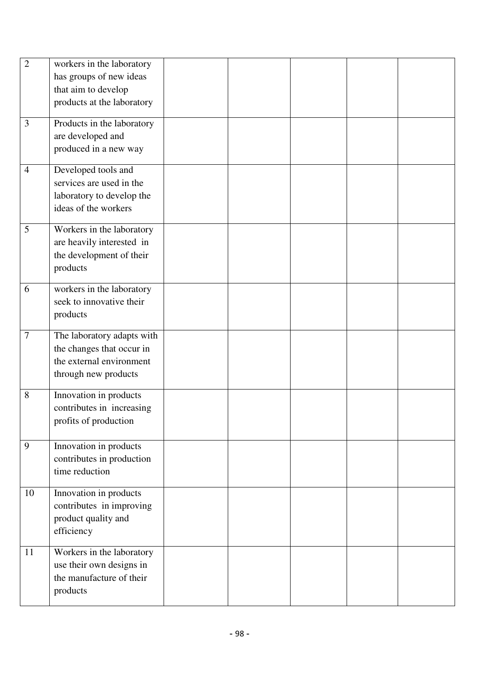| $\overline{2}$ | workers in the laboratory<br>has groups of new ideas<br>that aim to develop<br>products at the laboratory   |  |  |  |
|----------------|-------------------------------------------------------------------------------------------------------------|--|--|--|
| 3              | Products in the laboratory<br>are developed and<br>produced in a new way                                    |  |  |  |
| $\overline{4}$ | Developed tools and<br>services are used in the<br>laboratory to develop the<br>ideas of the workers        |  |  |  |
| 5              | Workers in the laboratory<br>are heavily interested in<br>the development of their<br>products              |  |  |  |
| 6              | workers in the laboratory<br>seek to innovative their<br>products                                           |  |  |  |
| $\overline{7}$ | The laboratory adapts with<br>the changes that occur in<br>the external environment<br>through new products |  |  |  |
| 8              | Innovation in products<br>contributes in increasing<br>profits of production                                |  |  |  |
| 9              | Innovation in products<br>contributes in production<br>time reduction                                       |  |  |  |
| 10             | Innovation in products<br>contributes in improving<br>product quality and<br>efficiency                     |  |  |  |
| 11             | Workers in the laboratory<br>use their own designs in<br>the manufacture of their<br>products               |  |  |  |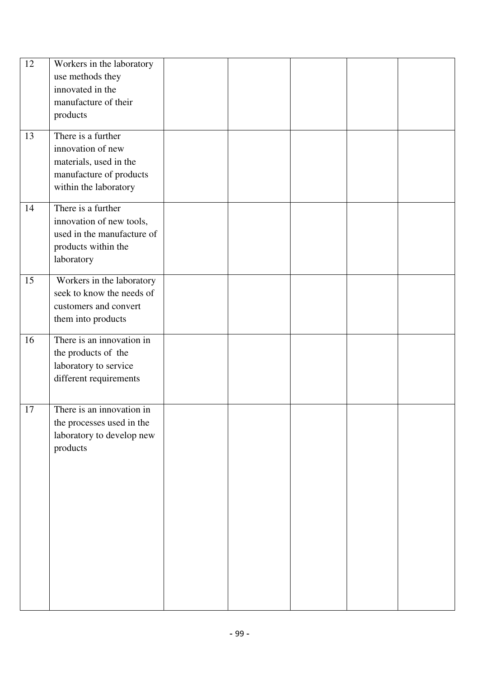| 12 | Workers in the laboratory  |  |  |  |
|----|----------------------------|--|--|--|
|    | use methods they           |  |  |  |
|    | innovated in the           |  |  |  |
|    | manufacture of their       |  |  |  |
|    | products                   |  |  |  |
|    |                            |  |  |  |
| 13 | There is a further         |  |  |  |
|    | innovation of new          |  |  |  |
|    | materials, used in the     |  |  |  |
|    | manufacture of products    |  |  |  |
|    | within the laboratory      |  |  |  |
|    |                            |  |  |  |
| 14 | There is a further         |  |  |  |
|    | innovation of new tools,   |  |  |  |
|    | used in the manufacture of |  |  |  |
|    | products within the        |  |  |  |
|    | laboratory                 |  |  |  |
| 15 | Workers in the laboratory  |  |  |  |
|    | seek to know the needs of  |  |  |  |
|    | customers and convert      |  |  |  |
|    |                            |  |  |  |
|    | them into products         |  |  |  |
| 16 | There is an innovation in  |  |  |  |
|    | the products of the        |  |  |  |
|    | laboratory to service      |  |  |  |
|    | different requirements     |  |  |  |
|    |                            |  |  |  |
| 17 |                            |  |  |  |
|    |                            |  |  |  |
|    | There is an innovation in  |  |  |  |
|    | the processes used in the  |  |  |  |
|    | laboratory to develop new  |  |  |  |
|    | products                   |  |  |  |
|    |                            |  |  |  |
|    |                            |  |  |  |
|    |                            |  |  |  |
|    |                            |  |  |  |
|    |                            |  |  |  |
|    |                            |  |  |  |
|    |                            |  |  |  |
|    |                            |  |  |  |
|    |                            |  |  |  |
|    |                            |  |  |  |
|    |                            |  |  |  |